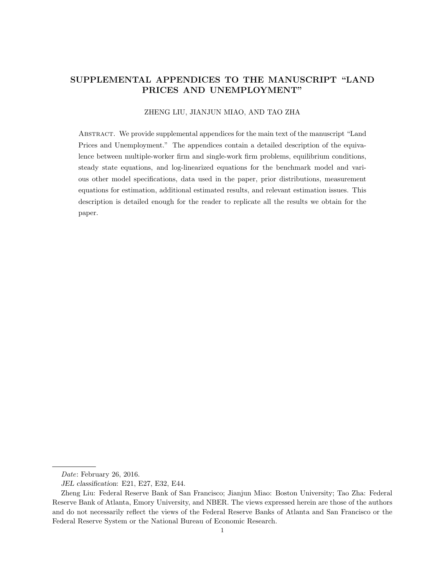# SUPPLEMENTAL APPENDICES TO THE MANUSCRIPT "LAND PRICES AND UNEMPLOYMENT"

## ZHENG LIU, JIANJUN MIAO, AND TAO ZHA

Abstract. We provide supplemental appendices for the main text of the manuscript "Land Prices and Unemployment." The appendices contain a detailed description of the equivalence between multiple-worker firm and single-work firm problems, equilibrium conditions, steady state equations, and log-linearized equations for the benchmark model and various other model specifications, data used in the paper, prior distributions, measurement equations for estimation, additional estimated results, and relevant estimation issues. This description is detailed enough for the reader to replicate all the results we obtain for the paper.

Date: February 26, 2016.

JEL classification: E21, E27, E32, E44.

Zheng Liu: Federal Reserve Bank of San Francisco; Jianjun Miao: Boston University; Tao Zha: Federal Reserve Bank of Atlanta, Emory University, and NBER. The views expressed herein are those of the authors and do not necessarily reflect the views of the Federal Reserve Banks of Atlanta and San Francisco or the Federal Reserve System or the National Bureau of Economic Research.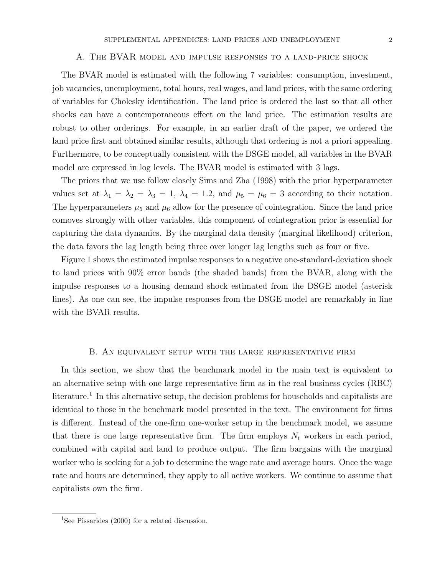#### A. The BVAR model and impulse responses to a land-price shock

The BVAR model is estimated with the following 7 variables: consumption, investment, job vacancies, unemployment, total hours, real wages, and land prices, with the same ordering of variables for Cholesky identification. The land price is ordered the last so that all other shocks can have a contemporaneous effect on the land price. The estimation results are robust to other orderings. For example, in an earlier draft of the paper, we ordered the land price first and obtained similar results, although that ordering is not a priori appealing. Furthermore, to be conceptually consistent with the DSGE model, all variables in the BVAR model are expressed in log levels. The BVAR model is estimated with 3 lags.

The priors that we use follow closely Sims and Zha (1998) with the prior hyperparameter values set at  $\lambda_1 = \lambda_2 = \lambda_3 = 1$ ,  $\lambda_4 = 1.2$ , and  $\mu_5 = \mu_6 = 3$  according to their notation. The hyperparameters  $\mu_5$  and  $\mu_6$  allow for the presence of cointegration. Since the land price comoves strongly with other variables, this component of cointegration prior is essential for capturing the data dynamics. By the marginal data density (marginal likelihood) criterion, the data favors the lag length being three over longer lag lengths such as four or five.

Figure 1 shows the estimated impulse responses to a negative one-standard-deviation shock to land prices with 90% error bands (the shaded bands) from the BVAR, along with the impulse responses to a housing demand shock estimated from the DSGE model (asterisk lines). As one can see, the impulse responses from the DSGE model are remarkably in line with the BVAR results.

## B. An equivalent setup with the large representative firm

In this section, we show that the benchmark model in the main text is equivalent to an alternative setup with one large representative firm as in the real business cycles (RBC) literature.<sup>1</sup> In this alternative setup, the decision problems for households and capitalists are identical to those in the benchmark model presented in the text. The environment for firms is different. Instead of the one-firm one-worker setup in the benchmark model, we assume that there is one large representative firm. The firm employs  $N_t$  workers in each period, combined with capital and land to produce output. The firm bargains with the marginal worker who is seeking for a job to determine the wage rate and average hours. Once the wage rate and hours are determined, they apply to all active workers. We continue to assume that capitalists own the firm.

<sup>&</sup>lt;sup>1</sup>See Pissarides (2000) for a related discussion.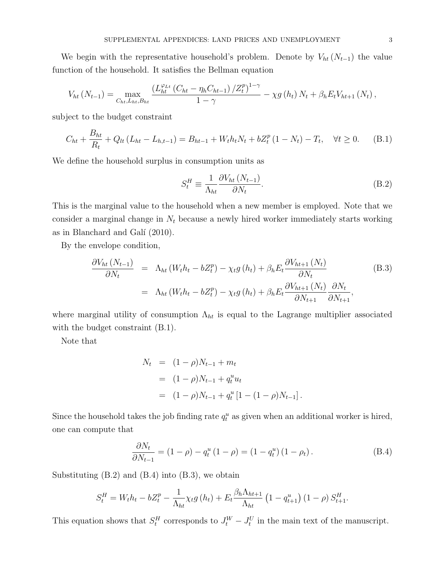We begin with the representative household's problem. Denote by  $V_{ht} (N_{t-1})$  the value function of the household. It satisfies the Bellman equation

$$
V_{ht}(N_{t-1}) = \max_{C_{ht}, L_{ht}, B_{ht}} \frac{\left(L_{ht}^{\varphi_{Lt}}\left(C_{ht} - \eta_h C_{ht-1}\right)/Z_t^p\right)^{1-\gamma}}{1-\gamma} - \chi g\left(h_t\right)N_t + \beta_h E_t V_{ht+1}\left(N_t\right),
$$

subject to the budget constraint

$$
C_{ht} + \frac{B_{ht}}{R_t} + Q_{lt}(L_{ht} - L_{h,t-1}) = B_{ht-1} + W_t h_t N_t + bZ_t^p (1 - N_t) - T_t, \quad \forall t \ge 0.
$$
 (B.1)

We define the household surplus in consumption units as

$$
S_t^H \equiv \frac{1}{\Lambda_{ht}} \frac{\partial V_{ht}(N_{t-1})}{\partial N_t}.
$$
\n(B.2)

This is the marginal value to the household when a new member is employed. Note that we consider a marginal change in  $N_t$  because a newly hired worker immediately starts working as in Blanchard and Galí  $(2010)$ .

By the envelope condition,

$$
\frac{\partial V_{ht}(N_{t-1})}{\partial N_t} = \Lambda_{ht}(W_t h_t - bZ_t^p) - \chi_t g(h_t) + \beta_h E_t \frac{\partial V_{ht+1}(N_t)}{\partial N_t}
$$
\n
$$
= \Lambda_{ht}(W_t h_t - bZ_t^p) - \chi_t g(h_t) + \beta_h E_t \frac{\partial V_{ht+1}(N_t)}{\partial N_{t+1}} \frac{\partial N_t}{\partial N_{t+1}},
$$
\n(B.3)

where marginal utility of consumption  $\Lambda_{ht}$  is equal to the Lagrange multiplier associated with the budget constraint  $(B.1)$ .

Note that

$$
N_t = (1 - \rho)N_{t-1} + m_t
$$
  
=  $(1 - \rho)N_{t-1} + q_t^u u_t$   
=  $(1 - \rho)N_{t-1} + q_t^u [1 - (1 - \rho)N_{t-1}].$ 

Since the household takes the job finding rate  $q_t^u$  as given when an additional worker is hired, one can compute that

$$
\frac{\partial N_t}{\partial N_{t-1}} = (1 - \rho) - q_t^u (1 - \rho) = (1 - q_t^u) (1 - \rho_t). \tag{B.4}
$$

Substituting  $(B.2)$  and  $(B.4)$  into  $(B.3)$ , we obtain

$$
S_t^H = W_t h_t - bZ_t^p - \frac{1}{\Lambda_{ht}} \chi_t g\left(h_t\right) + E_t \frac{\beta_h \Lambda_{ht+1}}{\Lambda_{ht}} \left(1 - q_{t+1}^u\right) \left(1 - \rho\right) S_{t+1}^H.
$$

This equation shows that  $S_t^H$  corresponds to  $J_t^W - J_t^U$  in the main text of the manuscript.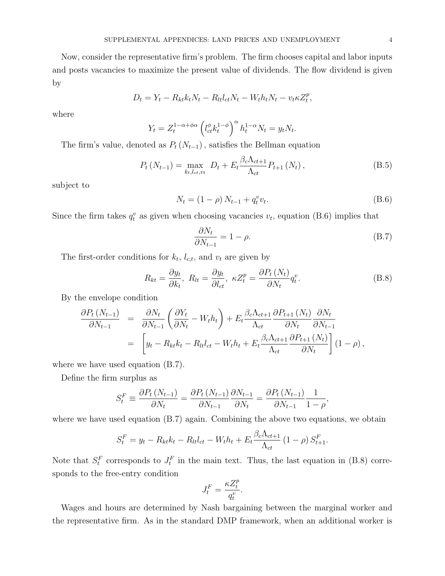Now, consider the representative firm's problem. The firm chooses capital and labor inputs and posts vacancies to maximize the present value of dividends. The flow dividend is given by

$$
D_t = Y_t - R_{kt} k_t N_t - R_{lt} l_{ct} N_t - W_t h_t N_t - v_t \kappa Z_t^p,
$$

where

$$
Y_t = Z_t^{1-\alpha+\phi\alpha} \left( l_{ct}^{\phi} k_t^{1-\phi} \right)^{\alpha} h_t^{1-\alpha} N_t = y_t N_t.
$$

The firm's value, denoted as  $P_t(N_{t-1})$ , satisfies the Bellman equation

$$
P_{t}(N_{t-1}) = \max_{k_{t}, l_{ct}, v_{t}} D_{t} + E_{t} \frac{\beta_{c} \Lambda_{ct+1}}{\Lambda_{ct}} P_{t+1}(N_{t}), \qquad (B.5)
$$

subject to

$$
N_t = (1 - \rho) N_{t-1} + q_t^v v_t.
$$
 (B.6)

Since the firm takes  $q_t^v$  as given when choosing vacancies  $v_t$ , equation (B.6) implies that

$$
\frac{\partial N_t}{\partial N_{t-1}} = 1 - \rho. \tag{B.7}
$$

The first-order conditions for  $k_t$ ,  $l_{c,t}$ , and  $v_t$  are given by

$$
R_{kt} = \frac{\partial y_t}{\partial k_t}, \ R_{lt} = \frac{\partial y_t}{\partial l_{ct}}, \ \kappa Z_t^p = \frac{\partial P_t(N_t)}{\partial N_t} q_t^v. \tag{B.8}
$$

By the envelope condition

$$
\frac{\partial P_t (N_{t-1})}{\partial N_{t-1}} = \frac{\partial N_t}{\partial N_{t-1}} \left( \frac{\partial Y_t}{\partial N_t} - W_t h_t \right) + E_t \frac{\beta_c \Lambda_{ct+1}}{\Lambda_{ct}} \frac{\partial P_{t+1} (N_t)}{\partial N_t} \frac{\partial N_t}{\partial N_{t-1}} \n= \left[ y_t - R_{kt} k_t - R_{lt} l_{ct} - W_t h_t + E_t \frac{\beta_c \Lambda_{ct+1}}{\Lambda_{ct}} \frac{\partial P_{t+1} (N_t)}{\partial N_t} \right] (1 - \rho),
$$

where we have used equation (B.7).

Define the firm surplus as

$$
S_t^F \equiv \frac{\partial P_t \left( N_{t-1} \right)}{\partial N_t} = \frac{\partial P_t \left( N_{t-1} \right)}{\partial N_{t-1}} \frac{\partial N_{t-1}}{\partial N_t} = \frac{\partial P_t \left( N_{t-1} \right)}{\partial N_{t-1}} \frac{1}{1 - \rho},
$$

where we have used equation  $(B.7)$  again. Combining the above two equations, we obtain

$$
S_t^F = y_t - R_{kt}k_t - R_{lt}l_{ct} - W_t h_t + E_t \frac{\beta_c \Lambda_{ct+1}}{\Lambda_{ct}} (1 - \rho) S_{t+1}^F.
$$

Note that  $S_t^F$  corresponds to  $J_t^F$  in the main text. Thus, the last equation in (B.8) corresponds to the free-entry condition

$$
J_t^F = \frac{\kappa Z_t^p}{q_t^v}.
$$

Wages and hours are determined by Nash bargaining between the marginal worker and the representative firm. As in the standard DMP framework, when an additional worker is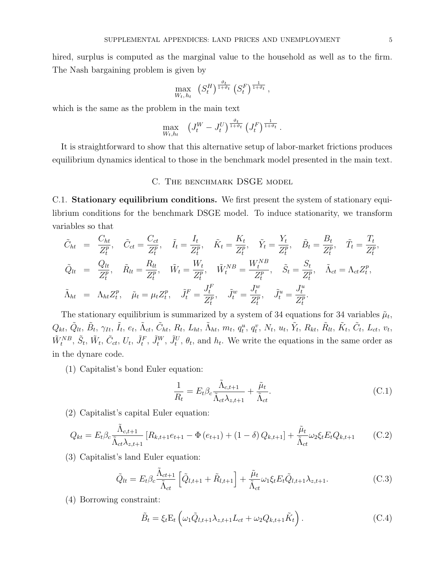hired, surplus is computed as the marginal value to the household as well as to the firm. The Nash bargaining problem is given by

$$
\max_{W_t, h_t} \left( S_t^H \right)^{\frac{\vartheta_t}{1+\vartheta_t}} \left( S_t^F \right)^{\frac{1}{1+\vartheta_t}},
$$

which is the same as the problem in the main text

$$
\max_{W_t, h_t} \quad (J_t^W - J_t^U)^{\frac{\vartheta_t}{1+\vartheta_t}} \left( J_t^F \right)^{\frac{1}{1+\vartheta_t}}.
$$

It is straightforward to show that this alternative setup of labor-market frictions produces equilibrium dynamics identical to those in the benchmark model presented in the main text.

## C. THE BENCHMARK DSGE MODEL

C.1. Stationary equilibrium conditions. We first present the system of stationary equilibrium conditions for the benchmark DSGE model. To induce stationarity, we transform variables so that

$$
\tilde{C}_{ht} = \frac{C_{ht}}{Z_t^p}, \quad \tilde{C}_{ct} = \frac{C_{ct}}{Z_t^p}, \quad \tilde{I}_t = \frac{I_t}{Z_t^p}, \quad \tilde{K}_t = \frac{K_t}{Z_t^p}, \quad \tilde{Y}_t = \frac{Y_t}{Z_t^p}, \quad \tilde{B}_t = \frac{B_t}{Z_t^p}, \quad \tilde{T}_t = \frac{T_t}{Z_t^p},
$$
\n
$$
\tilde{Q}_{lt} = \frac{Q_{lt}}{Z_t^p}, \quad \tilde{R}_{lt} = \frac{R_{lt}}{Z_t^p}, \quad \tilde{W}_t = \frac{W_t}{Z_t^p}, \quad \tilde{W}_t^{NB} = \frac{W_t^{NB}}{Z_t^p}, \quad \tilde{S}_t = \frac{S_t}{Z_t^p}, \quad \tilde{\Lambda}_{ct} = \Lambda_{ct} Z_t^p,
$$
\n
$$
\tilde{\Lambda}_{ht} = \Lambda_{ht} Z_t^p, \quad \tilde{\mu}_t = \mu_t Z_t^p, \quad \tilde{J}_t^F = \frac{J_t^F}{Z_t^p}, \quad \tilde{J}_t^w = \frac{J_t^w}{Z_t^p}, \quad \tilde{J}_t^u = \frac{J_t^u}{Z_t^p}.
$$

The stationary equilibrium is summarized by a system of 34 equations for 34 variables  $\tilde{\mu}_t$ ,  $Q_{kt}, \, \tilde{Q}_{lt}, \, \tilde{B}_{t}, \, \gamma_{It}, \, \tilde{I}_{t}, \, e_{t}, \, \tilde{\Lambda}_{ct}, \, \tilde{C}_{ht}, \, R_{t}, \, L_{ht}, \, \tilde{\Lambda}_{ht}, \, m_{t}, \, q^{u}_{t}, \, q^{v}_{t}, \, N_{t}, \, u_{t}, \, \tilde{Y}_{t}, \, R_{kt}, \, \tilde{R}_{lt}, \, \tilde{K}_{t}, \, \tilde{C}_{t}, \, L_{ct}, \, v_{t}, \, \tilde{C}_{t}, \, \tilde{C}_{t}, \, \tilde{C}_{t}, \, \tilde{C}_{t$  $\tilde{W}_t^{NB}$ ,  $\tilde{S}_t$ ,  $\tilde{W}_t$ ,  $\tilde{C}_{ct}$ ,  $U_t$ ,  $\tilde{J}_t^F$ ,  $\tilde{J}_t^W$ ,  $\tilde{J}_t^V$ ,  $\theta_t$ , and  $h_t$ . We write the equations in the same order as in the dynare code.

(1) Capitalist's bond Euler equation:

$$
\frac{1}{R_t} = E_t \beta_c \frac{\tilde{\Lambda}_{c,t+1}}{\tilde{\Lambda}_{ct} \lambda_{z,t+1}} + \frac{\tilde{\mu}_t}{\tilde{\Lambda}_{ct}}.
$$
\n(C.1)

(2) Capitalist's capital Euler equation:

$$
Q_{kt} = E_t \beta_c \frac{\tilde{\Lambda}_{c,t+1}}{\tilde{\Lambda}_{ct} \lambda_{z,t+1}} \left[ R_{k,t+1} e_{t+1} - \Phi \left( e_{t+1} \right) + (1 - \delta) Q_{k,t+1} \right] + \frac{\tilde{\mu}_t}{\tilde{\Lambda}_{ct}} \omega_2 \xi_t E_t Q_{k,t+1}
$$
 (C.2)

(3) Capitalist's land Euler equation:

$$
\tilde{Q}_{lt} = E_t \beta_c \frac{\tilde{\Lambda}_{ct+1}}{\tilde{\Lambda}_{ct}} \left[ \tilde{Q}_{l,t+1} + \tilde{R}_{l,t+1} \right] + \frac{\tilde{\mu}_t}{\tilde{\Lambda}_{ct}} \omega_1 \xi_t E_t \tilde{Q}_{l,t+1} \lambda_{z,t+1}.
$$
\n(C.3)

(4) Borrowing constraint:

$$
\tilde{B}_t = \xi_t \mathcal{E}_t \left( \omega_1 \tilde{Q}_{l,t+1} \lambda_{z,t+1} L_{ct} + \omega_2 Q_{k,t+1} \tilde{K}_t \right). \tag{C.4}
$$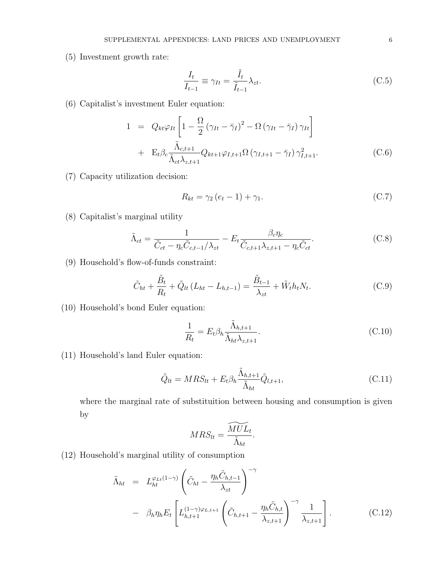(5) Investment growth rate:

$$
\frac{I_t}{I_{t-1}} \equiv \gamma_{It} = \frac{\tilde{I}_t}{\tilde{I}_{t-1}} \lambda_{zt}.
$$
\n(C.5)

(6) Capitalist's investment Euler equation:

$$
1 = Q_{kt}\varphi_{It}\left[1 - \frac{\Omega}{2} \left(\gamma_{It} - \bar{\gamma}_{I}\right)^{2} - \Omega \left(\gamma_{It} - \bar{\gamma}_{I}\right)\gamma_{It}\right] + \mathbf{E}_{t}\beta_{c}\frac{\tilde{\Lambda}_{c,t+1}}{\tilde{\Lambda}_{ct}\lambda_{z,t+1}}Q_{kt+1}\varphi_{I,t+1}\Omega\left(\gamma_{I,t+1} - \bar{\gamma}_{I}\right)\gamma_{I,t+1}^{2}.
$$
 (C.6)

(7) Capacity utilization decision:

$$
R_{kt} = \gamma_2 \left( e_t - 1 \right) + \gamma_1. \tag{C.7}
$$

(8) Capitalist's marginal utility

$$
\tilde{\Lambda}_{ct} = \frac{1}{\tilde{C}_{ct} - \eta_c \tilde{C}_{c,t-1} / \lambda_{zt}} - E_t \frac{\beta_c \eta_c}{\tilde{C}_{c,t+1} \lambda_{z,t+1} - \eta_c \tilde{C}_{ct}}.
$$
\n(C.8)

(9) Household's flow-of-funds constraint:

$$
\tilde{C}_{ht} + \frac{\tilde{B}_t}{R_t} + \tilde{Q}_{lt} (L_{ht} - L_{h,t-1}) = \frac{\tilde{B}_{t-1}}{\lambda_{zt}} + \tilde{W}_t h_t N_t.
$$
\n(C.9)

(10) Household's bond Euler equation:

$$
\frac{1}{R_t} = E_t \beta_h \frac{\tilde{\Lambda}_{h,t+1}}{\tilde{\Lambda}_{ht} \lambda_{z,t+1}}.
$$
\n(C.10)

(11) Household's land Euler equation:

$$
\tilde{Q}_{lt} = MRS_{lt} + E_t \beta_h \frac{\tilde{\Lambda}_{h,t+1}}{\tilde{\Lambda}_{ht}} \tilde{Q}_{l,t+1},
$$
\n(C.11)

where the marginal rate of substituition between housing and consumption is given by

$$
MRS_{lt} = \frac{\widetilde{MUL}_t}{\widetilde{\Lambda}_{ht}}.
$$

(12) Household's marginal utility of consumption

$$
\tilde{\Lambda}_{ht} = L_{ht}^{\varphi_{Lt}(1-\gamma)} \left( \tilde{C}_{ht} - \frac{\eta_h \tilde{C}_{h,t-1}}{\lambda_{zt}} \right)^{-\gamma} \n- \beta_h \eta_h E_t \left[ L_{h,t+1}^{(1-\gamma)\varphi_{L,t+1}} \left( \tilde{C}_{h,t+1} - \frac{\eta_h \tilde{C}_{h,t}}{\lambda_{z,t+1}} \right)^{-\gamma} \frac{1}{\lambda_{z,t+1}} \right].
$$
\n(C.12)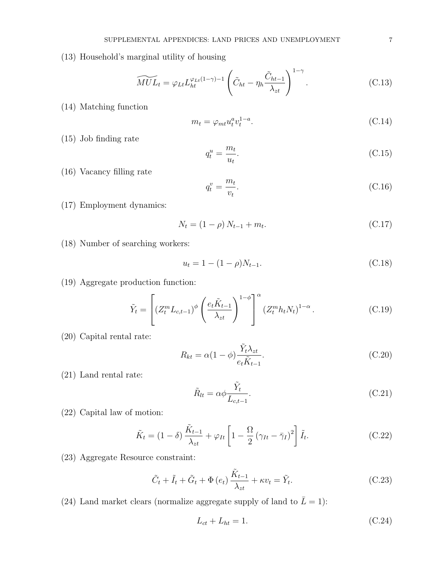(13) Household's marginal utility of housing

$$
\widetilde{MUL}_t = \varphi_{Lt} L_{ht}^{\varphi_{Lt}(1-\gamma)-1} \left( \tilde{C}_{ht} - \eta_h \frac{\tilde{C}_{ht-1}}{\lambda_{zt}} \right)^{1-\gamma}.
$$
 (C.13)

(14) Matching function

$$
m_t = \varphi_{mt} u_t^a v_t^{1-a}.\tag{C.14}
$$

(15) Job finding rate

$$
q_t^u = \frac{m_t}{u_t}.\tag{C.15}
$$

(16) Vacancy filling rate

$$
q_t^v = \frac{m_t}{v_t}.\tag{C.16}
$$

(17) Employment dynamics:

$$
N_t = (1 - \rho) N_{t-1} + m_t. \tag{C.17}
$$

(18) Number of searching workers:

$$
u_t = 1 - (1 - \rho)N_{t-1}.
$$
\n(C.18)

(19) Aggregate production function:

$$
\tilde{Y}_t = \left[ \left( Z_t^m L_{c,t-1} \right)^\phi \left( \frac{e_t \tilde{K}_{t-1}}{\lambda_{zt}} \right)^{1-\phi} \right]^\alpha \left( Z_t^m h_t N_t \right)^{1-\alpha} . \tag{C.19}
$$

(20) Capital rental rate:

$$
R_{kt} = \alpha (1 - \phi) \frac{\tilde{Y}_t \lambda_{zt}}{e_t \tilde{K}_{t-1}}.
$$
\n(C.20)

(21) Land rental rate:

$$
\tilde{R}_{lt} = \alpha \phi \frac{\tilde{Y}_t}{L_{c,t-1}}.
$$
\n(C.21)

(22) Capital law of motion:

$$
\tilde{K}_t = (1 - \delta) \frac{\tilde{K}_{t-1}}{\lambda_{zt}} + \varphi_{It} \left[ 1 - \frac{\Omega}{2} \left( \gamma_{It} - \bar{\gamma}_I \right)^2 \right] \tilde{I}_t.
$$
\n(C.22)

(23) Aggregate Resource constraint:

$$
\tilde{C}_t + \tilde{I}_t + \tilde{G}_t + \Phi(e_t) \frac{\tilde{K}_{t-1}}{\lambda_{zt}} + \kappa v_t = \tilde{Y}_t.
$$
\n(C.23)

(24) Land market clears (normalize aggregate supply of land to  $\bar{L} = 1$ ):

$$
L_{ct} + L_{ht} = 1.\tag{C.24}
$$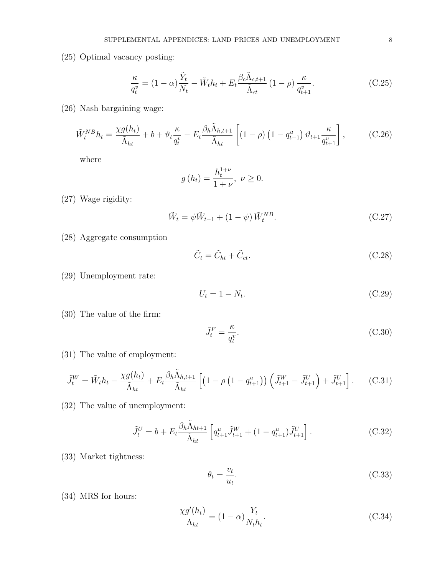(25) Optimal vacancy posting:

$$
\frac{\kappa}{q_t^v} = (1 - \alpha) \frac{\tilde{Y}_t}{N_t} - \tilde{W}_t h_t + E_t \frac{\beta_c \tilde{\Lambda}_{c,t+1}}{\tilde{\Lambda}_{ct}} (1 - \rho) \frac{\kappa}{q_{t+1}^v}.
$$
\n(C.25)

(26) Nash bargaining wage:

$$
\tilde{W}_t^{NB}h_t = \frac{\chi g(h_t)}{\tilde{\Lambda}_{ht}} + b + \vartheta_t \frac{\kappa}{q_t^v} - E_t \frac{\beta_h \tilde{\Lambda}_{h,t+1}}{\tilde{\Lambda}_{ht}} \left[ (1 - \rho) \left( 1 - q_{t+1}^u \right) \vartheta_{t+1} \frac{\kappa}{q_{t+1}^v} \right],\tag{C.26}
$$

where

$$
g(h_t) = \frac{h_t^{1+\nu}}{1+\nu}, \ \nu \ge 0.
$$

(27) Wage rigidity:

$$
\tilde{W}_t = \psi \tilde{W}_{t-1} + (1 - \psi) \tilde{W}_t^{NB}.
$$
\n(C.27)

(28) Aggregate consumption

$$
\tilde{C}_t = \tilde{C}_{ht} + \tilde{C}_{ct}.
$$
\n(C.28)

(29) Unemployment rate:

$$
U_t = 1 - N_t. \tag{C.29}
$$

(30) The value of the firm:

$$
\tilde{J}_t^F = \frac{\kappa}{q_t^v}.\tag{C.30}
$$

(31) The value of employment:

$$
\tilde{J}_t^W = \tilde{W}_t h_t - \frac{\chi g(h_t)}{\tilde{\Lambda}_{ht}} + E_t \frac{\beta_h \tilde{\Lambda}_{h,t+1}}{\tilde{\Lambda}_{ht}} \left[ \left( 1 - \rho \left( 1 - q_{t+1}^u \right) \right) \left( \tilde{J}_{t+1}^W - \tilde{J}_{t+1}^U \right) + \tilde{J}_{t+1}^U \right]. \tag{C.31}
$$

(32) The value of unemployment:

$$
\tilde{J}_t^U = b + E_t \frac{\beta_h \tilde{\Lambda}_{ht+1}}{\tilde{\Lambda}_{ht}} \left[ q_{t+1}^u \tilde{J}_{t+1}^W + (1 - q_{t+1}^u) \tilde{J}_{t+1}^U \right]. \tag{C.32}
$$

(33) Market tightness:

$$
\theta_t = \frac{v_t}{u_t}.\tag{C.33}
$$

(34) MRS for hours:

$$
\frac{\chi g'(h_t)}{\Lambda_{ht}} = (1 - \alpha) \frac{Y_t}{N_t h_t}.
$$
\n(C.34)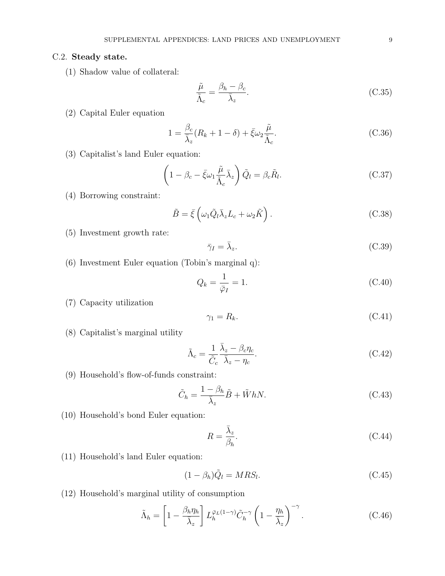## C.2. Steady state.

(1) Shadow value of collateral:

$$
\frac{\tilde{\mu}}{\tilde{\Lambda}_c} = \frac{\beta_h - \beta_c}{\bar{\lambda}_z}.
$$
\n(C.35)

(2) Capital Euler equation

$$
1 = \frac{\beta_c}{\bar{\lambda}_z} (R_k + 1 - \delta) + \bar{\xi} \omega_2 \frac{\tilde{\mu}}{\tilde{\Lambda}_c}.
$$
 (C.36)

(3) Capitalist's land Euler equation:

$$
\left(1 - \beta_c - \bar{\xi}\omega_1 \frac{\tilde{\mu}}{\tilde{\Lambda}_c} \bar{\lambda}_z\right) \tilde{Q}_l = \beta_c \tilde{R}_l.
$$
\n(C.37)

(4) Borrowing constraint:

$$
\tilde{B} = \bar{\xi} \left( \omega_1 \tilde{Q}_l \bar{\lambda}_z L_c + \omega_2 \tilde{K} \right). \tag{C.38}
$$

- (5) Investment growth rate:
- $\bar{\gamma}_I = \bar{\lambda}_z.$  $(C.39)$
- (6) Investment Euler equation (Tobin's marginal q):

$$
Q_k = \frac{1}{\bar{\varphi}_I} = 1. \tag{C.40}
$$

(7) Capacity utilization

$$
\gamma_1 = R_k. \tag{C.41}
$$

(8) Capitalist's marginal utility

$$
\tilde{\Lambda}_c = \frac{1}{\tilde{C}_c} \frac{\bar{\lambda}_z - \beta_c \eta_c}{\bar{\lambda}_z - \eta_c}.
$$
\n(C.42)

(9) Household's flow-of-funds constraint:

$$
\tilde{C}_h = \frac{1 - \beta_h}{\bar{\lambda}_z} \tilde{B} + \tilde{W} h N. \tag{C.43}
$$

(10) Household's bond Euler equation:

$$
R = \frac{\bar{\lambda}_z}{\beta_h}.\tag{C.44}
$$

(11) Household's land Euler equation:

$$
(1 - \beta_h)\tilde{Q}_l = MRS_l.
$$
\n(C.45)

(12) Household's marginal utility of consumption

$$
\tilde{\Lambda}_h = \left[1 - \frac{\beta_h \eta_h}{\bar{\lambda}_z}\right] L_h^{\bar{\varphi}_L(1-\gamma)} \tilde{C}_h^{-\gamma} \left(1 - \frac{\eta_h}{\bar{\lambda}_z}\right)^{-\gamma}.
$$
\n(C.46)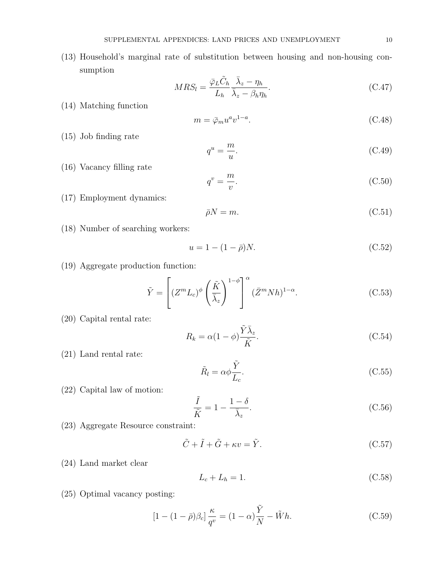(13) Household's marginal rate of substitution between housing and non-housing consumption

$$
MRS_l = \frac{\bar{\varphi}_L \tilde{C}_h}{L_h} \frac{\bar{\lambda}_z - \eta_h}{\bar{\lambda}_z - \beta_h \eta_h}.
$$
\n(C.47)

(14) Matching function

$$
m = \bar{\varphi}_m u^a v^{1-a}.\tag{C.48}
$$

(15) Job finding rate

$$
q^u = \frac{m}{u}.\tag{C.49}
$$

(16) Vacancy filling rate

$$
q^v = \frac{m}{v}.\tag{C.50}
$$

(17) Employment dynamics:

$$
\bar{\rho}N = m.\tag{C.51}
$$

(18) Number of searching workers:

$$
u = 1 - (1 - \bar{\rho})N.
$$
 (C.52)

(19) Aggregate production function:

$$
\tilde{Y} = \left[ (Z^m L_c)^{\phi} \left( \frac{\tilde{K}}{\bar{\lambda}_z} \right)^{1-\phi} \right]^{\alpha} (\bar{Z}^m N h)^{1-\alpha}.
$$
\n(C.53)

 $\sim$   $-$ 

(20) Capital rental rate:

$$
R_k = \alpha (1 - \phi) \frac{Y \lambda_z}{\tilde{K}}.
$$
\n(C.54)

(21) Land rental rate:

$$
\tilde{R}_l = \alpha \phi \frac{\tilde{Y}}{L_c}.
$$
\n(C.55)

(22) Capital law of motion:

$$
\frac{\tilde{I}}{\tilde{K}} = 1 - \frac{1 - \delta}{\bar{\lambda}_z}.
$$
\n(C.56)

(23) Aggregate Resource constraint:

$$
\tilde{C} + \tilde{I} + \tilde{G} + \kappa v = \tilde{Y}.\tag{C.57}
$$

(24) Land market clear

$$
L_c + L_h = 1.\t\t(C.58)
$$

(25) Optimal vacancy posting:

$$
[1 - (1 - \bar{\rho})\beta_c] \frac{\kappa}{q^v} = (1 - \alpha)\frac{\tilde{Y}}{N} - \tilde{W}h.
$$
 (C.59)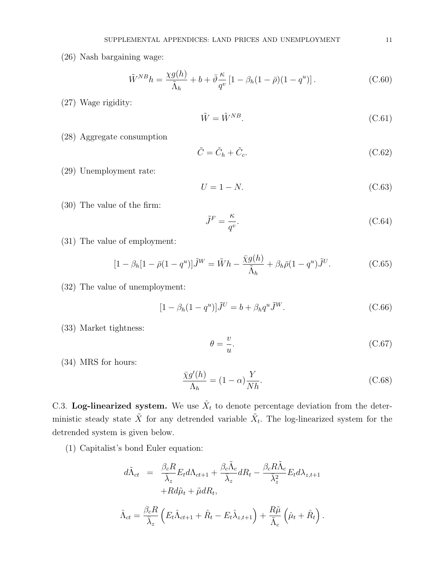(26) Nash bargaining wage:

$$
\tilde{W}^{NB}h = \frac{\chi g(h)}{\tilde{\Lambda}_h} + b + \bar{\vartheta}\frac{\kappa}{q^v} \left[1 - \beta_h(1-\bar{\rho})(1-q^u)\right].\tag{C.60}
$$

(27) Wage rigidity:

$$
\tilde{W} = \tilde{W}^{NB}.\tag{C.61}
$$

(28) Aggregate consumption

$$
\tilde{C} = \tilde{C}_h + \tilde{C}_c. \tag{C.62}
$$

(29) Unemployment rate:

$$
U = 1 - N.\tag{C.63}
$$

(30) The value of the firm:

$$
\tilde{J}^F = \frac{\kappa}{q^v}.\tag{C.64}
$$

(31) The value of employment:

$$
[1 - \beta_h[1 - \bar{\rho}(1 - q^u)]\tilde{J}^W = \tilde{W}h - \frac{\bar{\chi}g(h)}{\tilde{\Lambda}_h} + \beta_h\bar{\rho}(1 - q^u)\tilde{J}^U.
$$
 (C.65)

(32) The value of unemployment:

$$
[1 - \beta_h (1 - q^u)]\tilde{J}^U = b + \beta_h q^u \tilde{J}^W.
$$
 (C.66)

(33) Market tightness:

$$
\theta = \frac{v}{u}.\tag{C.67}
$$

(34) MRS for hours:

$$
\frac{\bar{\chi}g'(h)}{\Lambda_h} = (1 - \alpha)\frac{Y}{Nh}.\tag{C.68}
$$

C.3. Log-linearized system. We use  $\hat{X}_t$  to denote percentage deviation from the deterministic steady state  $\tilde{X}$  for any detrended variable  $\tilde{X}_t$ . The log-linearized system for the detrended system is given below.

(1) Capitalist's bond Euler equation:

$$
d\tilde{\Lambda}_{ct} = \frac{\beta_c R}{\bar{\lambda}_z} E_t d\Lambda_{ct+1} + \frac{\beta_c \tilde{\Lambda}_c}{\bar{\lambda}_z} dR_t - \frac{\beta_c R \tilde{\Lambda}_c}{\bar{\lambda}_z^2} E_t d\lambda_{z,t+1} + R d\tilde{\mu}_t + \tilde{\mu} dR_t,
$$

$$
\hat{\Lambda}_{ct} = \frac{\beta_c R}{\bar{\lambda}_z} \left( E_t \hat{\Lambda}_{ct+1} + \hat{R}_t - E_t \hat{\lambda}_{z,t+1} \right) + \frac{R\tilde{\mu}}{\tilde{\Lambda}_c} \left( \hat{\mu}_t + \hat{R}_t \right).
$$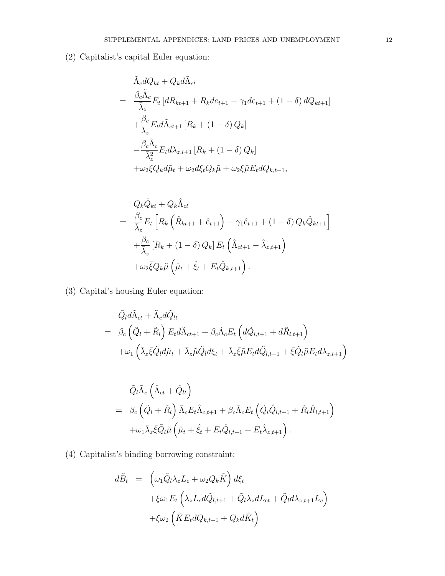(2) Capitalist's capital Euler equation:

$$
\tilde{\Lambda}_c dQ_{kt} + Q_k d\tilde{\Lambda}_{ct}
$$
\n
$$
= \frac{\beta_c \tilde{\Lambda}_c}{\bar{\lambda}_z} E_t \left[ dR_{kt+1} + R_k d e_{t+1} - \gamma_1 d e_{t+1} + (1 - \delta) d Q_{kt+1} \right]
$$
\n
$$
+ \frac{\beta_c}{\bar{\lambda}_z} E_t d\tilde{\Lambda}_{ct+1} \left[ R_k + (1 - \delta) Q_k \right]
$$
\n
$$
- \frac{\beta_c \tilde{\Lambda}_c}{\bar{\lambda}_z^2} E_t d\lambda_{z,t+1} \left[ R_k + (1 - \delta) Q_k \right]
$$
\n
$$
+ \omega_2 \xi Q_k d\tilde{\mu}_t + \omega_2 d\xi_t Q_k \tilde{\mu} + \omega_2 \xi \tilde{\mu} E_t dQ_{k,t+1},
$$

$$
Q_k \hat{Q}_{kt} + Q_k \hat{\Lambda}_{ct}
$$
  
= 
$$
\frac{\beta_c}{\overline{\lambda}_z} E_t \left[ R_k \left( \hat{R}_{kt+1} + \hat{e}_{t+1} \right) - \gamma_1 \hat{e}_{t+1} + (1 - \delta) Q_k \hat{Q}_{kt+1} \right]
$$
  
+ 
$$
\frac{\beta_c}{\overline{\lambda}_z} \left[ R_k + (1 - \delta) Q_k \right] E_t \left( \hat{\Lambda}_{ct+1} - \hat{\lambda}_{z,t+1} \right)
$$
  
+ 
$$
\omega_2 \overline{\xi} Q_k \tilde{\mu} \left( \hat{\mu}_t + \hat{\xi}_t + E_t \hat{Q}_{k,t+1} \right).
$$

(3) Capital's housing Euler equation:

$$
\tilde{Q}_l d\tilde{\Lambda}_{ct} + \tilde{\Lambda}_c d\tilde{Q}_{lt} \n= \beta_c \left( \tilde{Q}_l + \tilde{R}_l \right) E_t d\tilde{\Lambda}_{ct+1} + \beta_c \tilde{\Lambda}_c E_t \left( d\tilde{Q}_{l,t+1} + d\tilde{R}_{l,t+1} \right) \n+ \omega_1 \left( \bar{\lambda}_z \bar{\xi} \tilde{Q}_l d\tilde{\mu}_t + \bar{\lambda}_z \tilde{\mu} \tilde{Q}_l d\xi_t + \bar{\lambda}_z \bar{\xi} \tilde{\mu} E_t d\tilde{Q}_{l,t+1} + \bar{\xi} \tilde{Q}_l \tilde{\mu} E_t d\lambda_{z,t+1} \right)
$$

$$
\tilde{Q}_{l}\tilde{\Lambda}_{c}\left(\hat{\Lambda}_{ct}+\hat{Q}_{lt}\right) \n= \beta_{c}\left(\tilde{Q}_{l}+\tilde{R}_{l}\right)\tilde{\Lambda}_{c}E_{t}\hat{\Lambda}_{c,t+1}+\beta_{c}\tilde{\Lambda}_{c}E_{t}\left(\tilde{Q}_{l}\hat{Q}_{l,t+1}+\tilde{R}_{l}\hat{R}_{l,t+1}\right) \n+\omega_{1}\bar{\lambda}_{z}\bar{\xi}\tilde{Q}_{l}\tilde{\mu}\left(\hat{\mu}_{t}+\hat{\xi}_{t}+E_{t}\hat{Q}_{l,t+1}+E_{t}\hat{\lambda}_{z,t+1}\right).
$$

(4) Capitalist's binding borrowing constraint:

$$
d\tilde{B}_t = \left(\omega_1 \tilde{Q}_l \lambda_z L_c + \omega_2 Q_k \tilde{K}\right) d\xi_t
$$
  
+
$$
\xi \omega_1 E_t \left(\lambda_z L_c d\tilde{Q}_{l,t+1} + \tilde{Q}_l \lambda_z dL_{ct} + \tilde{Q}_l d\lambda_{z,t+1} L_c\right)
$$
  
+
$$
\xi \omega_2 \left(\tilde{K} E_t dQ_{k,t+1} + Q_k d\tilde{K}_t\right)
$$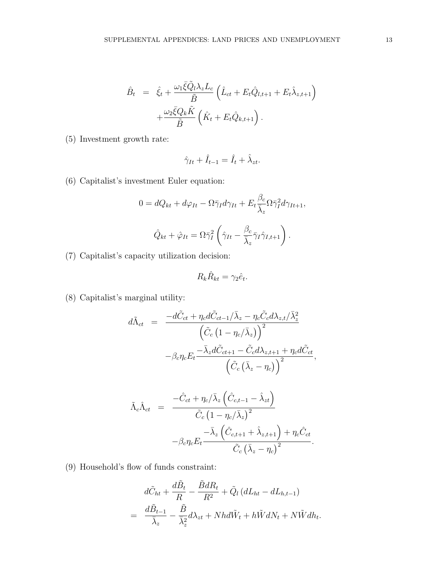$$
\hat{B}_t = \hat{\xi}_t + \frac{\omega_1 \bar{\xi} \tilde{Q}_l \lambda_z L_c}{\tilde{B}} \left( \hat{L}_{ct} + E_t \hat{Q}_{l,t+1} + E_t \hat{\lambda}_{z,t+1} \right) \n+ \frac{\omega_2 \bar{\xi} Q_k \tilde{K}}{\tilde{B}} \left( \hat{K}_t + E_t \hat{Q}_{k,t+1} \right).
$$

(5) Investment growth rate:

$$
\hat{\gamma}_{It} + \hat{I}_{t-1} = \hat{I}_t + \hat{\lambda}_{zt}.
$$

(6) Capitalist's investment Euler equation:

$$
0 = dQ_{kt} + d\varphi_{It} - \Omega \bar{\gamma}_I d\gamma_{It} + E_t \frac{\beta_c}{\bar{\lambda}_z} \Omega \bar{\gamma}_I^2 d\gamma_{It+1},
$$

$$
\hat{Q}_{kt} + \hat{\varphi}_{It} = \Omega \bar{\gamma}_I^2 \left( \hat{\gamma}_{It} - \frac{\beta_c}{\bar{\lambda}_z} \bar{\gamma}_I \hat{\gamma}_{I,t+1} \right).
$$

(7) Capitalist's capacity utilization decision:

$$
R_k \hat{R}_{kt} = \gamma_2 \hat{e}_t.
$$

(8) Capitalist's marginal utility:

$$
d\tilde{\Lambda}_{ct} = \frac{-d\tilde{C}_{ct} + \eta_c d\tilde{C}_{ct-1}/\bar{\lambda}_z - \eta_c \tilde{C}_c d\lambda_{z,t}/\bar{\lambda}_z^2}{\left(\tilde{C}_c (1 - \eta_c/\bar{\lambda}_z)\right)^2} - \beta_c \eta_c E_t \frac{-\bar{\lambda}_z d\tilde{C}_{ct+1} - \tilde{C}_c d\lambda_{z,t+1} + \eta_c d\tilde{C}_{ct}}{\left(\tilde{C}_c (\bar{\lambda}_z - \eta_c)\right)^2},
$$

$$
\tilde{\Lambda}_{c}\hat{\Lambda}_{ct} = \frac{-\hat{C}_{ct} + \eta_{c}/\bar{\lambda}_{z} \left(\hat{C}_{c,t-1} - \hat{\lambda}_{zt}\right)}{\tilde{C}_{c} \left(1 - \eta_{c}/\bar{\lambda}_{z}\right)^{2}} -\beta_{c}\eta_{c}E_{t} \frac{-\bar{\lambda}_{z} \left(\hat{C}_{c,t+1} + \hat{\lambda}_{z,t+1}\right) + \eta_{c}\hat{C}_{ct}}{\tilde{C}_{c} \left(\bar{\lambda}_{z} - \eta_{c}\right)^{2}}.
$$

(9) Household's flow of funds constraint:

$$
d\tilde{C}_{ht} + \frac{d\tilde{B}_t}{R} - \frac{\tilde{B}dR_t}{R^2} + \tilde{Q}_l (dL_{ht} - dL_{h,t-1})
$$
  
= 
$$
\frac{d\tilde{B}_{t-1}}{\bar{\lambda}_z} - \frac{\tilde{B}}{\bar{\lambda}_z^2} d\lambda_{zt} + Nhd\tilde{W}_t + h\tilde{W}dN_t + N\tilde{W}dh_t.
$$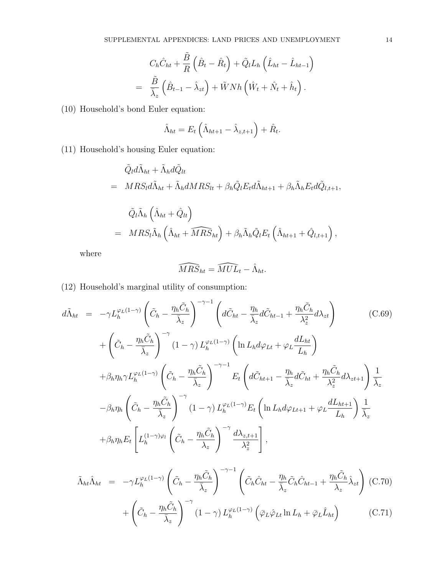$$
C_h \hat{C}_{ht} + \frac{\tilde{B}}{R} \left( \hat{B}_t - \hat{R}_t \right) + \tilde{Q}_l L_h \left( \hat{L}_{ht} - \hat{L}_{ht-1} \right)
$$
  
=  $\frac{\tilde{B}}{\overline{\lambda}_z} \left( \hat{B}_{t-1} - \hat{\lambda}_{zt} \right) + \tilde{W} N h \left( \hat{W}_t + \hat{N}_t + \hat{h}_t \right).$ 

(10) Household's bond Euler equation:

$$
\hat{\Lambda}_{ht} = E_t \left( \hat{\Lambda}_{ht+1} - \hat{\lambda}_{z,t+1} \right) + \hat{R}_t.
$$

(11) Household's housing Euler equation:

$$
\tilde{Q}_l d\tilde{\Lambda}_{ht} + \tilde{\Lambda}_h d\tilde{Q}_{lt}
$$
\n
$$
= MRS_l d\tilde{\Lambda}_{ht} + \tilde{\Lambda}_h dMRS_{lt} + \beta_h \tilde{Q}_l E_t d\tilde{\Lambda}_{ht+1} + \beta_h \tilde{\Lambda}_h E_t d\tilde{Q}_{l,t+1},
$$
\n
$$
\tilde{Q}_l \tilde{\Lambda}_h \left( \hat{\Lambda}_{ht} + \hat{Q}_{lt} \right)
$$
\n
$$
= MRS_l \tilde{\Lambda}_h \left( \hat{\Lambda}_{ht} + \widehat{MRS}_{ht} \right) + \beta_h \tilde{\Lambda}_h \tilde{Q}_l E_t \left( \hat{\Lambda}_{ht+1} + \hat{Q}_{l,t+1} \right),
$$

where

$$
\widehat{MRS}_{ht} = \widehat{MUL}_t - \hat{\Lambda}_{ht}.
$$

(12) Household's marginal utility of consumption:

$$
d\tilde{\Lambda}_{ht} = -\gamma L_h^{\varphi_L(1-\gamma)} \left( \tilde{C}_h - \frac{\eta_h \tilde{C}_h}{\bar{\lambda}_z} \right)^{-\gamma-1} \left( d\tilde{C}_{ht} - \frac{\eta_h}{\bar{\lambda}_z} d\tilde{C}_{ht-1} + \frac{\eta_h \tilde{C}_h}{\lambda_z^2} d\lambda_{zt} \right)
$$
(C.69)  
+  $\left( \tilde{C}_h - \frac{\eta_h \tilde{C}_h}{\bar{\lambda}_z} \right)^{-\gamma} (1-\gamma) L_h^{\varphi_L(1-\gamma)} \left( \ln L_h d\varphi_{Lt} + \varphi_L \frac{dL_{ht}}{L_h} \right)$   
+  $\beta_h \eta_h \gamma L_h^{\varphi_L(1-\gamma)} \left( \tilde{C}_h - \frac{\eta_h \tilde{C}_h}{\bar{\lambda}_z} \right)^{-\gamma-1} E_t \left( d\tilde{C}_{ht+1} - \frac{\eta_h}{\bar{\lambda}_z} d\tilde{C}_{ht} + \frac{\eta_h \tilde{C}_h}{\lambda_z^2} d\lambda_{zt+1} \right) \frac{1}{\bar{\lambda}_z}$   
-  $\beta_h \eta_h \left( \tilde{C}_h - \frac{\eta_h \tilde{C}_h}{\bar{\lambda}_z} \right)^{-\gamma} (1-\gamma) L_h^{\varphi_L(1-\gamma)} E_t \left( \ln L_h d\varphi_{Lt+1} + \varphi_L \frac{dL_{ht+1}}{L_h} \right) \frac{1}{\bar{\lambda}_z}$   
+  $\beta_h \eta_h E_t \left[ L_h^{(1-\gamma)\varphi_l} \left( \tilde{C}_h - \frac{\eta_h \tilde{C}_h}{\lambda_z} \right)^{-\gamma} \frac{d\lambda_{z,t+1}}{\lambda_z^2} \right],$ 

$$
\tilde{\Lambda}_{ht}\hat{\Lambda}_{ht} = -\gamma L_h^{\varphi_L(1-\gamma)} \left( \tilde{C}_h - \frac{\eta_h \tilde{C}_h}{\bar{\lambda}_z} \right)^{-\gamma - 1} \left( \tilde{C}_h \hat{C}_{ht} - \frac{\eta_h}{\bar{\lambda}_z} \tilde{C}_h \hat{C}_{ht-1} + \frac{\eta_h \tilde{C}_h}{\lambda_z} \hat{\lambda}_{zt} \right) (C.70)
$$
\n
$$
\left( \tilde{C}_h - \frac{\eta_h \tilde{C}_h}{\bar{\lambda}_z} \right)^{-\gamma} (1 - \epsilon)^{\gamma} \tilde{\Lambda}_{\gamma}^{2L(1-\gamma)} \left( \tilde{C}_h \hat{C}_h + \tilde{C}_h \hat{C}_h \right) \tag{C.71}
$$

$$
+\left(\tilde{C}_h - \frac{\eta_h C_h}{\bar{\lambda}_z}\right) \quad (1-\gamma) L_h^{\varphi_L(1-\gamma)}\left(\bar{\varphi}_L \hat{\varphi}_{Lt} \ln L_h + \bar{\varphi}_L \hat{L}_{ht}\right) \tag{C.71}
$$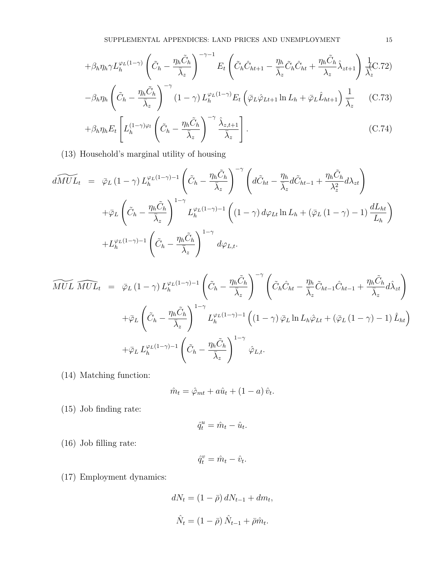$$
+\beta_h \eta_h \gamma L_h^{\varphi_L(1-\gamma)} \left(\tilde{C}_h - \frac{\eta_h \tilde{C}_h}{\bar{\lambda}_z}\right)^{-\gamma-1} E_t \left(\tilde{C}_h \hat{C}_{ht+1} - \frac{\eta_h}{\bar{\lambda}_z} \tilde{C}_h \hat{C}_{ht} + \frac{\eta_h \tilde{C}_h}{\lambda_z} \hat{\lambda}_{zt+1}\right) \frac{1}{\bar{\lambda}_z^{\text{C}}}.
$$

$$
-\beta_h \eta_h \left( \tilde{C}_h - \frac{\eta_h \tilde{C}_h}{\bar{\lambda}_z} \right)^{-\gamma} (1-\gamma) L_h^{\varphi_L(1-\gamma)} E_t \left( \bar{\varphi}_L \hat{\varphi}_{Lt+1} \ln L_h + \bar{\varphi}_L \hat{L}_{ht+1} \right) \frac{1}{\bar{\lambda}_z} \tag{C.73}
$$

$$
+\beta_h \eta_h E_t \left[ L_h^{(1-\gamma)\varphi_l} \left( \tilde{C}_h - \frac{\eta_h \tilde{C}_h}{\bar{\lambda}_z} \right)^{-\gamma} \frac{\hat{\lambda}_{z,t+1}}{\bar{\lambda}_z} \right].
$$
 (C.74)

(13) Household's marginal utility of housing

$$
d\widetilde{MUL}_{t} = \bar{\varphi}_{L} (1 - \gamma) L_{h}^{\varphi_{L}(1 - \gamma) - 1} \left( \tilde{C}_{h} - \frac{\eta_{h} \tilde{C}_{h}}{\bar{\lambda}_{z}} \right)^{-\gamma} \left( d\tilde{C}_{ht} - \frac{\eta_{h}}{\bar{\lambda}_{z}} d\tilde{C}_{ht-1} + \frac{\eta_{h} \tilde{C}_{h}}{\lambda_{z}^{2}} d\lambda_{zt} \right)
$$
  
+ 
$$
\bar{\varphi}_{L} \left( \tilde{C}_{h} - \frac{\eta_{h} \tilde{C}_{h}}{\bar{\lambda}_{z}} \right)^{1 - \gamma} L_{h}^{\varphi_{L}(1 - \gamma) - 1} \left( (1 - \gamma) d\varphi_{Lt} \ln L_{h} + (\bar{\varphi}_{L} (1 - \gamma) - 1) \frac{dL_{ht}}{L_{h}} \right)
$$
  
+ 
$$
L_{h}^{\varphi_{L}(1 - \gamma) - 1} \left( \tilde{C}_{h} - \frac{\eta_{h} \tilde{C}_{h}}{\bar{\lambda}_{z}} \right)^{1 - \gamma} d\varphi_{L,t}.
$$

$$
\widetilde{MUL} \widehat{MUL}_{t} = \bar{\varphi}_{L} (1 - \gamma) L_{h}^{\varphi_{L}(1 - \gamma) - 1} \left( \tilde{C}_{h} - \frac{\eta_{h} \tilde{C}_{h}}{\bar{\lambda}_{z}} \right)^{-\gamma} \left( \tilde{C}_{h} \hat{C}_{ht} - \frac{\eta_{h}}{\bar{\lambda}_{z}} \tilde{C}_{ht-1} \hat{C}_{ht-1} + \frac{\eta_{h} \tilde{C}_{h}}{\bar{\lambda}_{z}} d\hat{\lambda}_{zt} \right)
$$

$$
+ \bar{\varphi}_{L} \left( \tilde{C}_{h} - \frac{\eta_{h} \tilde{C}_{h}}{\bar{\lambda}_{z}} \right)^{1 - \gamma} L_{h}^{\varphi_{L}(1 - \gamma) - 1} \left( (1 - \gamma) \bar{\varphi}_{L} \ln L_{h} \hat{\varphi}_{Lt} + (\bar{\varphi}_{L} (1 - \gamma) - 1) \hat{L}_{ht} \right)
$$

$$
+ \bar{\varphi}_{L} L_{h}^{\varphi_{L}(1 - \gamma) - 1} \left( \tilde{C}_{h} - \frac{\eta_{h} \tilde{C}_{h}}{\bar{\lambda}_{z}} \right)^{1 - \gamma} \hat{\varphi}_{L,t}.
$$

(14) Matching function:

$$
\hat{m}_t = \hat{\varphi}_{mt} + a\hat{u}_t + (1 - a)\hat{v}_t.
$$

(15) Job finding rate:

$$
\hat{q}_t^u = \hat{m}_t - \hat{u}_t.
$$

(16) Job filling rate:

$$
\hat{q}_t^v = \hat{m}_t - \hat{v}_t.
$$

(17) Employment dynamics:

$$
dN_t = (1 - \bar{\rho}) dN_{t-1} + dm_t,
$$
  

$$
\hat{N}_t = (1 - \bar{\rho}) \hat{N}_{t-1} + \bar{\rho} \hat{m}_t.
$$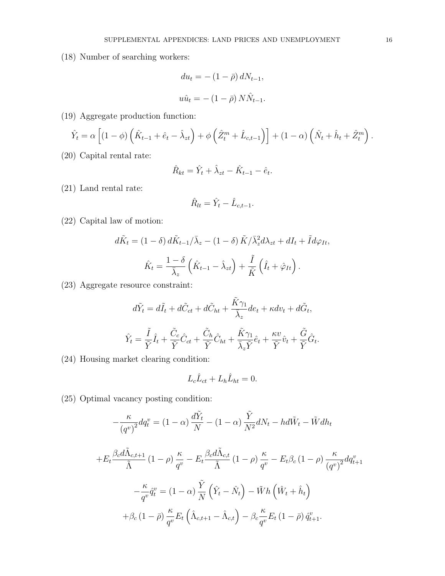(18) Number of searching workers:

$$
du_t = -(1 - \bar{\rho}) dN_{t-1},
$$
  

$$
u\hat{u}_t = -(1 - \bar{\rho}) N \hat{N}_{t-1}.
$$

(19) Aggregate production function:

$$
\hat{Y}_t = \alpha \left[ (1 - \phi) \left( \hat{K}_{t-1} + \hat{e}_t - \hat{\lambda}_{zt} \right) + \phi \left( \hat{Z}_t^m + \hat{L}_{c,t-1} \right) \right] + (1 - \alpha) \left( \hat{N}_t + \hat{h}_t + \hat{Z}_t^m \right).
$$

(20) Capital rental rate:

$$
\hat{R}_{kt} = \hat{Y}_t + \hat{\lambda}_{zt} - \hat{K}_{t-1} - \hat{e}_t.
$$

(21) Land rental rate:

$$
\hat{R}_{lt} = \hat{Y}_t - \hat{L}_{c,t-1}.
$$

(22) Capital law of motion:

$$
d\tilde{K}_t = (1 - \delta) d\tilde{K}_{t-1}/\bar{\lambda}_z - (1 - \delta) \tilde{K}/\bar{\lambda}_z^2 d\lambda_{zt} + dI_t + \tilde{I} d\varphi_{It},
$$

$$
\hat{K}_t = \frac{1 - \delta}{\bar{\lambda}_z} \left( \hat{K}_{t-1} - \hat{\lambda}_{zt} \right) + \frac{\tilde{I}}{\tilde{K}} \left( \hat{I}_t + \hat{\varphi}_{It} \right).
$$

(23) Aggregate resource constraint:

$$
d\tilde{Y}_t = d\tilde{I}_t + d\tilde{C}_{ct} + d\tilde{C}_{ht} + \frac{\tilde{K}\gamma_1}{\overline{\lambda}_z}de_t + \kappa dv_t + d\tilde{G}_t,
$$
  

$$
\hat{Y}_t = \frac{\tilde{I}}{\tilde{Y}}\hat{I}_t + \frac{\tilde{C}_c}{\tilde{Y}}\hat{C}_{ct} + \frac{\tilde{C}_h}{\tilde{Y}}\hat{C}_{ht} + \frac{\tilde{K}\gamma_1}{\overline{\lambda}_z\tilde{Y}}\hat{e}_t + \frac{\kappa v}{\tilde{Y}}\hat{v}_t + \frac{\tilde{G}}{\tilde{Y}}\hat{G}_t.
$$

(24) Housing market clearing condition:

$$
L_c \hat{L}_{ct} + L_h \hat{L}_{ht} = 0.
$$

(25) Optimal vacancy posting condition:

$$
-\frac{\kappa}{\left(q^v\right)^2}dq_t^v = (1 - \alpha)\frac{d\tilde{Y}_t}{N} - (1 - \alpha)\frac{\tilde{Y}}{N^2}dN_t - hd\tilde{W}_t - \tilde{W}dh_t
$$

$$
+E_t\frac{\beta_c d\tilde{\Lambda}_{c,t+1}}{\tilde{\Lambda}}(1 - \rho)\frac{\kappa}{q^v} - E_t\frac{\beta_c d\tilde{\Lambda}_{c,t}}{\tilde{\Lambda}}(1 - \rho)\frac{\kappa}{q^v} - E_t\beta_c(1 - \rho)\frac{\kappa}{\left(q^v\right)^2}dq_{t+1}^v
$$

$$
-\frac{\kappa}{q^v}\hat{q}_t^v = (1 - \alpha)\frac{\tilde{Y}}{N}\left(\hat{Y}_t - \hat{N}_t\right) - \tilde{W}h\left(\hat{W}_t + \hat{h}_t\right)
$$

$$
+ \beta_c (1 - \bar{\rho}) \frac{\kappa}{q^v} E_t \left( \hat{\Lambda}_{c,t+1} - \hat{\Lambda}_{c,t} \right) - \beta_c \frac{\kappa}{q^v} E_t (1 - \bar{\rho}) \hat{q}_{t+1}^v.
$$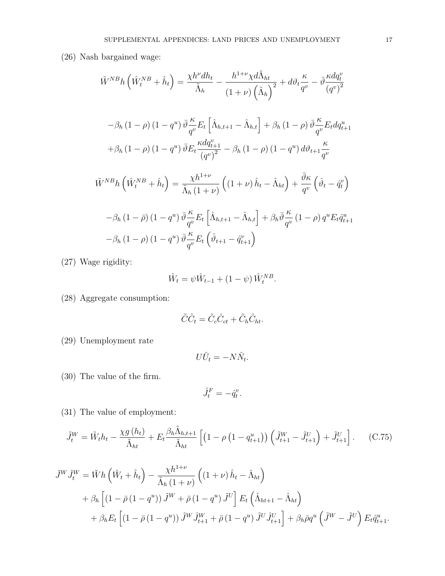(26) Nash bargained wage:

$$
\tilde{W}^{NB}h\left(\hat{W}_{t}^{NB}+\hat{h}_{t}\right) = \frac{\chi h^{\nu}dh_{t}}{\tilde{\Lambda}_{h}} - \frac{h^{1+\nu}\chi d\tilde{\Lambda}_{ht}}{(1+\nu)\left(\tilde{\Lambda}_{h}\right)^{2}} + d\vartheta_{t}\frac{\kappa}{q^{v}} - \bar{\vartheta}\frac{\kappa dq_{t}^{v}}{(q^{v})^{2}}
$$

$$
-\beta_{h}\left(1-\rho\right)\left(1-q^{u}\right)\bar{\vartheta}\frac{\kappa}{q^{v}}E_{t}\left[\hat{\Lambda}_{h,t+1}-\hat{\Lambda}_{h,t}\right] + \beta_{h}\left(1-\rho\right)\bar{\vartheta}\frac{\kappa}{q^{v}}E_{t}dq_{t+1}^{u}
$$

$$
+\beta_{h}\left(1-\rho\right)\left(1-q^{u}\right)\bar{\vartheta}E_{t}\frac{\kappa dq_{t+1}^{v}}{(q^{v})^{2}} - \beta_{h}\left(1-\rho\right)\left(1-q^{u}\right)d\vartheta_{t+1}\frac{\kappa}{q^{v}}
$$

$$
\tilde{W}^{NB}h\left(\hat{W}_{t}^{NB}+\hat{h}_{t}\right) = \frac{\chi h^{1+\nu}}{\tilde{\Lambda}_{h}\left(1+\nu\right)}\left(\left(1+\nu\right)\hat{h}_{t}-\hat{\Lambda}_{ht}\right) + \frac{\bar{\vartheta}\kappa}{q^{v}}\left(\hat{\vartheta}_{t}-\hat{q}_{t}^{v}\right)
$$

$$
-\beta_{h}\left(1-\bar{\rho}\right)\left(1-q^{u}\right)\bar{\vartheta}\frac{\kappa}{q^{v}}E_{t}\left[\hat{\Lambda}_{h,t+1}-\hat{\Lambda}_{h,t}\right] + \beta_{h}\bar{\vartheta}\frac{\kappa}{q^{v}}\left(1-\rho\right)q^{u}E_{t}\hat{q}_{t+1}^{u}
$$

$$
-\beta_{h}\left(1-\rho\right)\left(1-q^{u}\right)\bar{\vartheta}\frac{\kappa}{q^{v}}E_{t}\left(\hat{\vartheta}_{t+1}-\hat{q}_{t+1}^{v}\right)
$$

(27) Wage rigidity:

$$
\hat{W}_t = \psi \hat{W}_{t-1} + (1 - \psi) \hat{W}_t^{NB}.
$$

(28) Aggregate consumption:

$$
\tilde{C}\hat{C}_t = \tilde{C}_c\hat{C}_{ct} + \tilde{C}_h\hat{C}_{ht}.
$$

(29) Unemployment rate

$$
U\hat{U}_t = -N\hat{N}_t.
$$

(30) The value of the firm.

$$
\hat{J}^F_t = -\hat{q}^v_t.
$$

(31) The value of employment:

$$
\tilde{J}_t^W = \tilde{W}_t h_t - \frac{\chi g(h_t)}{\tilde{\Lambda}_{ht}} + E_t \frac{\beta_h \tilde{\Lambda}_{h,t+1}}{\tilde{\Lambda}_{ht}} \left[ \left( 1 - \rho \left( 1 - q_{t+1}^u \right) \right) \left( \tilde{J}_{t+1}^W - \tilde{J}_{t+1}^U \right) + \tilde{J}_{t+1}^U \right]. \tag{C.75}
$$

$$
\tilde{J}^{W}\hat{J}_{t}^{W} = \tilde{W}h\left(\hat{W}_{t} + \hat{h}_{t}\right) - \frac{\chi h^{1+\nu}}{\tilde{\Lambda}_{h}\left(1+\nu\right)}\left((1+\nu)\hat{h}_{t} - \hat{\Lambda}_{ht}\right) \n+ \beta_{h}\left[\left(1-\bar{\rho}\left(1-q^{u}\right)\right)\tilde{J}^{W} + \bar{\rho}\left(1-q^{u}\right)\tilde{J}^{U}\right]E_{t}\left(\hat{\Lambda}_{ht+1} - \hat{\Lambda}_{ht}\right) \n+ \beta_{h}E_{t}\left[\left(1-\bar{\rho}\left(1-q^{u}\right)\right)\tilde{J}^{W}\hat{J}_{t+1}^{W} + \bar{\rho}\left(1-q^{u}\right)\tilde{J}^{U}\hat{J}_{t+1}^{U}\right] + \beta_{h}\bar{\rho}q^{u}\left(\tilde{J}^{W} - \tilde{J}^{U}\right)E_{t}\hat{q}_{t+1}^{u}.
$$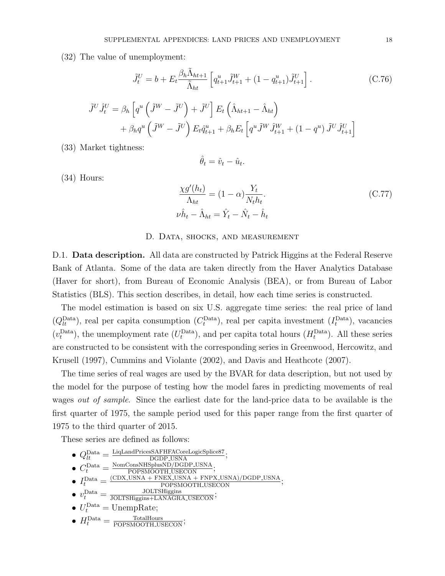(32) The value of unemployment:

$$
\tilde{J}_t^U = b + E_t \frac{\beta_h \tilde{\Lambda}_{ht+1}}{\tilde{\Lambda}_{ht}} \left[ q_{t+1}^u \tilde{J}_{t+1}^W + (1 - q_{t+1}^u) \tilde{J}_{t+1}^U \right]. \tag{C.76}
$$

$$
\tilde{J}^U \hat{J}_t^U = \beta_h \left[ q^u \left( \tilde{J}^W - \tilde{J}^U \right) + \tilde{J}^U \right] E_t \left( \hat{\Lambda}_{ht+1} - \hat{\Lambda}_{ht} \right) + \beta_h q^u \left( \tilde{J}^W - \tilde{J}^U \right) E_t \hat{q}_{t+1}^u + \beta_h E_t \left[ q^u \tilde{J}^W \hat{J}_{t+1}^W + (1 - q^u) \tilde{J}^U \hat{J}_{t+1}^U \right]
$$

(33) Market tightness:

$$
\hat{\theta}_t = \hat{v}_t - \hat{u}_t.
$$

(34) Hours:

$$
\frac{\chi g'(h_t)}{\Lambda_{ht}} = (1 - \alpha) \frac{Y_t}{N_t h_t}.
$$
\n
$$
\nu \hat{h}_t - \hat{\Lambda}_{ht} = \hat{Y}_t - \hat{N}_t - \hat{h}_t
$$
\n(C.77)

#### D. Data, shocks, and measurement

D.1. **Data description.** All data are constructed by Patrick Higgins at the Federal Reserve Bank of Atlanta. Some of the data are taken directly from the Haver Analytics Database (Haver for short), from Bureau of Economic Analysis (BEA), or from Bureau of Labor Statistics (BLS). This section describes, in detail, how each time series is constructed.

The model estimation is based on six U.S. aggregate time series: the real price of land  $(Q_t^{\text{Data}})$ , real per capita consumption  $(C_t^{\text{Data}})$ , real per capita investment  $(I_t^{\text{Data}})$ , vacancies  $(v_t^{\text{Data}})$ , the unemployment rate  $(U_t^{\text{Data}})$ , and per capita total hours  $(H_t^{\text{Data}})$ . All these series are constructed to be consistent with the corresponding series in Greenwood, Hercowitz, and Krusell (1997), Cummins and Violante (2002), and Davis and Heathcote (2007).

The time series of real wages are used by the BVAR for data description, but not used by the model for the purpose of testing how the model fares in predicting movements of real wages *out of sample*. Since the earliest date for the land-price data to be available is the first quarter of 1975, the sample period used for this paper range from the first quarter of 1975 to the third quarter of 2015.

These series are defined as follows:

•  $Q_{lt}^{\text{Data}} = \frac{\text{LiqLandPricesSAFHFACoreLogicSplice87}}{\text{DGDP_USNA}};$  $\bullet$   $C_t^{\text{Data}} = \frac{\text{NomConsNHSplusND/DGDP\_USNA}}{\text{POPSMOOTH\_USECON}};$  $\bullet$   $I_t^{\text{Data}} = \frac{(\text{CDX_LUSNA} + \text{FNEX_LUSNA} + \text{FNPX_LUSNA}) / \text{DGDP_LUSNA}}{\text{POPSMOOTH_LUSECON}};$  $\bullet v_t^{\text{Data}} = \frac{\text{JOLTSHiggs}}{\text{JOLTSHiggs}+\text{LANAGRA\_USECON}};$ •  $U_t^{\text{Data}} = \text{UnempRate};$ •  $H_t^{\text{Data}} = \frac{\text{TotalHours}}{\text{POPSMOOTH}.\text{USECON}};$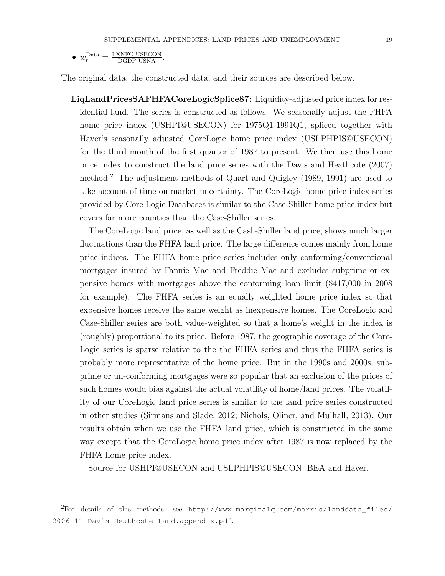• 
$$
w_t^{\text{Data}} = \frac{\text{LXNFC-USECON}}{\text{DGDP-USNA}}
$$
.

The original data, the constructed data, and their sources are described below.

LiqLandPricesSAFHFACoreLogicSplice87: Liquidity-adjusted price index for residential land. The series is constructed as follows. We seasonally adjust the FHFA home price index (USHPI@USECON) for 1975Q1-1991Q1, spliced together with Haver's seasonally adjusted CoreLogic home price index (USLPHPIS@USECON) for the third month of the first quarter of 1987 to present. We then use this home price index to construct the land price series with the Davis and Heathcote (2007) method.<sup>2</sup> The adjustment methods of Quart and Quigley (1989, 1991) are used to take account of time-on-market uncertainty. The CoreLogic home price index series provided by Core Logic Databases is similar to the Case-Shiller home price index but covers far more counties than the Case-Shiller series.

The CoreLogic land price, as well as the Cash-Shiller land price, shows much larger fluctuations than the FHFA land price. The large difference comes mainly from home price indices. The FHFA home price series includes only conforming/conventional mortgages insured by Fannie Mae and Freddie Mac and excludes subprime or expensive homes with mortgages above the conforming loan limit (\$417,000 in 2008 for example). The FHFA series is an equally weighted home price index so that expensive homes receive the same weight as inexpensive homes. The CoreLogic and Case-Shiller series are both value-weighted so that a home's weight in the index is (roughly) proportional to its price. Before 1987, the geographic coverage of the Core-Logic series is sparse relative to the the FHFA series and thus the FHFA series is probably more representative of the home price. But in the 1990s and 2000s, subprime or un-conforming mortgages were so popular that an exclusion of the prices of such homes would bias against the actual volatility of home/land prices. The volatility of our CoreLogic land price series is similar to the land price series constructed in other studies (Sirmans and Slade, 2012; Nichols, Oliner, and Mulhall, 2013). Our results obtain when we use the FHFA land price, which is constructed in the same way except that the CoreLogic home price index after 1987 is now replaced by the FHFA home price index.

Source for USHPI@USECON and USLPHPIS@USECON: BEA and Haver.

 $^{2}$ For details of this methods, see http://www.marginalg.com/morris/landdata files/ 2006-11-Davis-Heathcote-Land.appendix.pdf.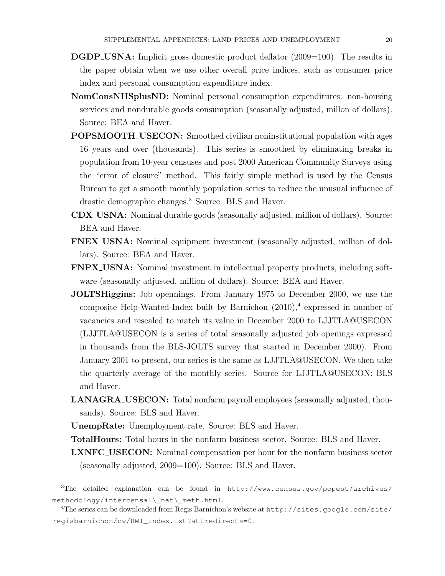- **DGDP\_USNA:** Implicit gross domestic product deflator  $(2009=100)$ . The results in the paper obtain when we use other overall price indices, such as consumer price index and personal consumption expenditure index.
- NomConsNHSplusND: Nominal personal consumption expenditures: non-housing services and nondurable goods consumption (seasonally adjusted, millon of dollars). Source: BEA and Haver.
- POPSMOOTH USECON: Smoothed civilian noninstitutional population with ages 16 years and over (thousands). This series is smoothed by eliminating breaks in population from 10-year censuses and post 2000 American Community Surveys using the "error of closure" method. This fairly simple method is used by the Census Bureau to get a smooth monthly population series to reduce the unusual influence of drastic demographic changes.<sup>3</sup> Source: BLS and Haver.
- CDX USNA: Nominal durable goods (seasonally adjusted, million of dollars). Source: BEA and Haver.
- FNEX USNA: Nominal equipment investment (seasonally adjusted, million of dollars). Source: BEA and Haver.
- FNPX USNA: Nominal investment in intellectual property products, including software (seasonally adjusted, million of dollars). Source: BEA and Haver.
- JOLTSHiggins: Job opennings. From January 1975 to December 2000, we use the composite Help-Wanted-Index built by Barnichon  $(2010),^4$  expressed in number of vacancies and rescaled to match its value in December 2000 to LJJTLA@USECON (LJJTLA@USECON is a series of total seasonally adjusted job openings expressed in thousands from the BLS-JOLTS survey that started in December 2000). From January 2001 to present, our series is the same as LJJTLA@USECON. We then take the quarterly average of the monthly series. Source for LJJTLA@USECON: BLS and Haver.
- LANAGRA USECON: Total nonfarm payroll employees (seasonally adjusted, thousands). Source: BLS and Haver.

UnempRate: Unemployment rate. Source: BLS and Haver.

- TotalHours: Total hours in the nonfarm business sector. Source: BLS and Haver.
- LXNFC USECON: Nominal compensation per hour for the nonfarm business sector (seasonally adjusted, 2009=100). Source: BLS and Haver.

<sup>&</sup>lt;sup>3</sup>The detailed explanation can be found in http://www.census.gov/popest/archives/ methodology/intercensal\\_nat\\_meth.html.

<sup>&</sup>lt;sup>4</sup>The series can be downloaded from Regis Barnichon's website at http://sites.google.com/site/ regisbarnichon/cv/HWI\_index.txt?attredirects=0.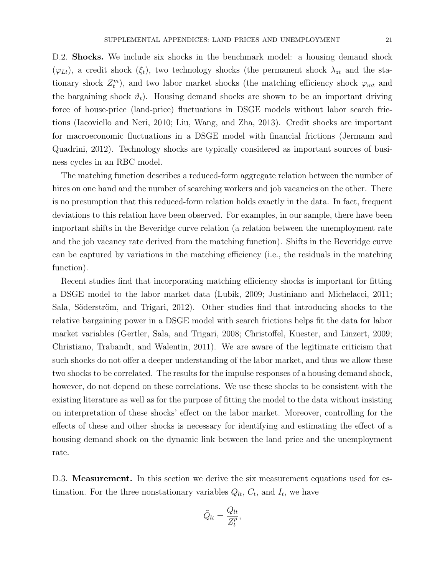D.2. **Shocks.** We include six shocks in the benchmark model: a housing demand shock  $(\varphi_{Lt})$ , a credit shock  $(\xi_t)$ , two technology shocks (the permanent shock  $\lambda_{zt}$  and the stationary shock  $Z_t^m$ ), and two labor market shocks (the matching efficiency shock  $\varphi_{mt}$  and the bargaining shock  $\vartheta_t$ ). Housing demand shocks are shown to be an important driving force of house-price (land-price) fluctuations in DSGE models without labor search frictions (Iacoviello and Neri, 2010; Liu, Wang, and Zha, 2013). Credit shocks are important for macroeconomic fluctuations in a DSGE model with financial frictions (Jermann and Quadrini, 2012). Technology shocks are typically considered as important sources of business cycles in an RBC model.

The matching function describes a reduced-form aggregate relation between the number of hires on one hand and the number of searching workers and job vacancies on the other. There is no presumption that this reduced-form relation holds exactly in the data. In fact, frequent deviations to this relation have been observed. For examples, in our sample, there have been important shifts in the Beveridge curve relation (a relation between the unemployment rate and the job vacancy rate derived from the matching function). Shifts in the Beveridge curve can be captured by variations in the matching efficiency (i.e., the residuals in the matching function).

Recent studies find that incorporating matching efficiency shocks is important for fitting a DSGE model to the labor market data (Lubik, 2009; Justiniano and Michelacci, 2011; Sala, Söderström, and Trigari, 2012). Other studies find that introducing shocks to the relative bargaining power in a DSGE model with search frictions helps fit the data for labor market variables (Gertler, Sala, and Trigari, 2008; Christoffel, Kuester, and Linzert, 2009; Christiano, Trabandt, and Walentin, 2011). We are aware of the legitimate criticism that such shocks do not offer a deeper understanding of the labor market, and thus we allow these two shocks to be correlated. The results for the impulse responses of a housing demand shock, however, do not depend on these correlations. We use these shocks to be consistent with the existing literature as well as for the purpose of fitting the model to the data without insisting on interpretation of these shocks' effect on the labor market. Moreover, controlling for the effects of these and other shocks is necessary for identifying and estimating the effect of a housing demand shock on the dynamic link between the land price and the unemployment rate.

D.3. **Measurement.** In this section we derive the six measurement equations used for estimation. For the three nonstationary variables  $Q_{lt}$ ,  $C_t$ , and  $I_t$ , we have

$$
\tilde{Q}_{lt} = \frac{Q_{lt}}{Z_t^p},
$$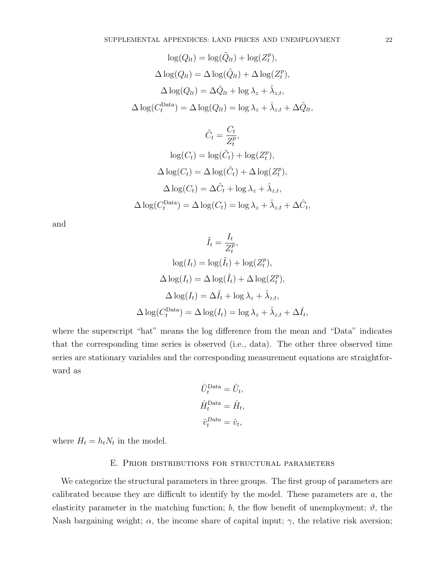$$
\log(Q_{lt}) = \log(\tilde{Q}_{lt}) + \log(Z_t^p),
$$
  

$$
\Delta \log(Q_{lt}) = \Delta \log(\tilde{Q}_{lt}) + \Delta \log(Z_t^p),
$$
  

$$
\Delta \log(Q_{lt}) = \Delta \hat{Q}_{lt} + \log \lambda_z + \hat{\lambda}_{z,t},
$$
  

$$
\Delta \log(C_t^{\text{Data}}) = \Delta \log(Q_{lt}) = \log \lambda_z + \hat{\lambda}_{z,t} + \Delta \hat{Q}_{lt},
$$

$$
\tilde{C}_t = \frac{C_t}{Z_t^p},
$$
  
\n
$$
\log(C_t) = \log(\tilde{C}_t) + \log(Z_t^p),
$$
  
\n
$$
\Delta \log(C_t) = \Delta \log(\tilde{C}_t) + \Delta \log(Z_t^p),
$$
  
\n
$$
\Delta \log(C_t) = \Delta \hat{C}_t + \log \lambda_z + \hat{\lambda}_{z,t},
$$
  
\n
$$
\Delta \log(C_t^{\text{Data}}) = \Delta \log(C_t) = \log \lambda_z + \hat{\lambda}_{z,t} + \Delta \hat{C}_t,
$$

and

$$
\tilde{I}_t = \frac{I_t}{Z_t^p},
$$
  
\n
$$
\log(I_t) = \log(\tilde{I}_t) + \log(Z_t^p),
$$
  
\n
$$
\Delta \log(I_t) = \Delta \log(\tilde{I}_t) + \Delta \log(Z_t^p),
$$
  
\n
$$
\Delta \log(I_t) = \Delta \hat{I}_t + \log \lambda_z + \hat{\lambda}_{z,t},
$$
  
\n
$$
\Delta \log(C_t^{\text{Data}}) = \Delta \log(I_t) = \log \lambda_z + \hat{\lambda}_{z,t} + \Delta \hat{I}_t,
$$

where the superscript "hat" means the log difference from the mean and "Data" indicates that the corresponding time series is observed (i.e., data). The other three observed time series are stationary variables and the corresponding measurement equations are straightforward as

$$
\hat{U}_t^{\text{Data}} = \hat{U}_t,
$$
  

$$
\hat{H}_t^{\text{Data}} = \hat{H}_t,
$$
  

$$
\hat{v}_t^{\text{Data}} = \hat{v}_t,
$$

where  $H_t = h_t N_t$  in the model.

### E. Prior distributions for structural parameters

We categorize the structural parameters in three groups. The first group of parameters are calibrated because they are difficult to identify by the model. These parameters are  $a$ , the elasticity parameter in the matching function; b, the flow benefit of unemployment;  $\vartheta$ , the Nash bargaining weight;  $\alpha$ , the income share of capital input;  $\gamma$ , the relative risk aversion;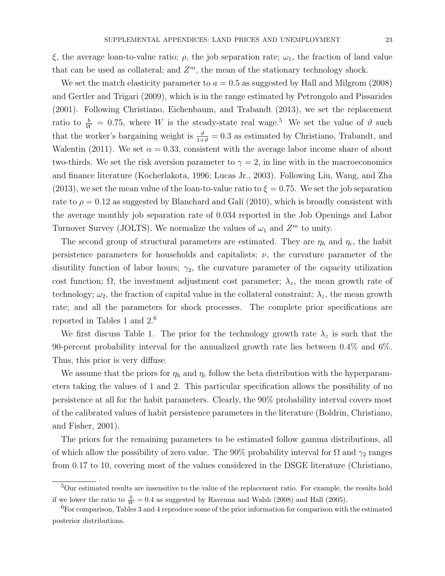ξ, the average loan-to-value ratio;  $ρ$ , the job separation rate;  $ω_1$ , the fraction of land value that can be used as collateral; and  $Z<sup>m</sup>$ , the mean of the stationary technology shock.

We set the match elasticity parameter to  $a = 0.5$  as suggested by Hall and Milgrom (2008) and Gertler and Trigari (2009), which is in the range estimated by Petrongolo and Pissarides (2001). Following Christiano, Eichenbaum, and Trabandt (2013), we set the replacement ratio to  $\frac{b}{W} = 0.75$ , where W is the steady-state real wage.<sup>5</sup> We set the value of  $\vartheta$  such that the worker's bargaining weight is  $\frac{\vartheta}{1+\vartheta} = 0.3$  as estimated by Christiano, Trabandt, and Walentin (2011). We set  $\alpha = 0.33$ , consistent with the average labor income share of about two-thirds. We set the risk aversion parameter to  $\gamma = 2$ , in line with in the macroeconomics and finance literature (Kocherlakota, 1996; Lucas Jr., 2003). Following Liu, Wang, and Zha (2013), we set the mean value of the loan-to-value ratio to  $\xi = 0.75$ . We set the job separation rate to  $\rho = 0.12$  as suggested by Blanchard and Galí (2010), which is broadly consistent with the average monthly job separation rate of 0.034 reported in the Job Openings and Labor Turnover Survey (JOLTS). We normalize the values of  $\omega_1$  and  $Z^m$  to unity.

The second group of structural parameters are estimated. They are  $\eta_h$  and  $\eta_c$ , the habit persistence parameters for households and capitalists;  $\nu$ , the curvature parameter of the disutility function of labor hours;  $\gamma_2$ , the curvature parameter of the capacity utilization cost function;  $\Omega$ , the investment adjustment cost parameter;  $\lambda_z$ , the mean growth rate of technology;  $\omega_2$ , the fraction of capital value in the collateral constraint;  $\lambda_z$ , the mean growth rate; and all the parameters for shock processes. The complete prior specifications are reported in Tables 1 and 2.<sup>6</sup>

We first discuss Table 1. The prior for the technology growth rate  $\lambda_z$  is such that the 90-percent probability interval for the annualized growth rate lies between 0.4% and 6%. Thus, this prior is very diffuse.

We assume that the priors for  $\eta_h$  and  $\eta_c$  follow the beta distribution with the hyperparameters taking the values of 1 and 2. This particular specification allows the possibility of no persistence at all for the habit parameters. Clearly, the 90% probability interval covers most of the calibrated values of habit persistence parameters in the literature (Boldrin, Christiano, and Fisher, 2001).

The priors for the remaining parameters to be estimated follow gamma distributions, all of which allow the possibility of zero value. The 90% probability interval for  $\Omega$  and  $\gamma_2$  ranges from 0.17 to 10, covering most of the values considered in the DSGE literature (Christiano,

<sup>5</sup>Our estimated results are insensitive to the value of the replacement ratio. For example, the results hold if we lower the ratio to  $\frac{b}{W} = 0.4$  as suggested by Ravenna and Walsh (2008) and Hall (2005).

 ${}^{6}$ For comparison, Tables 3 and 4 reproduce some of the prior information for comparison with the estimated posterior distributions.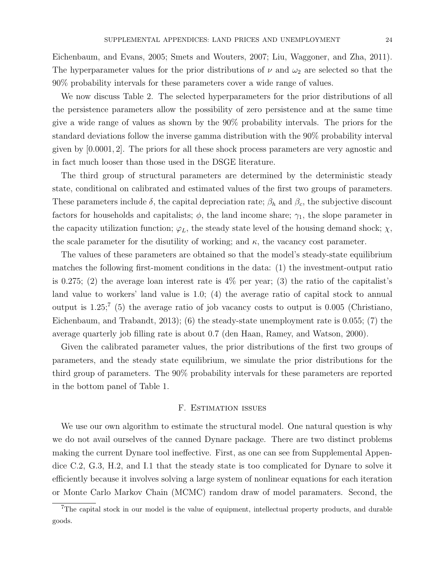Eichenbaum, and Evans, 2005; Smets and Wouters, 2007; Liu, Waggoner, and Zha, 2011). The hyperparameter values for the prior distributions of  $\nu$  and  $\omega_2$  are selected so that the 90% probability intervals for these parameters cover a wide range of values.

We now discuss Table 2. The selected hyperparameters for the prior distributions of all the persistence parameters allow the possibility of zero persistence and at the same time give a wide range of values as shown by the 90% probability intervals. The priors for the standard deviations follow the inverse gamma distribution with the 90% probability interval given by [0.0001, 2]. The priors for all these shock process parameters are very agnostic and in fact much looser than those used in the DSGE literature.

The third group of structural parameters are determined by the deterministic steady state, conditional on calibrated and estimated values of the first two groups of parameters. These parameters include  $\delta$ , the capital depreciation rate;  $\beta_h$  and  $\beta_c$ , the subjective discount factors for households and capitalists;  $\phi$ , the land income share;  $\gamma_1$ , the slope parameter in the capacity utilization function;  $\varphi_L$ , the steady state level of the housing demand shock;  $\chi$ , the scale parameter for the disutility of working; and  $\kappa$ , the vacancy cost parameter.

The values of these parameters are obtained so that the model's steady-state equilibrium matches the following first-moment conditions in the data: (1) the investment-output ratio is 0.275; (2) the average loan interest rate is  $4\%$  per year; (3) the ratio of the capitalist's land value to workers' land value is 1.0; (4) the average ratio of capital stock to annual output is  $1.25$ ;  $(5)$  the average ratio of job vacancy costs to output is 0.005 (Christiano, Eichenbaum, and Trabandt, 2013); (6) the steady-state unemployment rate is 0.055; (7) the average quarterly job filling rate is about 0.7 (den Haan, Ramey, and Watson, 2000).

Given the calibrated parameter values, the prior distributions of the first two groups of parameters, and the steady state equilibrium, we simulate the prior distributions for the third group of parameters. The 90% probability intervals for these parameters are reported in the bottom panel of Table 1.

## F. Estimation issues

We use our own algorithm to estimate the structural model. One natural question is why we do not avail ourselves of the canned Dynare package. There are two distinct problems making the current Dynare tool ineffective. First, as one can see from Supplemental Appendice C.2, G.3, H.2, and I.1 that the steady state is too complicated for Dynare to solve it efficiently because it involves solving a large system of nonlinear equations for each iteration or Monte Carlo Markov Chain (MCMC) random draw of model paramaters. Second, the

<sup>&</sup>lt;sup>7</sup>The capital stock in our model is the value of equipment, intellectual property products, and durable goods.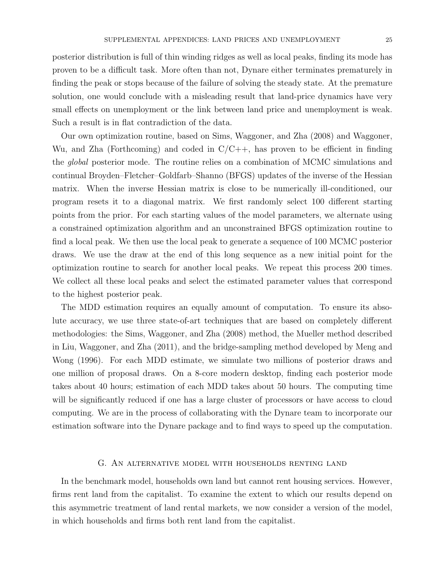posterior distribution is full of thin winding ridges as well as local peaks, finding its mode has proven to be a difficult task. More often than not, Dynare either terminates prematurely in finding the peak or stops because of the failure of solving the steady state. At the premature solution, one would conclude with a misleading result that land-price dynamics have very small effects on unemployment or the link between land price and unemployment is weak. Such a result is in flat contradiction of the data.

Our own optimization routine, based on Sims, Waggoner, and Zha (2008) and Waggoner, Wu, and Zha (Forthcoming) and coded in  $C/C++$ , has proven to be efficient in finding the *global* posterior mode. The routine relies on a combination of MCMC simulations and continual Broyden–Fletcher–Goldfarb–Shanno (BFGS) updates of the inverse of the Hessian matrix. When the inverse Hessian matrix is close to be numerically ill-conditioned, our program resets it to a diagonal matrix. We first randomly select 100 different starting points from the prior. For each starting values of the model parameters, we alternate using a constrained optimization algorithm and an unconstrained BFGS optimization routine to find a local peak. We then use the local peak to generate a sequence of 100 MCMC posterior draws. We use the draw at the end of this long sequence as a new initial point for the optimization routine to search for another local peaks. We repeat this process 200 times. We collect all these local peaks and select the estimated parameter values that correspond to the highest posterior peak.

The MDD estimation requires an equally amount of computation. To ensure its absolute accuracy, we use three state-of-art techniques that are based on completely different methodologies: the Sims, Waggoner, and Zha (2008) method, the Mueller method described in Liu, Waggoner, and Zha (2011), and the bridge-sampling method developed by Meng and Wong (1996). For each MDD estimate, we simulate two millions of posterior draws and one million of proposal draws. On a 8-core modern desktop, finding each posterior mode takes about 40 hours; estimation of each MDD takes about 50 hours. The computing time will be significantly reduced if one has a large cluster of processors or have access to cloud computing. We are in the process of collaborating with the Dynare team to incorporate our estimation software into the Dynare package and to find ways to speed up the computation.

## G. An alternative model with households renting land

In the benchmark model, households own land but cannot rent housing services. However, firms rent land from the capitalist. To examine the extent to which our results depend on this asymmetric treatment of land rental markets, we now consider a version of the model, in which households and firms both rent land from the capitalist.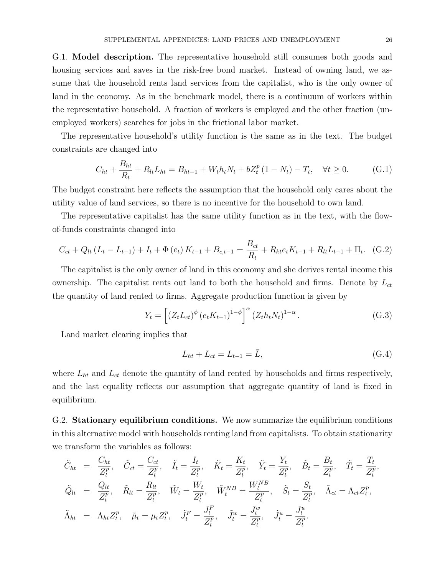G.1. Model description. The representative household still consumes both goods and housing services and saves in the risk-free bond market. Instead of owning land, we assume that the household rents land services from the capitalist, who is the only owner of land in the economy. As in the benchmark model, there is a continuum of workers within the representative household. A fraction of workers is employed and the other fraction (unemployed workers) searches for jobs in the frictional labor market.

The representative household's utility function is the same as in the text. The budget constraints are changed into

$$
C_{ht} + \frac{B_{ht}}{R_t} + R_{lt}L_{ht} = B_{ht-1} + W_t h_t N_t + bZ_t^p (1 - N_t) - T_t, \quad \forall t \ge 0.
$$
 (G.1)

The budget constraint here reflects the assumption that the household only cares about the utility value of land services, so there is no incentive for the household to own land.

The representative capitalist has the same utility function as in the text, with the flowof-funds constraints changed into

$$
C_{ct} + Q_{lt} (L_t - L_{t-1}) + I_t + \Phi(e_t) K_{t-1} + B_{c,t-1} = \frac{B_{ct}}{R_t} + R_{kt} e_t K_{t-1} + R_{lt} L_{t-1} + \Pi_t.
$$
 (G.2)

The capitalist is the only owner of land in this economy and she derives rental income this ownership. The capitalist rents out land to both the household and firms. Denote by  $L_{ct}$ the quantity of land rented to firms. Aggregate production function is given by

$$
Y_{t} = \left[ \left( Z_{t} L_{ct} \right)^{\phi} \left( e_{t} K_{t-1} \right)^{1-\phi} \right]^{\alpha} \left( Z_{t} h_{t} N_{t} \right)^{1-\alpha} . \tag{G.3}
$$

Land market clearing implies that

$$
L_{ht} + L_{ct} = L_{t-1} = \bar{L},\tag{G.4}
$$

where  $L_{ht}$  and  $L_{ct}$  denote the quantity of land rented by households and firms respectively, and the last equality reflects our assumption that aggregate quantity of land is fixed in equilibrium.

G.2. Stationary equilibrium conditions. We now summarize the equilibrium conditions in this alternative model with households renting land from capitalists. To obtain stationarity we transform the variables as follows:

$$
\tilde{C}_{ht} = \frac{C_{ht}}{Z_t^p}, \quad \tilde{C}_{ct} = \frac{C_{ct}}{Z_t^p}, \quad \tilde{I}_t = \frac{I_t}{Z_t^p}, \quad \tilde{K}_t = \frac{K_t}{Z_t^p}, \quad \tilde{Y}_t = \frac{Y_t}{Z_t^p}, \quad \tilde{B}_t = \frac{B_t}{Z_t^p}, \quad \tilde{T}_t = \frac{T_t}{Z_t^p},
$$
\n
$$
\tilde{Q}_{lt} = \frac{Q_{lt}}{Z_t^p}, \quad \tilde{R}_{lt} = \frac{R_{lt}}{Z_t^p}, \quad \tilde{W}_t = \frac{W_t}{Z_t^p}, \quad \tilde{W}_t^{NB} = \frac{W_t^{NB}}{Z_t^p}, \quad \tilde{S}_t = \frac{S_t}{Z_t^p}, \quad \tilde{\Lambda}_{ct} = \Lambda_{ct} Z_t^p,
$$
\n
$$
\tilde{\Lambda}_{ht} = \Lambda_{ht} Z_t^p, \quad \tilde{\mu}_t = \mu_t Z_t^p, \quad \tilde{J}_t^F = \frac{J_t^F}{Z_t^p}, \quad \tilde{J}_t^w = \frac{J_t^w}{Z_t^p}, \quad \tilde{J}_t^u = \frac{J_t^u}{Z_t^p}.
$$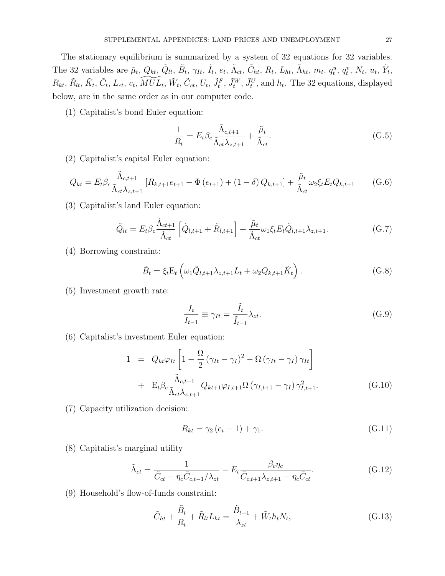The stationary equilibrium is summarized by a system of 32 equations for 32 variables. The 32 variables are  $\tilde{\mu}_t$ ,  $Q_{kt}$ ,  $\tilde{Q}_{lt}$ ,  $\tilde{B}_t$ ,  $\gamma_{It}$ ,  $\tilde{I}_t$ ,  $e_t$ ,  $\tilde{\Lambda}_{ct}$ ,  $\tilde{C}_{ht}$ ,  $R_t$ ,  $L_{ht}$ ,  $\tilde{\Lambda}_{ht}$ ,  $m_t$ ,  $q_t^u$ ,  $q_t^v$ ,  $N_t$ ,  $u_t$ ,  $\tilde{Y}_t$ ,  $R_{kt}, \tilde{R}_{lt}, \tilde{C}_t, L_{ct}, v_t, \widetilde{MUL}_t, \tilde{W}_t, \tilde{C}_{ct}, U_t, \tilde{J}_t^F, \tilde{J}_t^W, \tilde{J}_t^U$ , and  $h_t$ . The 32 equations, displayed below, are in the same order as in our computer code.

(1) Capitalist's bond Euler equation:

$$
\frac{1}{R_t} = E_t \beta_c \frac{\tilde{\Lambda}_{c,t+1}}{\tilde{\Lambda}_{ct} \lambda_{z,t+1}} + \frac{\tilde{\mu}_t}{\tilde{\Lambda}_{ct}}.
$$
\n(G.5)

(2) Capitalist's capital Euler equation:

$$
Q_{kt} = E_t \beta_c \frac{\tilde{\Lambda}_{c,t+1}}{\tilde{\Lambda}_{ct} \lambda_{z,t+1}} \left[ R_{k,t+1} e_{t+1} - \Phi(e_{t+1}) + (1 - \delta) Q_{k,t+1} \right] + \frac{\tilde{\mu}_t}{\tilde{\Lambda}_{ct}} \omega_2 \xi_t E_t Q_{k,t+1}
$$
(G.6)

(3) Capitalist's land Euler equation:

$$
\tilde{Q}_{lt} = E_t \beta_c \frac{\tilde{\Lambda}_{ct+1}}{\tilde{\Lambda}_{ct}} \left[ \tilde{Q}_{l,t+1} + \tilde{R}_{l,t+1} \right] + \frac{\tilde{\mu}_t}{\tilde{\Lambda}_{ct}} \omega_1 \xi_t E_t \tilde{Q}_{l,t+1} \lambda_{z,t+1}.
$$
\n(G.7)

(4) Borrowing constraint:

$$
\tilde{B}_t = \xi_t \mathcal{E}_t \left( \omega_1 \tilde{Q}_{l,t+1} \lambda_{z,t+1} L_t + \omega_2 Q_{k,t+1} \tilde{K}_t \right). \tag{G.8}
$$

(5) Investment growth rate:

$$
\frac{I_t}{I_{t-1}} \equiv \gamma_{It} = \frac{\tilde{I}_t}{\tilde{I}_{t-1}} \lambda_{zt}.
$$
\n(G.9)

(6) Capitalist's investment Euler equation:

$$
1 = Q_{kt}\varphi_{It} \left[ 1 - \frac{\Omega}{2} \left( \gamma_{It} - \gamma_I \right)^2 - \Omega \left( \gamma_{It} - \gamma_I \right) \gamma_{It} \right]
$$
  
+ 
$$
E_t \beta_c \frac{\tilde{\Lambda}_{c,t+1}}{\tilde{\Lambda}_{ct} \lambda_{z,t+1}} Q_{kt+1} \varphi_{I,t+1} \Omega \left( \gamma_{I,t+1} - \gamma_I \right) \gamma_{I,t+1}^2.
$$
 (G.10)

(7) Capacity utilization decision:

$$
R_{kt} = \gamma_2 \left( e_t - 1 \right) + \gamma_1. \tag{G.11}
$$

(8) Capitalist's marginal utility

$$
\tilde{\Lambda}_{ct} = \frac{1}{\tilde{C}_{ct} - \eta_c \tilde{C}_{c,t-1} / \lambda_{zt}} - E_t \frac{\beta_c \eta_c}{\tilde{C}_{c,t+1} \lambda_{z,t+1} - \eta_c \tilde{C}_{ct}}.
$$
(G.12)

(9) Household's flow-of-funds constraint:

$$
\tilde{C}_{ht} + \frac{\tilde{B}_t}{R_t} + \tilde{R}_{lt} L_{ht} = \frac{\tilde{B}_{t-1}}{\lambda_{zt}} + \tilde{W}_t h_t N_t, \tag{G.13}
$$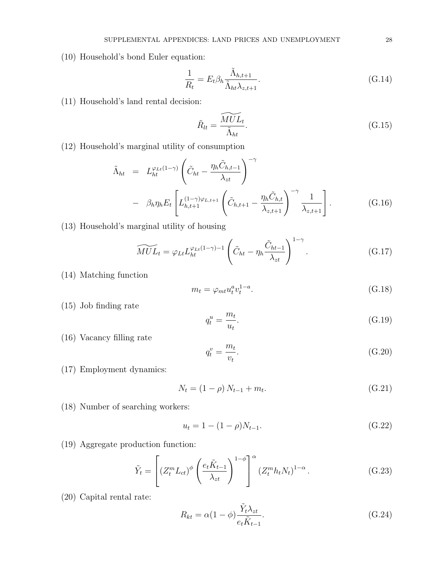(10) Household's bond Euler equation:

$$
\frac{1}{R_t} = E_t \beta_h \frac{\tilde{\Lambda}_{h,t+1}}{\tilde{\Lambda}_{ht} \lambda_{z,t+1}}.
$$
\n(G.14)

(11) Household's land rental decision:

$$
\tilde{R}_{lt} = \frac{\widetilde{MUL}_{t}}{\tilde{\Lambda}_{ht}}.\tag{G.15}
$$

(12) Household's marginal utility of consumption

$$
\tilde{\Lambda}_{ht} = L_{ht}^{\varphi_{Lt}(1-\gamma)} \left( \tilde{C}_{ht} - \frac{\eta_h \tilde{C}_{h,t-1}}{\lambda_{zt}} \right)^{-\gamma} \n- \beta_h \eta_h E_t \left[ L_{h,t+1}^{(1-\gamma)\varphi_{L,t+1}} \left( \tilde{C}_{h,t+1} - \frac{\eta_h \tilde{C}_{h,t}}{\lambda_{z,t+1}} \right)^{-\gamma} \frac{1}{\lambda_{z,t+1}} \right].
$$
\n(G.16)

(13) Household's marginal utility of housing

$$
\widetilde{MUL}_t = \varphi_{Lt} L_{ht}^{\varphi_{Lt}(1-\gamma)-1} \left( \tilde{C}_{ht} - \eta_h \frac{\tilde{C}_{ht-1}}{\lambda_{zt}} \right)^{1-\gamma}.
$$
 (G.17)

(14) Matching function

$$
m_t = \varphi_{mt} u_t^a v_t^{1-a}.\tag{G.18}
$$

(15) Job finding rate

$$
q_t^u = \frac{m_t}{u_t}.\tag{G.19}
$$

(16) Vacancy filling rate

$$
q_t^v = \frac{m_t}{v_t}.\tag{G.20}
$$

(17) Employment dynamics:

$$
N_t = (1 - \rho) N_{t-1} + m_t. \tag{G.21}
$$

(18) Number of searching workers:

$$
u_t = 1 - (1 - \rho)N_{t-1}.
$$
\n(G.22)

(19) Aggregate production function:

$$
\tilde{Y}_t = \left[ \left( Z_t^m L_{ct} \right)^\phi \left( \frac{e_t \tilde{K}_{t-1}}{\lambda_{zt}} \right)^{1-\phi} \right]^\alpha \left( Z_t^m h_t N_t \right)^{1-\alpha} . \tag{G.23}
$$

(20) Capital rental rate:

$$
R_{kt} = \alpha (1 - \phi) \frac{\tilde{Y}_t \lambda_{zt}}{e_t \tilde{K}_{t-1}}.
$$
\n(G.24)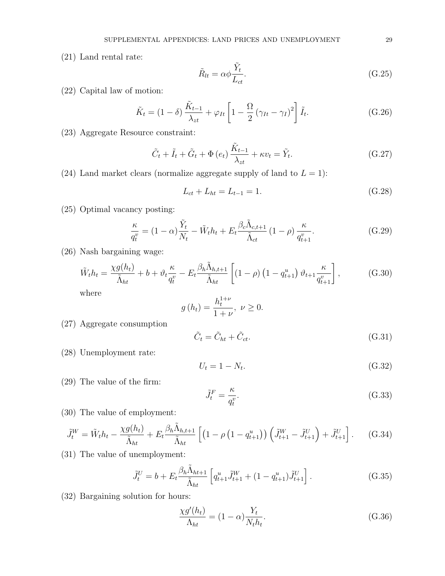(21) Land rental rate:

$$
\tilde{R}_{lt} = \alpha \phi \frac{\tilde{Y}_t}{L_{ct}}.
$$
\n(G.25)

(22) Capital law of motion:

$$
\tilde{K}_t = (1 - \delta) \frac{\tilde{K}_{t-1}}{\lambda_{zt}} + \varphi_{It} \left[ 1 - \frac{\Omega}{2} \left( \gamma_{It} - \gamma_I \right)^2 \right] \tilde{I}_t.
$$
\n(G.26)

(23) Aggregate Resource constraint:

$$
\tilde{C}_t + \tilde{I}_t + \tilde{G}_t + \Phi(e_t) \frac{\tilde{K}_{t-1}}{\lambda_{zt}} + \kappa v_t = \tilde{Y}_t.
$$
\n(G.27)

(24) Land market clears (normalize aggregate supply of land to  $L = 1$ ):

$$
L_{ct} + L_{ht} = L_{t-1} = 1.
$$
\n(G.28)

(25) Optimal vacancy posting:

$$
\frac{\kappa}{q_t^v} = (1 - \alpha) \frac{\tilde{Y}_t}{N_t} - \tilde{W}_t h_t + E_t \frac{\beta_c \tilde{\Lambda}_{c,t+1}}{\tilde{\Lambda}_{ct}} (1 - \rho) \frac{\kappa}{q_{t+1}^v}.
$$
 (G.29)

(26) Nash bargaining wage:

$$
\tilde{W}_t h_t = \frac{\chi g(h_t)}{\tilde{\Lambda}_{ht}} + b + \vartheta_t \frac{\kappa}{q_t^v} - E_t \frac{\beta_h \tilde{\Lambda}_{h,t+1}}{\tilde{\Lambda}_{ht}} \left[ (1 - \rho) \left( 1 - q_{t+1}^u \right) \vartheta_{t+1} \frac{\kappa}{q_{t+1}^v} \right],\tag{G.30}
$$

where

$$
g(h_t) = \frac{h_t^{1+\nu}}{1+\nu}, \ \nu \ge 0.
$$

(27) Aggregate consumption

$$
\tilde{C}_t = \tilde{C}_{ht} + \tilde{C}_{ct}.
$$
\n(G.31)

(28) Unemployment rate:

$$
U_t = 1 - N_t. \tag{G.32}
$$

(29) The value of the firm:

$$
\tilde{J}_t^F = \frac{\kappa}{q_t^v}.\tag{G.33}
$$

(30) The value of employment:

$$
\tilde{J}_t^W = \tilde{W}_t h_t - \frac{\chi g(h_t)}{\tilde{\Lambda}_{ht}} + E_t \frac{\beta_h \tilde{\Lambda}_{h,t+1}}{\tilde{\Lambda}_{ht}} \left[ \left( 1 - \rho \left( 1 - q_{t+1}^u \right) \right) \left( \tilde{J}_{t+1}^W - \tilde{J}_{t+1}^U \right) + \tilde{J}_{t+1}^U \right]. \tag{G.34}
$$

(31) The value of unemployment:

$$
\tilde{J}_t^U = b + E_t \frac{\beta_h \tilde{\Lambda}_{ht+1}}{\tilde{\Lambda}_{ht}} \left[ q_{t+1}^u \tilde{J}_{t+1}^W + (1 - q_{t+1}^u) \tilde{J}_{t+1}^U \right]. \tag{G.35}
$$

(32) Bargaining solution for hours:

$$
\frac{\chi g'(h_t)}{\Lambda_{ht}} = (1 - \alpha) \frac{Y_t}{N_t h_t}.
$$
\n(G.36)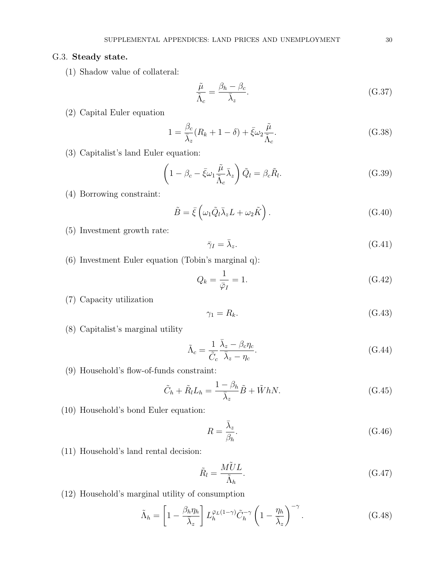## G.3. Steady state.

(1) Shadow value of collateral:

$$
\frac{\tilde{\mu}}{\tilde{\Lambda}_c} = \frac{\beta_h - \beta_c}{\bar{\lambda}_z}.
$$
\n(G.37)

(2) Capital Euler equation

$$
1 = \frac{\beta_c}{\bar{\lambda}_z} (R_k + 1 - \delta) + \bar{\xi} \omega_2 \frac{\tilde{\mu}}{\tilde{\Lambda}_c}.
$$
 (G.38)

(3) Capitalist's land Euler equation:

$$
\left(1 - \beta_c - \bar{\xi}\omega_1 \frac{\tilde{\mu}}{\tilde{\Lambda}_c} \bar{\lambda}_z\right) \tilde{Q}_l = \beta_c \tilde{R}_l.
$$
\n(G.39)

(4) Borrowing constraint:

$$
\tilde{B} = \bar{\xi} \left( \omega_1 \tilde{Q}_l \bar{\lambda}_z L + \omega_2 \tilde{K} \right). \tag{G.40}
$$

- (5) Investment growth rate:
- $\bar{\gamma}_I = \bar{\lambda}_z.$  $(G.41)$
- (6) Investment Euler equation (Tobin's marginal q):

$$
Q_k = \frac{1}{\bar{\varphi}_I} = 1. \tag{G.42}
$$

(7) Capacity utilization

$$
\gamma_1 = R_k. \tag{G.43}
$$

(8) Capitalist's marginal utility

$$
\tilde{\Lambda}_c = \frac{1}{\tilde{C}_c} \frac{\bar{\lambda}_z - \beta_c \eta_c}{\bar{\lambda}_z - \eta_c}.
$$
\n(G.44)

(9) Household's flow-of-funds constraint:

$$
\tilde{C}_h + \tilde{R}_l L_h = \frac{1 - \beta_h}{\bar{\lambda}_z} \tilde{B} + \tilde{W} h N. \tag{G.45}
$$

(10) Household's bond Euler equation:

$$
R = \frac{\bar{\lambda}_z}{\beta_h}.\tag{G.46}
$$

(11) Household's land rental decision:

$$
\tilde{R}_l = \frac{M\tilde{U}L}{\tilde{\Lambda}_h}.\tag{G.47}
$$

(12) Household's marginal utility of consumption

$$
\tilde{\Lambda}_h = \left[1 - \frac{\beta_h \eta_h}{\bar{\lambda}_z}\right] L_h^{\bar{\varphi}_L(1-\gamma)} \tilde{C}_h^{-\gamma} \left(1 - \frac{\eta_h}{\bar{\lambda}_z}\right)^{-\gamma}.
$$
\n(G.48)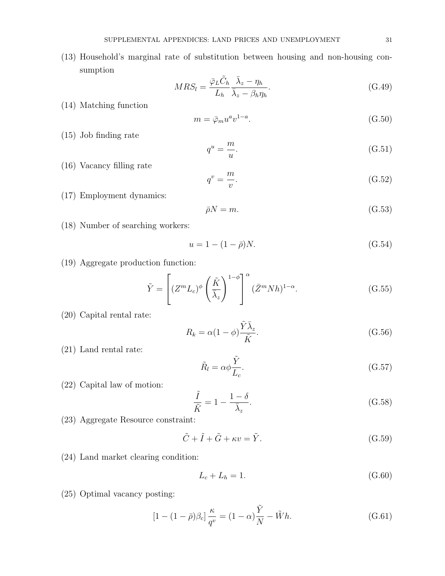(13) Household's marginal rate of substitution between housing and non-housing consumption

$$
MRS_l = \frac{\bar{\varphi}_L \tilde{C}_h}{L_h} \frac{\bar{\lambda}_z - \eta_h}{\bar{\lambda}_z - \beta_h \eta_h}.
$$
\n(G.49)

(14) Matching function

$$
m = \bar{\varphi}_m u^a v^{1-a}.\tag{G.50}
$$

(15) Job finding rate

$$
q^u = \frac{m}{u}.\tag{G.51}
$$

(16) Vacancy filling rate

$$
q^v = \frac{m}{v}.\tag{G.52}
$$

(17) Employment dynamics:

$$
\bar{\rho}N = m.\tag{G.53}
$$

(18) Number of searching workers:

$$
u = 1 - (1 - \bar{\rho})N.
$$
 (G.54)

(19) Aggregate production function:

$$
\tilde{Y} = \left[ (Z^m L_c)^{\phi} \left( \frac{\tilde{K}}{\overline{\lambda}_z} \right)^{1-\phi} \right]^{\alpha} (\bar{Z}^m N h)^{1-\alpha}.
$$
\n(G.55)

(20) Capital rental rate:

$$
R_k = \alpha (1 - \phi) \frac{\tilde{Y} \bar{\lambda}_z}{\tilde{K}}.
$$
\n(G.56)

(21) Land rental rate:

$$
\tilde{R}_l = \alpha \phi \frac{\tilde{Y}}{L_c}.
$$
\n(G.57)

(22) Capital law of motion:

$$
\frac{\tilde{I}}{\tilde{K}} = 1 - \frac{1 - \delta}{\bar{\lambda}_z}.
$$
\n(G.58)

(23) Aggregate Resource constraint:

$$
\tilde{C} + \tilde{I} + \tilde{G} + \kappa v = \tilde{Y}.
$$
\n(G.59)

(24) Land market clearing condition:

$$
L_c + L_h = 1.\t\t(G.60)
$$

(25) Optimal vacancy posting:

$$
[1 - (1 - \bar{\rho})\beta_c] \frac{\kappa}{q^v} = (1 - \alpha)\frac{\tilde{Y}}{N} - \tilde{W}h.
$$
 (G.61)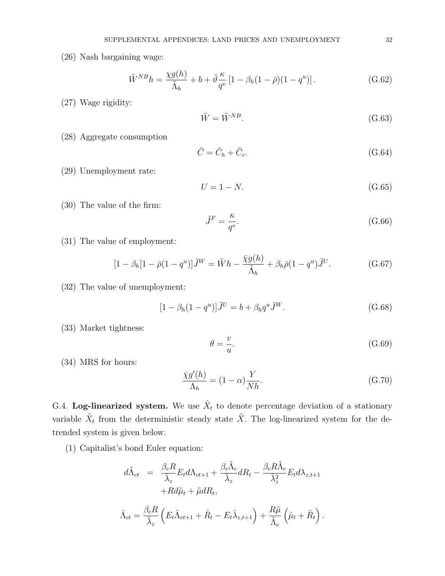(26) Nash bargaining wage:

$$
\tilde{W}^{NB}h = \frac{\chi g(h)}{\tilde{\Lambda}_h} + b + \bar{\vartheta}\frac{\kappa}{q^v} \left[1 - \beta_h(1 - \bar{\rho})(1 - q^u)\right].
$$
\n(G.62)

(27) Wage rigidity:

$$
\tilde{W} = \tilde{W}^{NB}.\tag{G.63}
$$

(28) Aggregate consumption

$$
\tilde{C} = \tilde{C}_h + \tilde{C}_c. \tag{G.64}
$$

(29) Unemployment rate:

$$
U = 1 - N.\tag{G.65}
$$

(30) The value of the firm:

$$
\tilde{J}^F = \frac{\kappa}{q^v}.\tag{G.66}
$$

(31) The value of employment:

$$
[1 - \beta_h[1 - \bar{\rho}(1 - q^u)]\tilde{J}^W = \tilde{W}h - \frac{\bar{\chi}g(h)}{\tilde{\Lambda}_h} + \beta_h\bar{\rho}(1 - q^u)\tilde{J}^U.
$$
 (G.67)

(32) The value of unemployment:

$$
[1 - \beta_h (1 - q^u)]\tilde{J}^U = b + \beta_h q^u \tilde{J}^W.
$$
 (G.68)

(33) Market tightness:

$$
\theta = \frac{v}{u}.\tag{G.69}
$$

(34) MRS for hours:

$$
\frac{\bar{\chi}g'(h)}{\Lambda_h} = (1 - \alpha)\frac{Y}{Nh}.\tag{G.70}
$$

G.4. Log-linearized system. We use  $\hat{X}_t$  to denote percentage deviation of a stationary variable  $\tilde{X}_t$  from the deterministic steady state  $\tilde{X}$ . The log-linearized system for the detrended system is given below.

(1) Capitalist's bond Euler equation:

$$
d\tilde{\Lambda}_{ct} = \frac{\beta_c R}{\bar{\lambda}_z} E_t d\Lambda_{ct+1} + \frac{\beta_c \tilde{\Lambda}_c}{\bar{\lambda}_z} dR_t - \frac{\beta_c R \tilde{\Lambda}_c}{\bar{\lambda}_z^2} E_t d\lambda_{z,t+1} + R d\tilde{\mu}_t + \tilde{\mu} dR_t,
$$

$$
\hat{\Lambda}_{ct} = \frac{\beta_c R}{\bar{\lambda}_z} \left( E_t \hat{\Lambda}_{ct+1} + \hat{R}_t - E_t \hat{\lambda}_{z,t+1} \right) + \frac{R\tilde{\mu}}{\tilde{\Lambda}_c} \left( \hat{\mu}_t + \hat{R}_t \right).
$$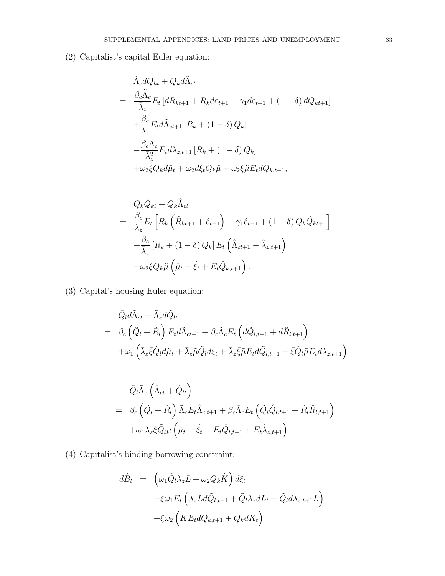(2) Capitalist's capital Euler equation:

$$
\tilde{\Lambda}_c dQ_{kt} + Q_k d\tilde{\Lambda}_{ct}
$$
\n
$$
= \frac{\beta_c \tilde{\Lambda}_c}{\bar{\lambda}_z} E_t \left[ dR_{kt+1} + R_k d e_{t+1} - \gamma_1 d e_{t+1} + (1 - \delta) d Q_{kt+1} \right]
$$
\n
$$
+ \frac{\beta_c}{\bar{\lambda}_z} E_t d\tilde{\Lambda}_{ct+1} \left[ R_k + (1 - \delta) Q_k \right]
$$
\n
$$
- \frac{\beta_c \tilde{\Lambda}_c}{\bar{\lambda}_z^2} E_t d\lambda_{z,t+1} \left[ R_k + (1 - \delta) Q_k \right]
$$
\n
$$
+ \omega_2 \xi Q_k d\tilde{\mu}_t + \omega_2 d\xi_t Q_k \tilde{\mu} + \omega_2 \xi \tilde{\mu} E_t dQ_{k,t+1},
$$

$$
Q_k \hat{Q}_{kt} + Q_k \hat{\Lambda}_{ct}
$$
  
= 
$$
\frac{\beta_c}{\overline{\lambda}_z} E_t \left[ R_k \left( \hat{R}_{kt+1} + \hat{e}_{t+1} \right) - \gamma_1 \hat{e}_{t+1} + (1 - \delta) Q_k \hat{Q}_{kt+1} \right]
$$
  
+ 
$$
\frac{\beta_c}{\overline{\lambda}_z} \left[ R_k + (1 - \delta) Q_k \right] E_t \left( \hat{\Lambda}_{ct+1} - \hat{\lambda}_{z,t+1} \right)
$$
  
+ 
$$
\omega_2 \overline{\xi} Q_k \tilde{\mu} \left( \hat{\mu}_t + \hat{\xi}_t + E_t \hat{Q}_{k,t+1} \right).
$$

(3) Capital's housing Euler equation:

$$
\tilde{Q}_l d\tilde{\Lambda}_{ct} + \tilde{\Lambda}_c d\tilde{Q}_{lt} \n= \beta_c \left( \tilde{Q}_l + \tilde{R}_l \right) E_t d\tilde{\Lambda}_{ct+1} + \beta_c \tilde{\Lambda}_c E_t \left( d\tilde{Q}_{l,t+1} + d\tilde{R}_{l,t+1} \right) \n+ \omega_1 \left( \bar{\lambda}_z \bar{\xi} \tilde{Q}_l d\tilde{\mu}_t + \bar{\lambda}_z \tilde{\mu} \tilde{Q}_l d\xi_t + \bar{\lambda}_z \bar{\xi} \tilde{\mu} E_t d\tilde{Q}_{l,t+1} + \bar{\xi} \tilde{Q}_l \tilde{\mu} E_t d\lambda_{z,t+1} \right)
$$

$$
\tilde{Q}_{l}\tilde{\Lambda}_{c}\left(\hat{\Lambda}_{ct}+\hat{Q}_{lt}\right) \n= \beta_{c}\left(\tilde{Q}_{l}+\tilde{R}_{l}\right)\tilde{\Lambda}_{c}E_{t}\hat{\Lambda}_{c,t+1}+\beta_{c}\tilde{\Lambda}_{c}E_{t}\left(\tilde{Q}_{l}\hat{Q}_{l,t+1}+\tilde{R}_{l}\hat{R}_{l,t+1}\right) \n+\omega_{1}\bar{\lambda}_{z}\bar{\xi}\tilde{Q}_{l}\tilde{\mu}\left(\hat{\mu}_{t}+\hat{\xi}_{t}+E_{t}\hat{Q}_{l,t+1}+E_{t}\hat{\lambda}_{z,t+1}\right).
$$

(4) Capitalist's binding borrowing constraint:

$$
d\tilde{B}_t = \left(\omega_1 \tilde{Q}_l \lambda_z L + \omega_2 Q_k \tilde{K}\right) d\xi_t
$$
  
+
$$
\xi \omega_1 E_t \left(\lambda_z L d\tilde{Q}_{l,t+1} + \tilde{Q}_l \lambda_z dL_t + \tilde{Q}_l d\lambda_{z,t+1} L\right)
$$
  
+
$$
\xi \omega_2 \left(\tilde{K} E_t dQ_{k,t+1} + Q_k d\tilde{K}_t\right)
$$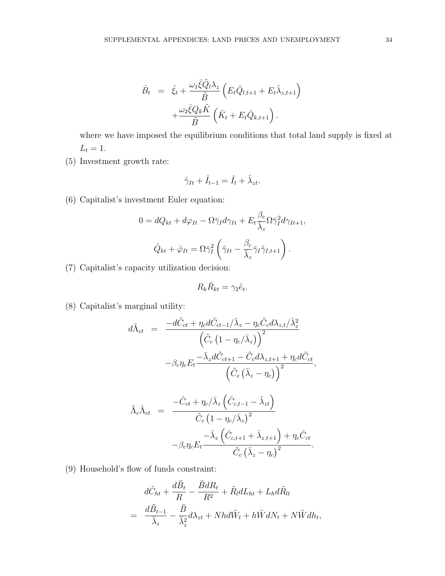$$
\hat{B}_t = \hat{\xi}_t + \frac{\omega_1 \bar{\xi} \tilde{Q}_l \lambda_z}{\tilde{B}} \left( E_t \hat{Q}_{l,t+1} + E_t \hat{\lambda}_{z,t+1} \right) \n+ \frac{\omega_2 \bar{\xi} Q_k \tilde{K}}{\tilde{B}} \left( \hat{K}_t + E_t \hat{Q}_{k,t+1} \right).
$$

where we have imposed the equilibrium conditions that total land supply is fixed at  $L_t = 1$ .

(5) Investment growth rate:

$$
\hat{\gamma}_{It} + \hat{I}_{t-1} = \hat{I}_t + \hat{\lambda}_{zt}.
$$

(6) Capitalist's investment Euler equation:

$$
0 = dQ_{kt} + d\varphi_{It} - \Omega \bar{\gamma}_I d\gamma_{It} + E_t \frac{\beta_c}{\bar{\lambda}_z} \Omega \bar{\gamma}_I^2 d\gamma_{It+1},
$$

$$
\hat{Q}_{kt} + \hat{\varphi}_{It} = \Omega \bar{\gamma}_I^2 \left( \hat{\gamma}_{It} - \frac{\beta_c}{\bar{\lambda}_z} \bar{\gamma}_I \hat{\gamma}_{I,t+1} \right).
$$

(7) Capitalist's capacity utilization decision:

$$
R_k \hat{R}_{kt} = \gamma_2 \hat{e}_t.
$$

(8) Capitalist's marginal utility:

$$
d\tilde{\Lambda}_{ct} = \frac{-d\tilde{C}_{ct} + \eta_c d\tilde{C}_{ct-1}/\bar{\lambda}_z - \eta_c \tilde{C}_c d\lambda_{z,t}/\bar{\lambda}_z^2}{\left(\tilde{C}_c \left(1 - \eta_c/\bar{\lambda}_z\right)\right)^2} - \beta_c \eta_c E_t \frac{-\bar{\lambda}_z d\tilde{C}_{ct+1} - \tilde{C}_c d\lambda_{z,t+1} + \eta_c d\tilde{C}_{ct}}{\left(\tilde{C}_c \left(\bar{\lambda}_z - \eta_c\right)\right)^2},
$$

$$
\tilde{\Lambda}_{c}\hat{\Lambda}_{ct} = \frac{-\hat{C}_{ct} + \eta_{c}/\bar{\lambda}_{z} \left(\hat{C}_{c,t-1} - \hat{\lambda}_{zt}\right)}{\tilde{C}_{c} \left(1 - \eta_{c}/\bar{\lambda}_{z}\right)^{2}} -\beta_{c}\eta_{c}E_{t} \frac{-\bar{\lambda}_{z} \left(\hat{C}_{c,t+1} + \hat{\lambda}_{z,t+1}\right) + \eta_{c}\hat{C}_{ct}}{\tilde{C}_{c} \left(\bar{\lambda}_{z} - \eta_{c}\right)^{2}}.
$$

(9) Household's flow of funds constraint:

$$
d\tilde{C}_{ht} + \frac{d\tilde{B}_t}{R} - \frac{\tilde{B}dR_t}{R^2} + \tilde{R}_l dL_{ht} + L_h d\tilde{R}_{lt}
$$
  
= 
$$
\frac{d\tilde{B}_{t-1}}{\bar{\lambda}_z} - \frac{\tilde{B}}{\bar{\lambda}_z^2} d\lambda_{zt} + Nhd\tilde{W}_t + h\tilde{W}dN_t + N\tilde{W}dh_t,
$$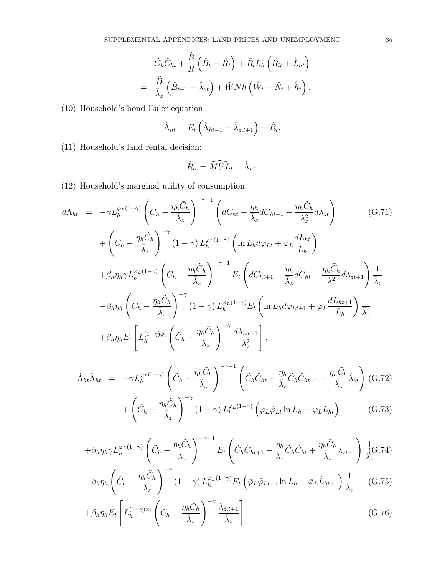$$
\tilde{C}_h \hat{C}_{ht} + \frac{\tilde{B}}{R} \left( \hat{B}_t - \hat{R}_t \right) + \tilde{R}_l L_h \left( \hat{R}_{lt} + \hat{L}_{ht} \right)
$$
  
= 
$$
\frac{\tilde{B}}{\overline{\lambda}_z} \left( \hat{B}_{t-1} - \hat{\lambda}_{zt} \right) + \tilde{W} N h \left( \hat{W}_t + \hat{N}_t + \hat{h}_t \right).
$$

(10) Household's bond Euler equation:

$$
\hat{\Lambda}_{ht} = E_t \left( \hat{\Lambda}_{ht+1} - \hat{\lambda}_{z,t+1} \right) + \hat{R}_t.
$$

(11) Household's land rental decision:

$$
\hat{R}_{lt} = \widehat{MUL}_t - \hat{\Lambda}_{ht}.
$$

(12) Household's marginal utility of consumption:

$$
d\tilde{\Lambda}_{ht} = -\gamma L_h^{\varphi_L(1-\gamma)} \left( \tilde{C}_h - \frac{\eta_h \tilde{C}_h}{\overline{\lambda}_z} \right)^{-\gamma-1} \left( d\tilde{C}_{ht} - \frac{\eta_h}{\overline{\lambda}_z} d\tilde{C}_{ht-1} + \frac{\eta_h \tilde{C}_h}{\lambda_z^2} d\lambda_{zt} \right)
$$
(G.71)  
+  $\left( \tilde{C}_h - \frac{\eta_h \tilde{C}_h}{\overline{\lambda}_z} \right)^{-\gamma} (1-\gamma) L_h^{\varphi_L(1-\gamma)} \left( \ln L_h d\varphi_{Lt} + \varphi_L \frac{dL_{ht}}{L_h} \right)$   
+  $\beta_h \eta_h \gamma L_h^{\varphi_L(1-\gamma)} \left( \tilde{C}_h - \frac{\eta_h \tilde{C}_h}{\overline{\lambda}_z} \right)^{-\gamma-1} E_t \left( d\tilde{C}_{ht+1} - \frac{\eta_h}{\overline{\lambda}_z} d\tilde{C}_{ht} + \frac{\eta_h \tilde{C}_h}{\lambda_z^2} d\lambda_{zt+1} \right) \frac{1}{\overline{\lambda}_z}$   
-  $\beta_h \eta_h \left( \tilde{C}_h - \frac{\eta_h \tilde{C}_h}{\overline{\lambda}_z} \right)^{-\gamma} (1-\gamma) L_h^{\varphi_L(1-\gamma)} E_t \left( \ln L_h d\varphi_{Lt+1} + \varphi_L \frac{dL_{ht+1}}{L_h} \right) \frac{1}{\overline{\lambda}_z}$   
+  $\beta_h \eta_h E_t \left[ L_h^{(1-\gamma)\varphi_l} \left( \tilde{C}_h - \frac{\eta_h \tilde{C}_h}{\overline{\lambda}_z} \right)^{-\gamma} \frac{d\lambda_{z,t+1}}{\lambda_z^2} \right],$ 

$$
\tilde{\Lambda}_{ht}\hat{\Lambda}_{ht} = -\gamma L_h^{\varphi_L(1-\gamma)} \left( \tilde{C}_h - \frac{\eta_h \tilde{C}_h}{\bar{\lambda}_z} \right)^{-\gamma - 1} \left( \tilde{C}_h \hat{C}_{ht} - \frac{\eta_h}{\bar{\lambda}_z} \tilde{C}_h \hat{C}_{ht-1} + \frac{\eta_h \tilde{C}_h}{\lambda_z} \hat{\lambda}_{zt} \right) (G.72)
$$
\n
$$
\int_{\tilde{C}} \eta_h \tilde{C}_h \Bigg)^{-\gamma} (1 - \epsilon)^{\gamma} L_{\tilde{C}}(1-\gamma) \left( \tilde{C} - \hat{C}_h \right) \ln I_{\gamma - 1} \left( \tilde{C} - \hat{C}_h \right) \tag{G.73}
$$

$$
+\left(\tilde{C}_h - \frac{\eta_h C_h}{\bar{\lambda}_z}\right) \quad (1-\gamma) L_h^{\varphi_L(1-\gamma)}\left(\bar{\varphi}_L \hat{\varphi}_{Lt} \ln L_h + \bar{\varphi}_L \hat{L}_{ht}\right) \tag{G.73}
$$

$$
+\beta_h \eta_h \gamma L_h^{\varphi_L(1-\gamma)} \left(\tilde{C}_h - \frac{\eta_h \tilde{C}_h}{\bar{\lambda}_z}\right)^{-\gamma-1} E_t \left(\tilde{C}_h \hat{C}_{ht+1} - \frac{\eta_h}{\bar{\lambda}_z} \tilde{C}_h \hat{C}_{ht} + \frac{\eta_h \tilde{C}_h}{\lambda_z} \hat{\lambda}_{zt+1}\right) \frac{1}{\bar{\lambda}_z} G.74)
$$

$$
-\beta_h \eta_h \left( \tilde{C}_h - \frac{\eta_h \tilde{C}_h}{\bar{\lambda}_z} \right)^{-\gamma} (1-\gamma) L_h^{\varphi_L(1-\gamma)} E_t \left( \bar{\varphi}_L \hat{\varphi}_{Lt+1} \ln L_h + \bar{\varphi}_L \hat{L}_{ht+1} \right) \frac{1}{\bar{\lambda}_z} \tag{G.75}
$$

$$
+\beta_h \eta_h E_t \left[ L_h^{(1-\gamma)\varphi_l} \left( \tilde{C}_h - \frac{\eta_h \tilde{C}_h}{\bar{\lambda}_z} \right)^{-\gamma} \frac{\hat{\lambda}_{z,t+1}}{\bar{\lambda}_z} \right].
$$
 (G.76)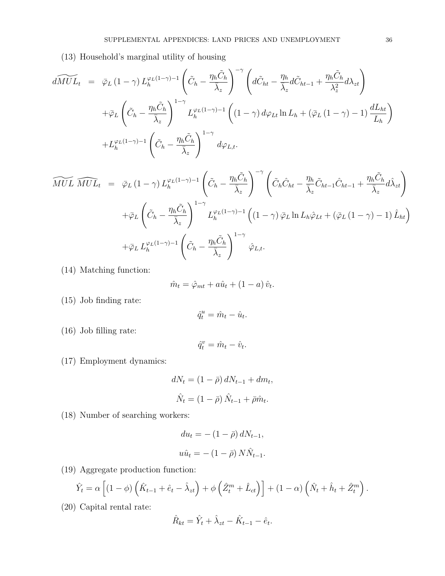(13) Household's marginal utility of housing

$$
d\widetilde{MUL}_{t} = \bar{\varphi}_{L} (1 - \gamma) L_{h}^{\varphi_{L}(1 - \gamma) - 1} \left( \tilde{C}_{h} - \frac{\eta_{h} \tilde{C}_{h}}{\bar{\lambda}_{z}} \right)^{-\gamma} \left( d\tilde{C}_{ht} - \frac{\eta_{h}}{\bar{\lambda}_{z}} d\tilde{C}_{ht-1} + \frac{\eta_{h} \tilde{C}_{h}}{\lambda_{z}^{2}} d\lambda_{zt} \right)
$$
  
+ 
$$
\bar{\varphi}_{L} \left( \tilde{C}_{h} - \frac{\eta_{h} \tilde{C}_{h}}{\bar{\lambda}_{z}} \right)^{1 - \gamma} L_{h}^{\varphi_{L}(1 - \gamma) - 1} \left( (1 - \gamma) d\varphi_{Lt} \ln L_{h} + (\bar{\varphi}_{L} (1 - \gamma) - 1) \frac{dL_{ht}}{L_{h}} \right)
$$
  
+ 
$$
L_{h}^{\varphi_{L}(1 - \gamma) - 1} \left( \tilde{C}_{h} - \frac{\eta_{h} \tilde{C}_{h}}{\bar{\lambda}_{z}} \right)^{1 - \gamma} d\varphi_{L,t}.
$$

$$
\widetilde{MUL} \; \widehat{MUL}_t \; = \; \bar{\varphi}_L \left(1-\gamma\right) L_h^{\varphi_L(1-\gamma)-1} \left(\tilde{C}_h - \frac{\eta_h \tilde{C}_h}{\bar{\lambda}_z}\right)^{-\gamma} \left(\tilde{C}_h \hat{C}_{ht} - \frac{\eta_h}{\bar{\lambda}_z} \tilde{C}_{ht-1} \hat{C}_{ht-1} + \frac{\eta_h \tilde{C}_h}{\bar{\lambda}_z} d\hat{\lambda}_{zt}\right) \n+ \bar{\varphi}_L \left(\tilde{C}_h - \frac{\eta_h \tilde{C}_h}{\bar{\lambda}_z}\right)^{1-\gamma} L_h^{\varphi_L(1-\gamma)-1} \left((1-\gamma) \bar{\varphi}_L \ln L_h \hat{\varphi}_{Lt} + (\bar{\varphi}_L \left(1-\gamma\right)-1) \hat{L}_{ht}\right) \n+ \bar{\varphi}_L L_h^{\varphi_L(1-\gamma)-1} \left(\tilde{C}_h - \frac{\eta_h \tilde{C}_h}{\bar{\lambda}_z}\right)^{1-\gamma} \hat{\varphi}_{L,t}.
$$

(14) Matching function:

$$
\hat{m}_t = \hat{\varphi}_{mt} + a\hat{u}_t + (1 - a)\hat{v}_t.
$$

(15) Job finding rate:

$$
\hat{q}_t^u = \hat{m}_t - \hat{u}_t.
$$

(16) Job filling rate:

$$
\hat{q}^v_t = \hat{m}_t - \hat{v}_t.
$$

(17) Employment dynamics:

$$
dN_t = (1 - \bar{\rho}) dN_{t-1} + dm_t,
$$
  

$$
\hat{N}_t = (1 - \bar{\rho}) \hat{N}_{t-1} + \bar{\rho} \hat{m}_t.
$$

(18) Number of searching workers:

$$
du_t = -(1 - \bar{\rho}) dN_{t-1},
$$
  

$$
u\hat{u}_t = -(1 - \bar{\rho}) N\hat{N}_{t-1}.
$$

(19) Aggregate production function:

$$
\hat{Y}_t = \alpha \left[ (1 - \phi) \left( \hat{K}_{t-1} + \hat{e}_t - \hat{\lambda}_{zt} \right) + \phi \left( \hat{Z}_t^m + \hat{L}_{ct} \right) \right] + (1 - \alpha) \left( \hat{N}_t + \hat{h}_t + \hat{Z}_t^m \right).
$$

(20) Capital rental rate:

$$
\hat{R}_{kt} = \hat{Y}_t + \hat{\lambda}_{zt} - \hat{K}_{t-1} - \hat{e}_t.
$$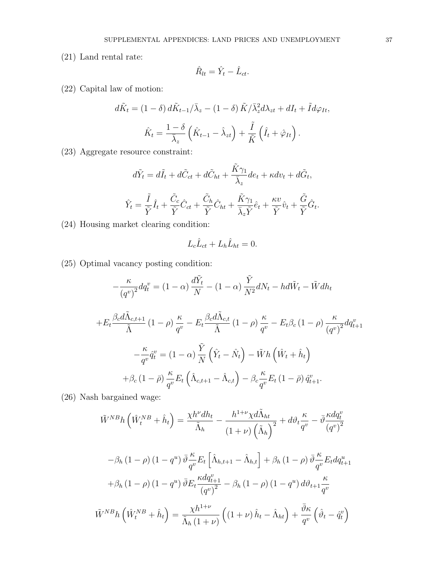(21) Land rental rate:

$$
\hat{R}_{lt} = \hat{Y}_t - \hat{L}_{ct}.
$$

(22) Capital law of motion:

$$
d\tilde{K}_t = (1 - \delta) d\tilde{K}_{t-1}/\bar{\lambda}_z - (1 - \delta) \tilde{K}/\bar{\lambda}_z^2 d\lambda_{zt} + dI_t + \tilde{I} d\varphi_{It},
$$

$$
\hat{K}_t = \frac{1 - \delta}{\bar{\lambda}_z} \left( \hat{K}_{t-1} - \hat{\lambda}_{zt} \right) + \frac{\tilde{I}}{\tilde{K}} \left( \hat{I}_t + \hat{\varphi}_{It} \right).
$$

(23) Aggregate resource constraint:

$$
d\tilde{Y}_t = d\tilde{I}_t + d\tilde{C}_{ct} + d\tilde{C}_{ht} + \frac{\tilde{K}\gamma_1}{\bar{\lambda}_z}de_t + \kappa dv_t + d\tilde{G}_t,
$$
  

$$
\hat{Y}_t = \frac{\tilde{I}}{\tilde{Y}}\hat{I}_t + \frac{\tilde{C}_c}{\tilde{Y}}\hat{C}_{ct} + \frac{\tilde{C}_h}{\tilde{Y}}\hat{C}_{ht} + \frac{\tilde{K}\gamma_1}{\bar{\lambda}_z\tilde{Y}}\hat{e}_t + \frac{\kappa v}{\tilde{Y}}\hat{v}_t + \frac{\tilde{G}}{\tilde{Y}}\hat{G}_t.
$$

(24) Housing market clearing condition:

$$
L_c \hat{L}_{ct} + L_h \hat{L}_{ht} = 0.
$$

(25) Optimal vacancy posting condition:

$$
-\frac{\kappa}{\left(q^v\right)^2}dq_t^v = (1 - \alpha)\frac{d\tilde{Y}_t}{N} - (1 - \alpha)\frac{\tilde{Y}}{N^2}dN_t - hd\tilde{W}_t - \tilde{W}dh_t
$$
  
+
$$
E_t \frac{\beta_c d\tilde{\Lambda}_{c,t+1}}{\tilde{\Lambda}} (1 - \rho)\frac{\kappa}{q^v} - E_t \frac{\beta_c d\tilde{\Lambda}_{c,t}}{\tilde{\Lambda}} (1 - \rho)\frac{\kappa}{q^v} - E_t \beta_c (1 - \rho)\frac{\kappa}{\left(q^v\right)^2} dq_{t+1}^v
$$
  
-
$$
-\frac{\kappa}{q^v}\hat{q}_t^v = (1 - \alpha)\frac{\tilde{Y}}{N}\left(\hat{Y}_t - \hat{N}_t\right) - \tilde{W}h\left(\hat{W}_t + \hat{h}_t\right)
$$
  
+
$$
\beta_c (1 - \bar{\rho})\frac{\kappa}{q^v} E_t\left(\hat{\Lambda}_{c,t+1} - \hat{\Lambda}_{c,t}\right) - \beta_c \frac{\kappa}{q^v} E_t (1 - \bar{\rho}) \hat{q}_{t+1}^v.
$$

(26) Nash bargained wage:

$$
\tilde{W}^{NB}h\left(\hat{W}_t^{NB} + \hat{h}_t\right) = \frac{\chi h^{\nu}dh_t}{\tilde{\Lambda}_h} - \frac{h^{1+\nu}\chi d\tilde{\Lambda}_{ht}}{\left(1+\nu\right)\left(\tilde{\Lambda}_h\right)^2} + d\vartheta_t\frac{\kappa}{q^v} - \bar{\vartheta}\frac{\kappa dq^v_t}{\left(q^v\right)^2}
$$

$$
-\beta_h (1 - \rho) (1 - q^u) \bar{\vartheta}_{q^v}^K E_t \left[ \hat{\Lambda}_{h,t+1} - \hat{\Lambda}_{h,t} \right] + \beta_h (1 - \rho) \bar{\vartheta}_{q^v}^K E_t dq_{t+1}^u
$$

$$
+ \beta_h (1 - \rho) (1 - q^u) \bar{\vartheta}_{E_t}^K \frac{\kappa dq_{t+1}^v}{(q^v)^2} - \beta_h (1 - \rho) (1 - q^u) d\vartheta_{t+1} \frac{\kappa}{q^v}
$$

$$
\tilde{W}^{NB} h \left( \hat{W}_t^{NB} + \hat{h}_t \right) = \frac{\chi h^{1+\nu}}{\tilde{\Lambda}_h (1+\nu)} \left( (1+\nu) \hat{h}_t - \hat{\Lambda}_{ht} \right) + \frac{\bar{\vartheta}_{K}}{q^v} \left( \hat{\vartheta}_{t} - \hat{q}_{t}^v \right)
$$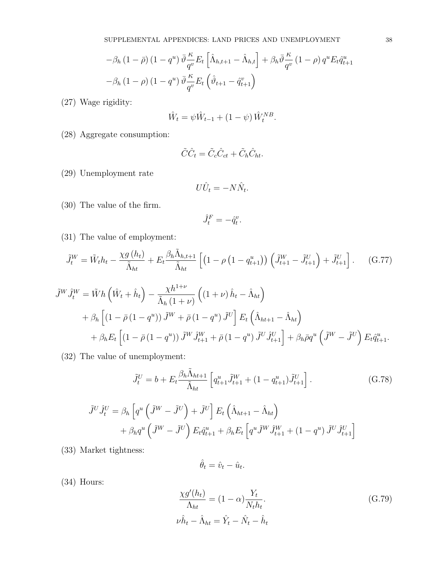$$
-\beta_h (1 - \bar{\rho}) (1 - q^u) \bar{\vartheta} \frac{\kappa}{q^v} E_t \left[ \hat{\Lambda}_{h,t+1} - \hat{\Lambda}_{h,t} \right] + \beta_h \bar{\vartheta} \frac{\kappa}{q^v} (1 - \rho) q^u E_t \hat{q}_{t+1}^u
$$

$$
-\beta_h (1 - \rho) (1 - q^u) \bar{\vartheta} \frac{\kappa}{q^v} E_t \left( \hat{\vartheta}_{t+1} - \hat{q}_{t+1}^v \right)
$$

(27) Wage rigidity:

$$
\hat{W}_t = \psi \hat{W}_{t-1} + (1 - \psi) \hat{W}_t^{NB}.
$$

(28) Aggregate consumption:

$$
\tilde{C}\hat{C}_t = \tilde{C}_c \hat{C}_{ct} + \tilde{C}_h \hat{C}_{ht}.
$$

(29) Unemployment rate

$$
U\hat{U}_t = -N\hat{N}_t.
$$

(30) The value of the firm.

$$
\hat{J}_t^F = -\hat{q}_t^v.
$$

(31) The value of employment:

$$
\tilde{J}_t^W = \tilde{W}_t h_t - \frac{\chi g(h_t)}{\tilde{\Lambda}_{ht}} + E_t \frac{\beta_h \tilde{\Lambda}_{h,t+1}}{\tilde{\Lambda}_{ht}} \left[ \left( 1 - \rho \left( 1 - q_{t+1}^u \right) \right) \left( \tilde{J}_{t+1}^W - \tilde{J}_{t+1}^U \right) + \tilde{J}_{t+1}^U \right]. \tag{G.77}
$$

$$
\tilde{J}^{W}\hat{J}_{t}^{W} = \tilde{W}h\left(\hat{W}_{t} + \hat{h}_{t}\right) - \frac{\chi h^{1+\nu}}{\tilde{\Lambda}_{h}\left(1+\nu\right)}\left((1+\nu)\hat{h}_{t} - \hat{\Lambda}_{ht}\right) \n+ \beta_{h}\left[\left(1-\bar{\rho}\left(1-q^{u}\right)\right)\tilde{J}^{W} + \bar{\rho}\left(1-q^{u}\right)\tilde{J}^{U}\right]E_{t}\left(\hat{\Lambda}_{ht+1} - \hat{\Lambda}_{ht}\right) \n+ \beta_{h}E_{t}\left[\left(1-\bar{\rho}\left(1-q^{u}\right)\right)\tilde{J}^{W}\hat{J}_{t+1}^{W} + \bar{\rho}\left(1-q^{u}\right)\tilde{J}^{U}\hat{J}_{t+1}^{U}\right] + \beta_{h}\bar{\rho}q^{u}\left(\tilde{J}^{W} - \tilde{J}^{U}\right)E_{t}\hat{q}_{t+1}^{u}.
$$

(32) The value of unemployment:

$$
\tilde{J}_t^U = b + E_t \frac{\beta_h \tilde{\Lambda}_{ht+1}}{\tilde{\Lambda}_{ht}} \left[ q_{t+1}^u \tilde{J}_{t+1}^W + (1 - q_{t+1}^u) \tilde{J}_{t+1}^U \right]. \tag{G.78}
$$

$$
\tilde{J}^U \hat{J}_t^U = \beta_h \left[ q^u \left( \tilde{J}^W - \tilde{J}^U \right) + \tilde{J}^U \right] E_t \left( \hat{\Lambda}_{ht+1} - \hat{\Lambda}_{ht} \right) + \beta_h q^u \left( \tilde{J}^W - \tilde{J}^U \right) E_t \hat{q}_{t+1}^u + \beta_h E_t \left[ q^u \tilde{J}^W \hat{J}_{t+1}^W + (1 - q^u) \tilde{J}^U \hat{J}_{t+1}^U \right]
$$

(33) Market tightness:

$$
\hat{\theta}_t = \hat{v}_t - \hat{u}_t
$$

.

(34) Hours:

$$
\frac{\chi g'(h_t)}{\Lambda_{ht}} = (1 - \alpha) \frac{Y_t}{N_t h_t}.
$$
\n
$$
\nu \hat{h}_t - \hat{\Lambda}_{ht} = \hat{Y}_t - \hat{N}_t - \hat{h}_t
$$
\n(G.79)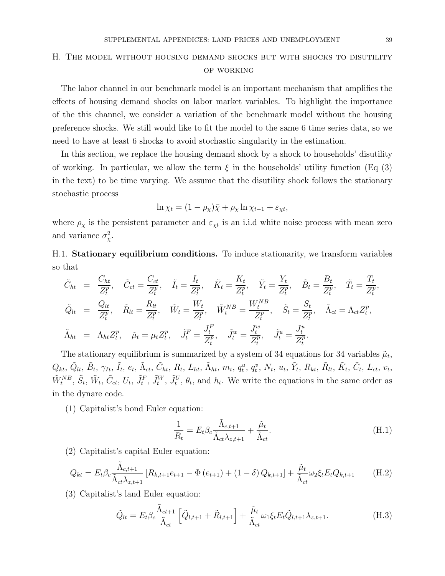# H. The model without housing demand shocks but with shocks to disutility of working

The labor channel in our benchmark model is an important mechanism that amplifies the effects of housing demand shocks on labor market variables. To highlight the importance of the this channel, we consider a variation of the benchmark model without the housing preference shocks. We still would like to fit the model to the same 6 time series data, so we need to have at least 6 shocks to avoid stochastic singularity in the estimation.

In this section, we replace the housing demand shock by a shock to households' disutility of working. In particular, we allow the term  $\xi$  in the households' utility function (Eq (3) in the text) to be time varying. We assume that the disutility shock follows the stationary stochastic process

$$
\ln \chi_t = (1 - \rho_\chi)\bar{\chi} + \rho_\chi \ln \chi_{t-1} + \varepsilon_{\chi t},
$$

where  $\rho_{\chi}$  is the persistent parameter and  $\varepsilon_{\chi t}$  is an i.i.d white noise process with mean zero and variance  $\sigma_{\chi}^2$ .

H.1. Stationary equilibrium conditions. To induce stationarity, we transform variables so that

$$
\tilde{C}_{ht} = \frac{C_{ht}}{Z_t^p}, \quad \tilde{C}_{ct} = \frac{C_{ct}}{Z_t^p}, \quad \tilde{I}_t = \frac{I_t}{Z_t^p}, \quad \tilde{K}_t = \frac{K_t}{Z_t^p}, \quad \tilde{Y}_t = \frac{Y_t}{Z_t^p}, \quad \tilde{B}_t = \frac{B_t}{Z_t^p}, \quad \tilde{T}_t = \frac{T_t}{Z_t^p},
$$
\n
$$
\tilde{Q}_{lt} = \frac{Q_{lt}}{Z_t^p}, \quad \tilde{R}_{lt} = \frac{R_{lt}}{Z_t^p}, \quad \tilde{W}_t = \frac{W_t}{Z_t^p}, \quad \tilde{W}_t^{NB} = \frac{W_t^{NB}}{Z_t^p}, \quad \tilde{S}_t = \frac{S_t}{Z_t^p}, \quad \tilde{\Lambda}_{ct} = \Lambda_{ct} Z_t^p,
$$
\n
$$
\tilde{\Lambda}_{ht} = \Lambda_{ht} Z_t^p, \quad \tilde{\mu}_t = \mu_t Z_t^p, \quad \tilde{J}_t^F = \frac{J_t^F}{Z_t^p}, \quad \tilde{J}_t^w = \frac{J_t^w}{Z_t^p}, \quad \tilde{J}_t^u = \frac{J_t^u}{Z_t^p}.
$$

The stationary equilibrium is summarized by a system of 34 equations for 34 variables  $\tilde{\mu}_t$ ,  $Q_{kt}, \, \tilde{Q}_{lt}, \, \tilde{B}_{t}, \, \gamma_{It}, \, \tilde{I}_{t}, \, e_{t}, \, \tilde{\Lambda}_{ct}, \, \tilde{C}_{ht}, \, R_{t}, \, L_{ht}, \, \tilde{\Lambda}_{ht}, \, m_{t}, \, q^{u}_{t}, \, q^{v}_{t}, \, N_{t}, \, u_{t}, \, \tilde{Y}_{t}, \, R_{kt}, \, \tilde{R}_{lt}, \, \tilde{K}_{t}, \, \tilde{C}_{t}, \, L_{ct}, \, v_{t}, \, \tilde{C}_{t}, \, \tilde{C}_{t}, \, \tilde{C}_{t}, \, \tilde{C}_{t$  $\tilde{W}_t^{NB}$ ,  $\tilde{S}_t$ ,  $\tilde{W}_t$ ,  $\tilde{C}_{ct}$ ,  $U_t$ ,  $\tilde{J}_t^F$ ,  $\tilde{J}_t^W$ ,  $\tilde{J}_t^U$ ,  $\theta_t$ , and  $h_t$ . We write the equations in the same order as in the dynare code.

(1) Capitalist's bond Euler equation:

$$
\frac{1}{R_t} = E_t \beta_c \frac{\tilde{\Lambda}_{c,t+1}}{\tilde{\Lambda}_{ct} \lambda_{z,t+1}} + \frac{\tilde{\mu}_t}{\tilde{\Lambda}_{ct}}.
$$
\n(H.1)

(2) Capitalist's capital Euler equation:

$$
Q_{kt} = E_t \beta_c \frac{\tilde{\Lambda}_{c,t+1}}{\tilde{\Lambda}_{ct} \lambda_{z,t+1}} \left[ R_{k,t+1} e_{t+1} - \Phi \left( e_{t+1} \right) + (1 - \delta) Q_{k,t+1} \right] + \frac{\tilde{\mu}_t}{\tilde{\Lambda}_{ct}} \omega_2 \xi_t E_t Q_{k,t+1}
$$
(H.2)

(3) Capitalist's land Euler equation:

$$
\tilde{Q}_{lt} = E_t \beta_c \frac{\tilde{\Lambda}_{ct+1}}{\tilde{\Lambda}_{ct}} \left[ \tilde{Q}_{l,t+1} + \tilde{R}_{l,t+1} \right] + \frac{\tilde{\mu}_t}{\tilde{\Lambda}_{ct}} \omega_1 \xi_t E_t \tilde{Q}_{l,t+1} \lambda_{z,t+1}.
$$
\n(H.3)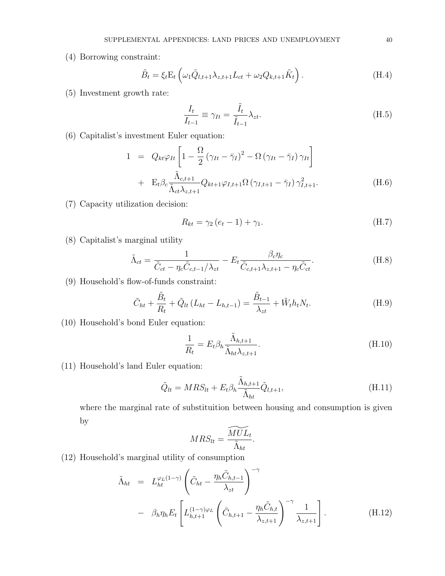(4) Borrowing constraint:

$$
\tilde{B}_t = \xi_t \mathcal{E}_t \left( \omega_1 \tilde{Q}_{l,t+1} \lambda_{z,t+1} L_{ct} + \omega_2 Q_{k,t+1} \tilde{K}_t \right). \tag{H.4}
$$

(5) Investment growth rate:

$$
\frac{I_t}{I_{t-1}} \equiv \gamma_{It} = \frac{\tilde{I}_t}{\tilde{I}_{t-1}} \lambda_{zt}.
$$
\n(H.5)

(6) Capitalist's investment Euler equation:

$$
1 = Q_{kt}\varphi_{It}\left[1 - \frac{\Omega}{2}(\gamma_{It} - \bar{\gamma}_{I})^2 - \Omega(\gamma_{It} - \bar{\gamma}_{I})\gamma_{It}\right] + \mathbf{E}_{t}\beta_{c}\frac{\tilde{\Lambda}_{c,t+1}}{\tilde{\Lambda}_{ct}\lambda_{z,t+1}}Q_{kt+1}\varphi_{I,t+1}\Omega(\gamma_{I,t+1} - \bar{\gamma}_{I})\gamma_{I,t+1}^2.
$$
(H.6)

(7) Capacity utilization decision:

$$
R_{kt} = \gamma_2 (e_t - 1) + \gamma_1. \tag{H.7}
$$

(8) Capitalist's marginal utility

$$
\tilde{\Lambda}_{ct} = \frac{1}{\tilde{C}_{ct} - \eta_c \tilde{C}_{c,t-1} / \lambda_{zt}} - E_t \frac{\beta_c \eta_c}{\tilde{C}_{c,t+1} \lambda_{z,t+1} - \eta_c \tilde{C}_{ct}}.
$$
(H.8)

(9) Household's flow-of-funds constraint:

$$
\tilde{C}_{ht} + \frac{\tilde{B}_t}{R_t} + \tilde{Q}_{lt} (L_{ht} - L_{h,t-1}) = \frac{\tilde{B}_{t-1}}{\lambda_{zt}} + \tilde{W}_t h_t N_t.
$$
\n(H.9)

(10) Household's bond Euler equation:

$$
\frac{1}{R_t} = E_t \beta_h \frac{\tilde{\Lambda}_{h,t+1}}{\tilde{\Lambda}_{ht} \lambda_{z,t+1}}.
$$
\n(H.10)

(11) Household's land Euler equation:

$$
\tilde{Q}_{lt} = MRS_{lt} + E_t \beta_h \frac{\tilde{\Lambda}_{h,t+1}}{\tilde{\Lambda}_{ht}} \tilde{Q}_{l,t+1},
$$
\n(H.11)

where the marginal rate of substituition between housing and consumption is given by  $\overline{\phantom{a}}$ 

$$
MRS_{lt} = \frac{MUL_t}{\tilde{\Lambda}_{ht}}.
$$

(12) Household's marginal utility of consumption

$$
\tilde{\Lambda}_{ht} = L_{ht}^{\varphi_L(1-\gamma)} \left( \tilde{C}_{ht} - \frac{\eta_h \tilde{C}_{h,t-1}}{\lambda_{zt}} \right)^{-\gamma} \n- \beta_h \eta_h E_t \left[ L_{h,t+1}^{(1-\gamma)\varphi_L} \left( \tilde{C}_{h,t+1} - \frac{\eta_h \tilde{C}_{h,t}}{\lambda_{z,t+1}} \right)^{-\gamma} \frac{1}{\lambda_{z,t+1}} \right].
$$
\n(H.12)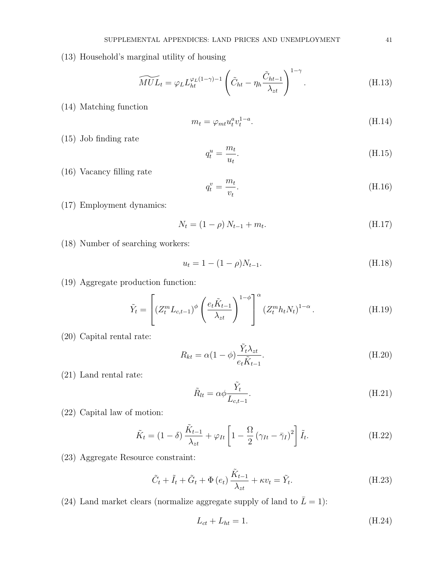(13) Household's marginal utility of housing

$$
\widetilde{MUL}_t = \varphi_L L_{ht}^{\varphi_L(1-\gamma)-1} \left( \tilde{C}_{ht} - \eta_h \frac{\tilde{C}_{ht-1}}{\lambda_{zt}} \right)^{1-\gamma}.
$$
\n(H.13)

(14) Matching function

$$
m_t = \varphi_{mt} u_t^a v_t^{1-a}.
$$
\n(H.14)

(15) Job finding rate

$$
q_t^u = \frac{m_t}{u_t}.\tag{H.15}
$$

(16) Vacancy filling rate

$$
q_t^v = \frac{m_t}{v_t}.\tag{H.16}
$$

(17) Employment dynamics:

$$
N_t = (1 - \rho) N_{t-1} + m_t. \tag{H.17}
$$

(18) Number of searching workers:

$$
u_t = 1 - (1 - \rho)N_{t-1}.
$$
\n(H.18)

(19) Aggregate production function:

$$
\tilde{Y}_t = \left[ (Z_t^m L_{c,t-1})^\phi \left( \frac{e_t \tilde{K}_{t-1}}{\lambda_{zt}} \right)^{1-\phi} \right]^\alpha (Z_t^m h_t N_t)^{1-\alpha} . \tag{H.19}
$$

(20) Capital rental rate:

$$
R_{kt} = \alpha (1 - \phi) \frac{\tilde{Y}_t \lambda_{zt}}{e_t \tilde{K}_{t-1}}.
$$
\n(H.20)

(21) Land rental rate:

$$
\tilde{R}_{lt} = \alpha \phi \frac{\tilde{Y}_t}{L_{c,t-1}}.
$$
\n(H.21)

(22) Capital law of motion:

$$
\tilde{K}_t = (1 - \delta) \frac{\tilde{K}_{t-1}}{\lambda_{zt}} + \varphi_{It} \left[ 1 - \frac{\Omega}{2} \left( \gamma_{It} - \bar{\gamma}_I \right)^2 \right] \tilde{I}_t.
$$
\n(H.22)

(23) Aggregate Resource constraint:

$$
\tilde{C}_t + \tilde{I}_t + \tilde{G}_t + \Phi(e_t) \frac{\tilde{K}_{t-1}}{\lambda_{zt}} + \kappa v_t = \tilde{Y}_t.
$$
\n(H.23)

(24) Land market clears (normalize aggregate supply of land to  $\bar{L} = 1$ ):

$$
L_{ct} + L_{ht} = 1.\tag{H.24}
$$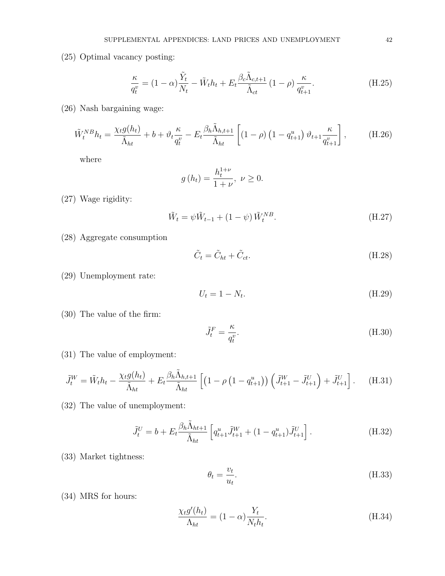(25) Optimal vacancy posting:

$$
\frac{\kappa}{q_t^v} = (1 - \alpha) \frac{\tilde{Y}_t}{N_t} - \tilde{W}_t h_t + E_t \frac{\beta_c \tilde{\Lambda}_{c,t+1}}{\tilde{\Lambda}_{ct}} (1 - \rho) \frac{\kappa}{q_{t+1}^v}.
$$
(H.25)

(26) Nash bargaining wage:

$$
\tilde{W}_t^{NB}h_t = \frac{\chi_t g(h_t)}{\tilde{\Lambda}_{ht}} + b + \vartheta_t \frac{\kappa}{q_t^v} - E_t \frac{\beta_h \tilde{\Lambda}_{h,t+1}}{\tilde{\Lambda}_{ht}} \left[ (1 - \rho) \left( 1 - q_{t+1}^u \right) \vartheta_{t+1} \frac{\kappa}{q_{t+1}^v} \right], \tag{H.26}
$$

where

$$
g(h_t) = \frac{h_t^{1+\nu}}{1+\nu}, \ \nu \ge 0.
$$

(27) Wage rigidity:

$$
\tilde{W}_t = \psi \tilde{W}_{t-1} + (1 - \psi) \tilde{W}_t^{NB}.
$$
\n(H.27)

(28) Aggregate consumption

$$
\tilde{C}_t = \tilde{C}_{ht} + \tilde{C}_{ct}.
$$
\n(H.28)

(29) Unemployment rate:

$$
U_t = 1 - N_t. \tag{H.29}
$$

(30) The value of the firm:

$$
\tilde{J}_t^F = \frac{\kappa}{q_t^v}.\tag{H.30}
$$

(31) The value of employment:

$$
\tilde{J}_t^W = \tilde{W}_t h_t - \frac{\chi_t g(h_t)}{\tilde{\Lambda}_{ht}} + E_t \frac{\beta_h \tilde{\Lambda}_{h,t+1}}{\tilde{\Lambda}_{ht}} \left[ \left( 1 - \rho \left( 1 - q_{t+1}^u \right) \right) \left( \tilde{J}_{t+1}^W - \tilde{J}_{t+1}^U \right) + \tilde{J}_{t+1}^U \right]. \tag{H.31}
$$

(32) The value of unemployment:

$$
\tilde{J}_t^U = b + E_t \frac{\beta_h \tilde{\Lambda}_{ht+1}}{\tilde{\Lambda}_{ht}} \left[ q_{t+1}^u \tilde{J}_{t+1}^W + (1 - q_{t+1}^u) \tilde{J}_{t+1}^U \right].
$$
\n(H.32)

(33) Market tightness:

$$
\theta_t = \frac{v_t}{u_t}.\tag{H.33}
$$

(34) MRS for hours:

$$
\frac{\chi_t g'(h_t)}{\Lambda_{ht}} = (1 - \alpha) \frac{Y_t}{N_t h_t}.
$$
\n(H.34)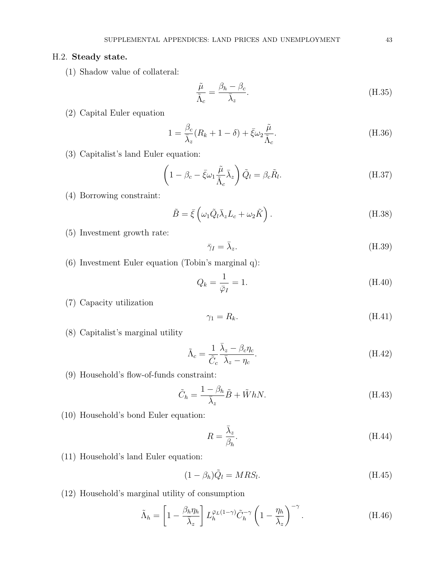#### H.2. Steady state.

(1) Shadow value of collateral:

$$
\frac{\tilde{\mu}}{\tilde{\Lambda}_c} = \frac{\beta_h - \beta_c}{\bar{\lambda}_z}.
$$
\n(H.35)

(2) Capital Euler equation

$$
1 = \frac{\beta_c}{\bar{\lambda}_z} (R_k + 1 - \delta) + \bar{\xi} \omega_2 \frac{\tilde{\mu}}{\tilde{\Lambda}_c}.
$$
 (H.36)

(3) Capitalist's land Euler equation:

$$
\left(1 - \beta_c - \bar{\xi}\omega_1 \frac{\tilde{\mu}}{\tilde{\Lambda}_c} \bar{\lambda}_z\right) \tilde{Q}_l = \beta_c \tilde{R}_l.
$$
\n(H.37)

(4) Borrowing constraint:

$$
\tilde{B} = \bar{\xi} \left( \omega_1 \tilde{Q}_l \bar{\lambda}_z L_c + \omega_2 \tilde{K} \right). \tag{H.38}
$$

- (5) Investment growth rate:
- $\bar{\gamma}_I = \bar{\lambda}_z.$  $(H.39)$
- (6) Investment Euler equation (Tobin's marginal q):

$$
Q_k = \frac{1}{\bar{\varphi}_I} = 1. \tag{H.40}
$$

(7) Capacity utilization

$$
\gamma_1 = R_k. \tag{H.41}
$$

(8) Capitalist's marginal utility

$$
\tilde{\Lambda}_c = \frac{1}{\tilde{C}_c} \frac{\bar{\lambda}_z - \beta_c \eta_c}{\bar{\lambda}_z - \eta_c}.
$$
\n(H.42)

(9) Household's flow-of-funds constraint:

$$
\tilde{C}_h = \frac{1 - \beta_h}{\bar{\lambda}_z} \tilde{B} + \tilde{W} h N. \tag{H.43}
$$

(10) Household's bond Euler equation:

$$
R = \frac{\bar{\lambda}_z}{\beta_h}.\tag{H.44}
$$

(11) Household's land Euler equation:

$$
(1 - \beta_h)\tilde{Q}_l = MRS_l.
$$
\n(H.45)

(12) Household's marginal utility of consumption

$$
\tilde{\Lambda}_h = \left[1 - \frac{\beta_h \eta_h}{\bar{\lambda}_z}\right] L_h^{\bar{\varphi}_L(1-\gamma)} \tilde{C}_h^{-\gamma} \left(1 - \frac{\eta_h}{\bar{\lambda}_z}\right)^{-\gamma}.
$$
\n(H.46)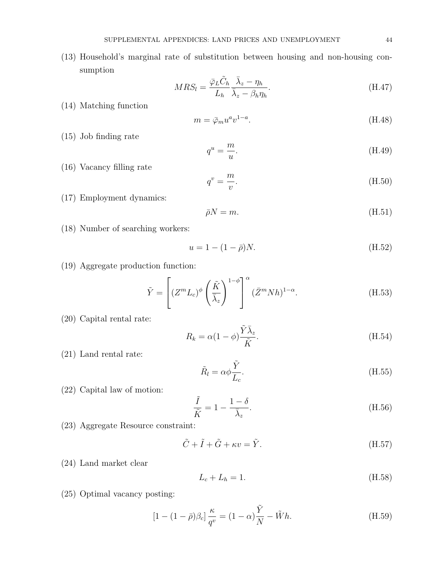(13) Household's marginal rate of substitution between housing and non-housing consumption

$$
MRS_l = \frac{\bar{\varphi}_L \tilde{C}_h}{L_h} \frac{\bar{\lambda}_z - \eta_h}{\bar{\lambda}_z - \beta_h \eta_h}.
$$
\n(H.47)

(14) Matching function

$$
m = \bar{\varphi}_m u^a v^{1-a}.\tag{H.48}
$$

(15) Job finding rate

$$
q^u = \frac{m}{u}.\tag{H.49}
$$

(16) Vacancy filling rate

$$
q^v = \frac{m}{v}.\tag{H.50}
$$

(17) Employment dynamics:

$$
\bar{\rho}N = m.\tag{H.51}
$$

(18) Number of searching workers:

$$
u = 1 - (1 - \bar{\rho})N.
$$
 (H.52)

(19) Aggregate production function:

$$
\tilde{Y} = \left[ (Z^m L_c)^{\phi} \left( \frac{\tilde{K}}{\bar{\lambda}_z} \right)^{1-\phi} \right]^{\alpha} (\bar{Z}^m N h)^{1-\alpha}.
$$
\n(H.53)

 $\sim$   $-$ 

(20) Capital rental rate:

$$
R_k = \alpha (1 - \phi) \frac{Y \lambda_z}{\tilde{K}}.
$$
\n(H.54)

(21) Land rental rate:

$$
\tilde{R}_l = \alpha \phi \frac{\tilde{Y}}{L_c}.
$$
\n(H.55)

(22) Capital law of motion:

$$
\frac{\tilde{I}}{\tilde{K}} = 1 - \frac{1 - \delta}{\bar{\lambda}_z}.
$$
\n(H.56)

(23) Aggregate Resource constraint:

$$
\tilde{C} + \tilde{I} + \tilde{G} + \kappa v = \tilde{Y}.
$$
\n(H.57)

(24) Land market clear

$$
L_c + L_h = 1.\t\t(H.58)
$$

(25) Optimal vacancy posting:

$$
[1 - (1 - \bar{\rho})\beta_c] \frac{\kappa}{q^v} = (1 - \alpha)\frac{\tilde{Y}}{N} - \tilde{W}h.
$$
 (H.59)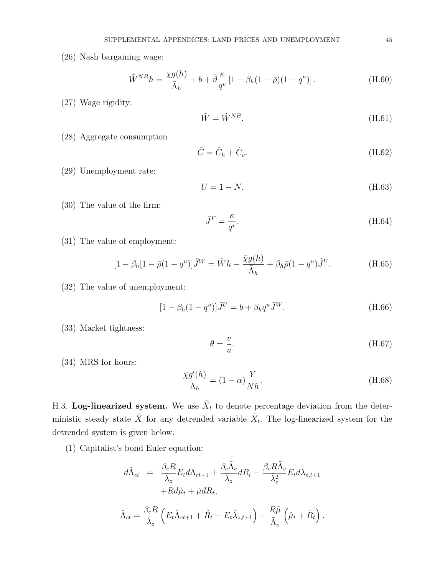(26) Nash bargaining wage:

$$
\tilde{W}^{NB}h = \frac{\chi g(h)}{\tilde{\Lambda}_h} + b + \bar{\vartheta}\frac{\kappa}{q^v} \left[1 - \beta_h(1-\bar{\rho})(1-q^u)\right].
$$
\n(H.60)

(27) Wage rigidity:

$$
\tilde{W} = \tilde{W}^{NB}.\tag{H.61}
$$

(28) Aggregate consumption

$$
\tilde{C} = \tilde{C}_h + \tilde{C}_c. \tag{H.62}
$$

(29) Unemployment rate:

$$
U = 1 - N.\tag{H.63}
$$

(30) The value of the firm:

$$
\tilde{J}^F = \frac{\kappa}{q^v}.\tag{H.64}
$$

(31) The value of employment:

$$
[1 - \beta_h[1 - \bar{\rho}(1 - q^u)]\tilde{J}^W = \tilde{W}h - \frac{\bar{\chi}g(h)}{\tilde{\Lambda}_h} + \beta_h\bar{\rho}(1 - q^u)\tilde{J}^U.
$$
 (H.65)

(32) The value of unemployment:

$$
[1 - \beta_h (1 - q^u)]\tilde{J}^U = b + \beta_h q^u \tilde{J}^W.
$$
 (H.66)

(33) Market tightness:

$$
\theta = \frac{v}{u}.\tag{H.67}
$$

(34) MRS for hours:

$$
\frac{\bar{\chi}g'(h)}{\Lambda_h} = (1 - \alpha)\frac{Y}{Nh}.\tag{H.68}
$$

H.3. Log-linearized system. We use  $\hat{X}_t$  to denote percentage deviation from the deterministic steady state  $\tilde{X}$  for any detrended variable  $\tilde{X}_t$ . The log-linearized system for the detrended system is given below.

(1) Capitalist's bond Euler equation:

$$
d\tilde{\Lambda}_{ct} = \frac{\beta_c R}{\bar{\lambda}_z} E_t d\Lambda_{ct+1} + \frac{\beta_c \tilde{\Lambda}_c}{\bar{\lambda}_z} dR_t - \frac{\beta_c R \tilde{\Lambda}_c}{\bar{\lambda}_z^2} E_t d\lambda_{z,t+1} + R d\tilde{\mu}_t + \tilde{\mu} dR_t,
$$

$$
\hat{\Lambda}_{ct} = \frac{\beta_c R}{\bar{\lambda}_z} \left( E_t \hat{\Lambda}_{ct+1} + \hat{R}_t - E_t \hat{\lambda}_{z,t+1} \right) + \frac{R\tilde{\mu}}{\tilde{\Lambda}_c} \left( \hat{\mu}_t + \hat{R}_t \right).
$$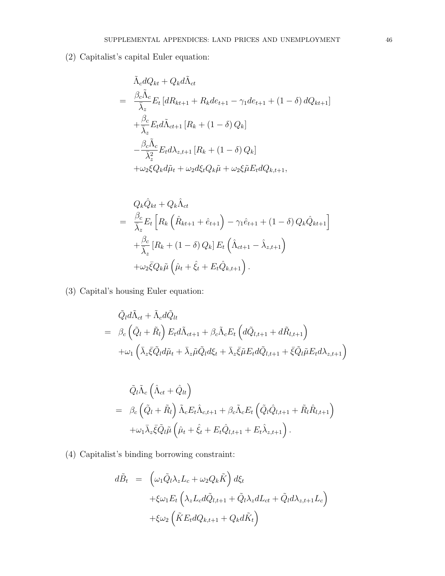(2) Capitalist's capital Euler equation:

$$
\tilde{\Lambda}_c dQ_{kt} + Q_k d\tilde{\Lambda}_{ct}
$$
\n
$$
= \frac{\beta_c \tilde{\Lambda}_c}{\bar{\lambda}_z} E_t \left[ dR_{kt+1} + R_k d e_{t+1} - \gamma_1 d e_{t+1} + (1 - \delta) d Q_{kt+1} \right]
$$
\n
$$
+ \frac{\beta_c}{\bar{\lambda}_z} E_t d\tilde{\Lambda}_{ct+1} \left[ R_k + (1 - \delta) Q_k \right]
$$
\n
$$
- \frac{\beta_c \tilde{\Lambda}_c}{\bar{\lambda}_z^2} E_t d\lambda_{z,t+1} \left[ R_k + (1 - \delta) Q_k \right]
$$
\n
$$
+ \omega_2 \xi Q_k d\tilde{\mu}_t + \omega_2 d\xi_t Q_k \tilde{\mu} + \omega_2 \xi \tilde{\mu} E_t dQ_{k,t+1},
$$

$$
Q_k \hat{Q}_{kt} + Q_k \hat{\Lambda}_{ct}
$$
  
= 
$$
\frac{\beta_c}{\overline{\lambda}_z} E_t \left[ R_k \left( \hat{R}_{kt+1} + \hat{e}_{t+1} \right) - \gamma_1 \hat{e}_{t+1} + (1 - \delta) Q_k \hat{Q}_{kt+1} \right]
$$
  
+ 
$$
\frac{\beta_c}{\overline{\lambda}_z} \left[ R_k + (1 - \delta) Q_k \right] E_t \left( \hat{\Lambda}_{ct+1} - \hat{\lambda}_{z,t+1} \right)
$$
  
+ 
$$
\omega_2 \overline{\xi} Q_k \tilde{\mu} \left( \hat{\mu}_t + \hat{\xi}_t + E_t \hat{Q}_{k,t+1} \right).
$$

(3) Capital's housing Euler equation:

$$
\tilde{Q}_l d\tilde{\Lambda}_{ct} + \tilde{\Lambda}_c d\tilde{Q}_{lt} \n= \beta_c \left( \tilde{Q}_l + \tilde{R}_l \right) E_t d\tilde{\Lambda}_{ct+1} + \beta_c \tilde{\Lambda}_c E_t \left( d\tilde{Q}_{l,t+1} + d\tilde{R}_{l,t+1} \right) \n+ \omega_1 \left( \bar{\lambda}_z \bar{\xi} \tilde{Q}_l d\tilde{\mu}_t + \bar{\lambda}_z \tilde{\mu} \tilde{Q}_l d\xi_t + \bar{\lambda}_z \bar{\xi} \tilde{\mu} E_t d\tilde{Q}_{l,t+1} + \bar{\xi} \tilde{Q}_l \tilde{\mu} E_t d\lambda_{z,t+1} \right)
$$

$$
\tilde{Q}_{l}\tilde{\Lambda}_{c}\left(\hat{\Lambda}_{ct}+\hat{Q}_{lt}\right) \n= \beta_{c}\left(\tilde{Q}_{l}+\tilde{R}_{l}\right)\tilde{\Lambda}_{c}E_{t}\hat{\Lambda}_{c,t+1}+\beta_{c}\tilde{\Lambda}_{c}E_{t}\left(\tilde{Q}_{l}\hat{Q}_{l,t+1}+\tilde{R}_{l}\hat{R}_{l,t+1}\right) \n+\omega_{1}\bar{\lambda}_{z}\bar{\xi}\tilde{Q}_{l}\tilde{\mu}\left(\hat{\mu}_{t}+\hat{\xi}_{t}+E_{t}\hat{Q}_{l,t+1}+E_{t}\hat{\lambda}_{z,t+1}\right).
$$

(4) Capitalist's binding borrowing constraint:

$$
d\tilde{B}_t = \left(\omega_1 \tilde{Q}_l \lambda_z L_c + \omega_2 Q_k \tilde{K}\right) d\xi_t
$$
  
+
$$
\xi \omega_1 E_t \left(\lambda_z L_c d\tilde{Q}_{l,t+1} + \tilde{Q}_l \lambda_z dL_{ct} + \tilde{Q}_l d\lambda_{z,t+1} L_c\right)
$$
  
+
$$
\xi \omega_2 \left(\tilde{K} E_t dQ_{k,t+1} + Q_k d\tilde{K}_t\right)
$$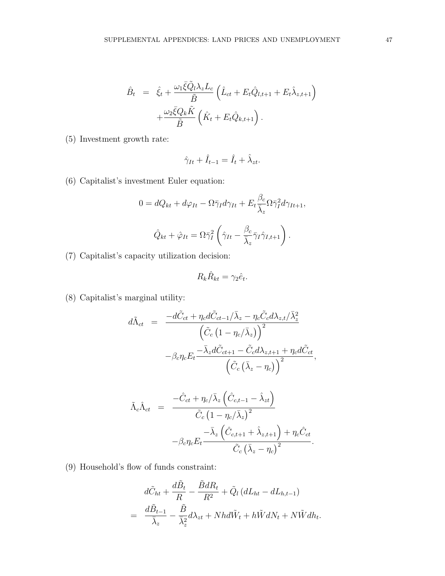$$
\hat{B}_t = \hat{\xi}_t + \frac{\omega_1 \bar{\xi} \tilde{Q}_l \lambda_z L_c}{\tilde{B}} \left( \hat{L}_{ct} + E_t \hat{Q}_{l,t+1} + E_t \hat{\lambda}_{z,t+1} \right) \n+ \frac{\omega_2 \bar{\xi} Q_k \tilde{K}}{\tilde{B}} \left( \hat{K}_t + E_t \hat{Q}_{k,t+1} \right).
$$

(5) Investment growth rate:

$$
\hat{\gamma}_{It} + \hat{I}_{t-1} = \hat{I}_t + \hat{\lambda}_{zt}.
$$

(6) Capitalist's investment Euler equation:

$$
0 = dQ_{kt} + d\varphi_{It} - \Omega \bar{\gamma}_I d\gamma_{It} + E_t \frac{\beta_c}{\bar{\lambda}_z} \Omega \bar{\gamma}_I^2 d\gamma_{It+1},
$$

$$
\hat{Q}_{kt} + \hat{\varphi}_{It} = \Omega \bar{\gamma}_I^2 \left( \hat{\gamma}_{It} - \frac{\beta_c}{\bar{\lambda}_z} \bar{\gamma}_I \hat{\gamma}_{I,t+1} \right).
$$

(7) Capitalist's capacity utilization decision:

$$
R_k \hat{R}_{kt} = \gamma_2 \hat{e}_t.
$$

(8) Capitalist's marginal utility:

$$
d\tilde{\Lambda}_{ct} = \frac{-d\tilde{C}_{ct} + \eta_c d\tilde{C}_{ct-1}/\bar{\lambda}_z - \eta_c \tilde{C}_c d\lambda_{z,t}/\bar{\lambda}_z^2}{\left(\tilde{C}_c (1 - \eta_c/\bar{\lambda}_z)\right)^2} - \beta_c \eta_c E_t \frac{-\bar{\lambda}_z d\tilde{C}_{ct+1} - \tilde{C}_c d\lambda_{z,t+1} + \eta_c d\tilde{C}_{ct}}{\left(\tilde{C}_c (\bar{\lambda}_z - \eta_c)\right)^2},
$$

$$
\tilde{\Lambda}_{c}\hat{\Lambda}_{ct} = \frac{-\hat{C}_{ct} + \eta_{c}/\bar{\lambda}_{z} \left(\hat{C}_{c,t-1} - \hat{\lambda}_{zt}\right)}{\tilde{C}_{c} \left(1 - \eta_{c}/\bar{\lambda}_{z}\right)^{2}} -\beta_{c}\eta_{c}E_{t} \frac{-\bar{\lambda}_{z} \left(\hat{C}_{c,t+1} + \hat{\lambda}_{z,t+1}\right) + \eta_{c}\hat{C}_{ct}}{\tilde{C}_{c} \left(\bar{\lambda}_{z} - \eta_{c}\right)^{2}}.
$$

(9) Household's flow of funds constraint:

$$
d\tilde{C}_{ht} + \frac{d\tilde{B}_t}{R} - \frac{\tilde{B}dR_t}{R^2} + \tilde{Q}_l (dL_{ht} - dL_{h,t-1})
$$
  
= 
$$
\frac{d\tilde{B}_{t-1}}{\bar{\lambda}_z} - \frac{\tilde{B}}{\bar{\lambda}_z^2} d\lambda_{zt} + Nhd\tilde{W}_t + h\tilde{W}dN_t + N\tilde{W}dh_t.
$$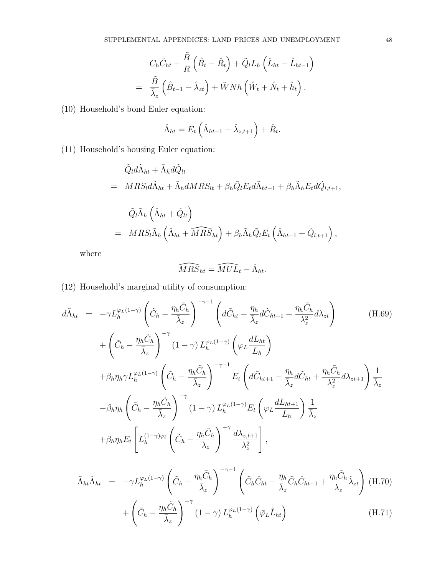$$
C_h \hat{C}_{ht} + \frac{\tilde{B}}{R} \left( \hat{B}_t - \hat{R}_t \right) + \tilde{Q}_l L_h \left( \hat{L}_{ht} - \hat{L}_{ht-1} \right)
$$
  
=  $\frac{\tilde{B}}{\overline{\lambda}_z} \left( \hat{B}_{t-1} - \hat{\lambda}_{zt} \right) + \tilde{W} N h \left( \hat{W}_t + \hat{N}_t + \hat{h}_t \right).$ 

(10) Household's bond Euler equation:

$$
\hat{\Lambda}_{ht} = E_t \left( \hat{\Lambda}_{ht+1} - \hat{\lambda}_{z,t+1} \right) + \hat{R}_t.
$$

(11) Household's housing Euler equation:

$$
\tilde{Q}_l d\tilde{\Lambda}_{ht} + \tilde{\Lambda}_h d\tilde{Q}_{lt}
$$
\n
$$
= MRS_l d\tilde{\Lambda}_{ht} + \tilde{\Lambda}_h dMRS_{lt} + \beta_h \tilde{Q}_l E_t d\tilde{\Lambda}_{ht+1} + \beta_h \tilde{\Lambda}_h E_t d\tilde{Q}_{l,t+1},
$$
\n
$$
\tilde{Q}_l \tilde{\Lambda}_h \left( \hat{\Lambda}_{ht} + \hat{Q}_{lt} \right)
$$
\n
$$
= MRS_l \tilde{\Lambda}_h \left( \hat{\Lambda}_{ht} + \widehat{MRS}_{ht} \right) + \beta_h \tilde{\Lambda}_h \tilde{Q}_l E_t \left( \hat{\Lambda}_{ht+1} + \hat{Q}_{l,t+1} \right),
$$

where

$$
\widehat{MRS}_{ht} = \widehat{MUL}_t - \hat{\Lambda}_{ht}.
$$

(12) Household's marginal utility of consumption:

$$
d\tilde{\Lambda}_{ht} = -\gamma L_h^{\varphi_L(1-\gamma)} \left( \tilde{C}_h - \frac{\eta_h \tilde{C}_h}{\bar{\lambda}_z} \right)^{-\gamma-1} \left( d\tilde{C}_{ht} - \frac{\eta_h}{\bar{\lambda}_z} d\tilde{C}_{ht-1} + \frac{\eta_h \tilde{C}_h}{\lambda_z^2} d\lambda_{zt} \right)
$$
\n
$$
+ \left( \tilde{C}_h - \frac{\eta_h \tilde{C}_h}{\bar{\lambda}_z} \right)^{-\gamma} (1-\gamma) L_h^{\varphi_L(1-\gamma)} \left( \varphi_L \frac{dL_{ht}}{L_h} \right)
$$
\n
$$
+ \beta_h \eta_h \gamma L_h^{\varphi_L(1-\gamma)} \left( \tilde{C}_h - \frac{\eta_h \tilde{C}_h}{\bar{\lambda}_z} \right)^{-\gamma-1} E_t \left( d\tilde{C}_{ht+1} - \frac{\eta_h}{\bar{\lambda}_z} d\tilde{C}_{ht} + \frac{\eta_h \tilde{C}_h}{\lambda_z^2} d\lambda_{zt+1} \right) \frac{1}{\bar{\lambda}_z}
$$
\n
$$
- \beta_h \eta_h \left( \tilde{C}_h - \frac{\eta_h \tilde{C}_h}{\bar{\lambda}_z} \right)^{-\gamma} (1-\gamma) L_h^{\varphi_L(1-\gamma)} E_t \left( \varphi_L \frac{dL_{ht+1}}{L_h} \right) \frac{1}{\bar{\lambda}_z}
$$
\n
$$
+ \beta_h \eta_h E_t \left[ L_h^{(1-\gamma)\varphi_l} \left( \tilde{C}_h - \frac{\eta_h \tilde{C}_h}{\lambda_z} \right)^{-\gamma} \frac{d\lambda_{z,t+1}}{\lambda_z^2} \right],
$$
\n(11.69)

$$
\tilde{\Lambda}_{ht}\hat{\Lambda}_{ht} = -\gamma L_h^{\varphi_L(1-\gamma)} \left( \tilde{C}_h - \frac{\eta_h \tilde{C}_h}{\bar{\lambda}_z} \right)^{-\gamma - 1} \left( \tilde{C}_h \hat{C}_{ht} - \frac{\eta_h}{\bar{\lambda}_z} \tilde{C}_h \hat{C}_{ht-1} + \frac{\eta_h \tilde{C}_h}{\lambda_z} \hat{\lambda}_{zt} \right) \text{ (H.70)} \n+ \left( \tilde{C}_h - \frac{\eta_h \tilde{C}_h}{\bar{\lambda}_z} \right)^{-\gamma} \left( 1 - \gamma \right) L_h^{\varphi_L(1-\gamma)} \left( \bar{\varphi}_L \hat{L}_{ht} \right) \tag{H.71}
$$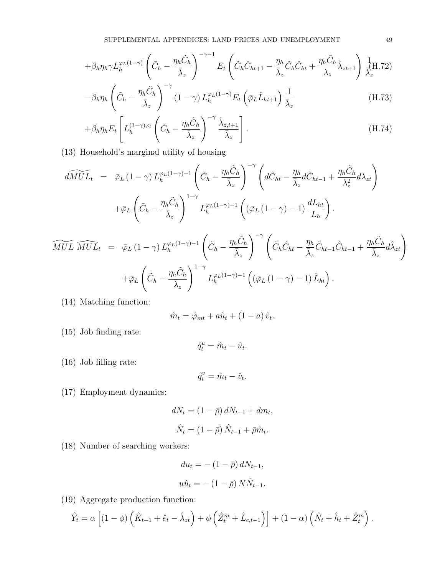$$
+\beta_h \eta_h \gamma L_h^{\varphi_L(1-\gamma)} \left(\tilde{C}_h - \frac{\eta_h \tilde{C}_h}{\bar{\lambda}_z}\right)^{-\gamma-1} E_t \left(\tilde{C}_h \hat{C}_{ht+1} - \frac{\eta_h}{\bar{\lambda}_z} \tilde{C}_h \hat{C}_{ht} + \frac{\eta_h \tilde{C}_h}{\lambda_z} \hat{\lambda}_{zt+1}\right) \frac{1}{\bar{\lambda}_z^{\{1\}}}
$$

$$
-\beta_h \eta_h \left(\tilde{C}_h - \frac{\eta_h \tilde{C}_h}{\bar{\lambda}_z}\right)^{-\gamma} (1-\gamma) L_h^{\varphi_L(1-\gamma)} E_t \left(\bar{\varphi}_L \hat{L}_{ht+1}\right) \frac{1}{\bar{\lambda}_z}
$$
(H.73)

$$
+\beta_h \eta_h E_t \left[ L_h^{(1-\gamma)\varphi_l} \left( \tilde{C}_h - \frac{\eta_h \tilde{C}_h}{\bar{\lambda}_z} \right)^{-\gamma} \frac{\hat{\lambda}_{z,t+1}}{\bar{\lambda}_z} \right].
$$
\n(H.74)

(13) Household's marginal utility of housing

$$
d\widetilde{MUL}_t = \bar{\varphi}_L (1 - \gamma) L_h^{\varphi_L (1 - \gamma) - 1} \left( \tilde{C}_h - \frac{\eta_h \tilde{C}_h}{\bar{\lambda}_z} \right)^{-\gamma} \left( d\tilde{C}_{ht} - \frac{\eta_h}{\bar{\lambda}_z} d\tilde{C}_{ht-1} + \frac{\eta_h \tilde{C}_h}{\lambda_z^2} d\lambda_{zt} \right)
$$

$$
+ \bar{\varphi}_L \left( \tilde{C}_h - \frac{\eta_h \tilde{C}_h}{\bar{\lambda}_z} \right)^{1 - \gamma} L_h^{\varphi_L (1 - \gamma) - 1} \left( (\bar{\varphi}_L (1 - \gamma) - 1) \frac{dL_{ht}}{L_h} \right).
$$

$$
\widetilde{MUL} \; \widehat{MUL}_t \; = \; \bar{\varphi}_L \left(1-\gamma\right) L_h^{\varphi_L(1-\gamma)-1} \left(\tilde{C}_h - \frac{\eta_h \tilde{C}_h}{\bar{\lambda}_z}\right)^{-\gamma} \left(\tilde{C}_h \hat{C}_{ht} - \frac{\eta_h}{\bar{\lambda}_z} \tilde{C}_{ht-1} \hat{C}_{ht-1} + \frac{\eta_h \tilde{C}_h}{\bar{\lambda}_z} d\hat{\lambda}_{zt}\right) +\bar{\varphi}_L \left(\tilde{C}_h - \frac{\eta_h \tilde{C}_h}{\bar{\lambda}_z}\right)^{1-\gamma} L_h^{\varphi_L(1-\gamma)-1} \left((\bar{\varphi}_L \left(1-\gamma\right)-1) \hat{L}_{ht}\right).
$$

(14) Matching function:

$$
\hat{m}_t = \hat{\varphi}_{mt} + a\hat{u}_t + (1 - a)\hat{v}_t.
$$

(15) Job finding rate:

 $\hat{q}_t^u = \hat{m}_t - \hat{u}_t.$ 

(16) Job filling rate:

$$
\hat{q}^v_t = \hat{m}_t - \hat{v}_t.
$$

(17) Employment dynamics:

$$
dN_t = (1 - \bar{\rho}) dN_{t-1} + dm_t,
$$
  

$$
\hat{N}_t = (1 - \bar{\rho}) \hat{N}_{t-1} + \bar{\rho} \hat{m}_t.
$$

(18) Number of searching workers:

$$
du_t = -(1 - \bar{\rho}) dN_{t-1},
$$
  

$$
u\hat{u}_t = -(1 - \bar{\rho}) N \hat{N}_{t-1}.
$$

(19) Aggregate production function:

$$
\hat{Y}_t = \alpha \left[ (1 - \phi) \left( \hat{K}_{t-1} + \hat{e}_t - \hat{\lambda}_{zt} \right) + \phi \left( \hat{Z}_t^m + \hat{L}_{c,t-1} \right) \right] + (1 - \alpha) \left( \hat{N}_t + \hat{h}_t + \hat{Z}_t^m \right).
$$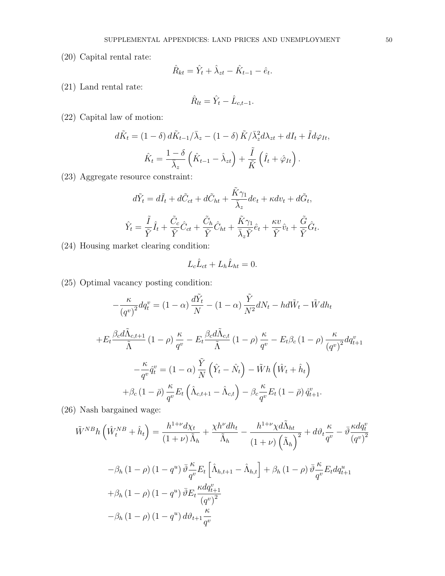(20) Capital rental rate:

$$
\hat{R}_{kt} = \hat{Y}_t + \hat{\lambda}_{zt} - \hat{K}_{t-1} - \hat{e}_t.
$$

(21) Land rental rate:

$$
\hat{R}_{lt} = \hat{Y}_t - \hat{L}_{c,t-1}.
$$

(22) Capital law of motion:

$$
d\tilde{K}_t = (1 - \delta) d\tilde{K}_{t-1}/\bar{\lambda}_z - (1 - \delta) \tilde{K}/\bar{\lambda}_z^2 d\lambda_{zt} + dI_t + \tilde{I} d\varphi_{It},
$$

$$
\hat{K}_t = \frac{1 - \delta}{\bar{\lambda}_z} \left( \hat{K}_{t-1} - \hat{\lambda}_{zt} \right) + \frac{\tilde{I}}{\tilde{K}} \left( \hat{I}_t + \hat{\varphi}_{It} \right).
$$

(23) Aggregate resource constraint:

$$
d\tilde{Y}_t = d\tilde{I}_t + d\tilde{C}_{ct} + d\tilde{C}_{ht} + \frac{\tilde{K}\gamma_1}{\bar{\lambda}_z}de_t + \kappa dv_t + d\tilde{G}_t,
$$
  

$$
\hat{Y}_t = \frac{\tilde{I}}{\tilde{Y}}\hat{I}_t + \frac{\tilde{C}_c}{\tilde{Y}}\hat{C}_{ct} + \frac{\tilde{C}_h}{\tilde{Y}}\hat{C}_{ht} + \frac{\tilde{K}\gamma_1}{\bar{\lambda}_z\tilde{Y}}\hat{e}_t + \frac{\kappa v}{\tilde{Y}}\hat{v}_t + \frac{\tilde{G}}{\tilde{Y}}\hat{G}_t.
$$

(24) Housing market clearing condition:

$$
L_c \hat{L}_{ct} + L_h \hat{L}_{ht} = 0.
$$

(25) Optimal vacancy posting condition:

$$
-\frac{\kappa}{(q^v)^2} dq_t^v = (1 - \alpha) \frac{d\tilde{Y}_t}{N} - (1 - \alpha) \frac{\tilde{Y}}{N^2} dN_t - hd\tilde{W}_t - \tilde{W} dh_t
$$
  
+
$$
E_t \frac{\beta_c d\tilde{\Lambda}_{c,t+1}}{\tilde{\Lambda}} (1 - \rho) \frac{\kappa}{q^v} - E_t \frac{\beta_c d\tilde{\Lambda}_{c,t}}{\tilde{\Lambda}} (1 - \rho) \frac{\kappa}{q^v} - E_t \beta_c (1 - \rho) \frac{\kappa}{(q^v)^2} dq_{t+1}^v
$$
  

$$
-\frac{\kappa}{q^v} \hat{q}_t^v = (1 - \alpha) \frac{\tilde{Y}}{N} (\hat{Y}_t - \hat{N}_t) - \tilde{W} h (\hat{W}_t + \hat{h}_t)
$$
  
+
$$
\beta_c (1 - \bar{\rho}) \frac{\kappa}{q^v} E_t (\hat{\Lambda}_{c,t+1} - \hat{\Lambda}_{c,t}) - \beta_c \frac{\kappa}{q^v} E_t (1 - \bar{\rho}) \hat{q}_{t+1}^v.
$$

(26) Nash bargained wage:

$$
\tilde{W}^{NB}h\left(\hat{W}^{NB}_t + \hat{h}_t\right) = \frac{h^{1+\nu}d\chi_t}{(1+\nu)\tilde{\Lambda}_h} + \frac{\chi h^{\nu}dh_t}{\tilde{\Lambda}_h} - \frac{h^{1+\nu}\chi d\tilde{\Lambda}_{ht}}{(1+\nu)\left(\tilde{\Lambda}_h\right)^2} + d\vartheta_t \frac{\kappa}{q^v} - \bar{\vartheta}\frac{\kappa dq^v_t}{(q^v)^2}
$$

$$
-\beta_h(1-\rho)(1-q^u)\bar{\vartheta}\frac{\kappa}{q^v}E_t\left[\hat{\Lambda}_{h,t+1} - \hat{\Lambda}_{h,t}\right] + \beta_h(1-\rho)\bar{\vartheta}\frac{\kappa}{q^v}E_t dq^u_{t+1}
$$

$$
+\beta_h(1-\rho)(1-q^u)\bar{\vartheta}E_t \frac{\kappa dq^v_{t+1}}{(q^v)^2}
$$

$$
-\beta_h(1-\rho)(1-q^u)d\vartheta_{t+1}\frac{\kappa}{q^v}
$$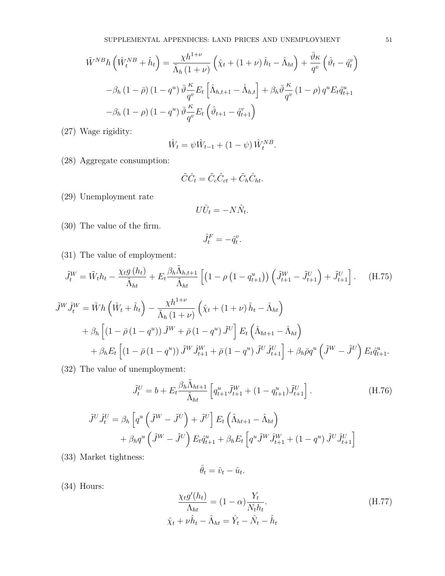$$
\tilde{W}^{NB}h\left(\hat{W}^{NB}_t + \hat{h}_t\right) = \frac{\chi h^{1+\nu}}{\tilde{\Lambda}_h(1+\nu)}\left(\hat{\chi}_t + (1+\nu)\,\hat{h}_t - \hat{\Lambda}_{ht}\right) + \frac{\bar{\vartheta}\kappa}{q^v}\left(\hat{\vartheta}_t - \hat{q}^v_t\right)
$$

$$
-\beta_h\left(1-\bar{\rho}\right)\left(1-q^u\right)\bar{\vartheta}\frac{\kappa}{q^v}E_t\left[\hat{\Lambda}_{h,t+1} - \hat{\Lambda}_{h,t}\right] + \beta_h\bar{\vartheta}\frac{\kappa}{q^v}\left(1-\rho\right)q^uE_t\hat{q}^u_{t+1}
$$

$$
-\beta_h\left(1-\rho\right)\left(1-q^u\right)\bar{\vartheta}\frac{\kappa}{q^v}E_t\left(\hat{\vartheta}_{t+1} - \hat{q}^v_{t+1}\right)
$$

(27) Wage rigidity:

$$
\hat{W}_t = \psi \hat{W}_{t-1} + (1 - \psi) \hat{W}_t^{NB}.
$$

(28) Aggregate consumption:

$$
\tilde{C}\hat{C}_t = \tilde{C}_c\hat{C}_{ct} + \tilde{C}_h\hat{C}_{ht}.
$$

(29) Unemployment rate

$$
U\hat{U}_t = -N\hat{N}_t.
$$

(30) The value of the firm.

$$
\hat{J}_t^F = -\hat{q}_t^v.
$$

(31) The value of employment:

$$
\tilde{J}_t^W = \tilde{W}_t h_t - \frac{\chi_t g(h_t)}{\tilde{\Lambda}_{ht}} + E_t \frac{\beta_h \tilde{\Lambda}_{h,t+1}}{\tilde{\Lambda}_{ht}} \left[ \left( 1 - \rho \left( 1 - q_{t+1}^u \right) \right) \left( \tilde{J}_{t+1}^W - \tilde{J}_{t+1}^U \right) + \tilde{J}_{t+1}^U \right]. \tag{H.75}
$$

$$
\tilde{J}^{W}\hat{J}_{t}^{W} = \tilde{W}h\left(\hat{W}_{t} + \hat{h}_{t}\right) - \frac{\chi h^{1+\nu}}{\tilde{\Lambda}_{h}\left(1+\nu\right)}\left(\hat{\chi}_{t} + \left(1+\nu\right)\hat{h}_{t} - \hat{\Lambda}_{ht}\right) \n+ \beta_{h}\left[\left(1-\bar{\rho}\left(1-q^{u}\right)\right)\tilde{J}^{W} + \bar{\rho}\left(1-q^{u}\right)\tilde{J}^{U}\right]E_{t}\left(\hat{\Lambda}_{ht+1} - \hat{\Lambda}_{ht}\right) \n+ \beta_{h}E_{t}\left[\left(1-\bar{\rho}\left(1-q^{u}\right)\right)\tilde{J}^{W}\hat{J}_{t+1}^{W} + \bar{\rho}\left(1-q^{u}\right)\tilde{J}^{U}\hat{J}_{t+1}^{U}\right] + \beta_{h}\bar{\rho}q^{u}\left(\tilde{J}^{W} - \tilde{J}^{U}\right)E_{t}\hat{q}_{t+1}^{u}.
$$

(32) The value of unemployment:

$$
\tilde{J}_t^U = b + E_t \frac{\beta_h \tilde{\Lambda}_{ht+1}}{\tilde{\Lambda}_{ht}} \left[ q_{t+1}^u \tilde{J}_{t+1}^W + (1 - q_{t+1}^u) \tilde{J}_{t+1}^U \right].
$$
\n(H.76)

$$
\tilde{J}^{U}\hat{J}_{t}^{U} = \beta_{h} \left[ q^{u} \left( \tilde{J}^{W} - \tilde{J}^{U} \right) + \tilde{J}^{U} \right] E_{t} \left( \hat{\Lambda}_{ht+1} - \hat{\Lambda}_{ht} \right) + \beta_{h} q^{u} \left( \tilde{J}^{W} - \tilde{J}^{U} \right) E_{t} \hat{q}_{t+1}^{u} + \beta_{h} E_{t} \left[ q^{u} \tilde{J}^{W} \hat{J}_{t+1}^{W} + (1 - q^{u}) \tilde{J}^{U} \hat{J}_{t+1}^{U} \right]
$$

(33) Market tightness:

$$
\hat{\theta}_t = \hat{v}_t - \hat{u}_t.
$$

(34) Hours:

$$
\frac{\chi_t g'(h_t)}{\Lambda_{ht}} = (1 - \alpha) \frac{Y_t}{N_t h_t}.
$$
\n
$$
\hat{\chi}_t + \nu \hat{h}_t - \hat{\Lambda}_{ht} = \hat{Y}_t - \hat{N}_t - \hat{h}_t
$$
\n(H.77)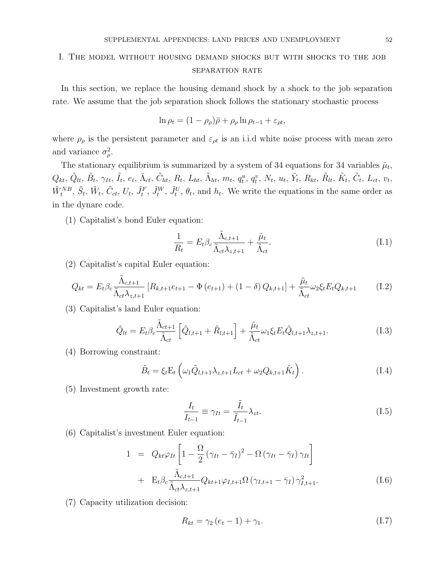# I. The model without housing demand shocks but with shocks to the job SEPARATION RATE

In this section, we replace the housing demand shock by a shock to the job separation rate. We assume that the job separation shock follows the stationary stochastic process

$$
\ln \rho_t = (1 - \rho_\rho)\bar{\rho} + \rho_\rho \ln \rho_{t-1} + \varepsilon_{\rho t},
$$

where  $\rho_{\rho}$  is the persistent parameter and  $\varepsilon_{\rho t}$  is an i.i.d white noise process with mean zero and variance  $\sigma_{\rho}^2$ .

The stationary equilibrium is summarized by a system of 34 equations for 34 variables  $\tilde{\mu}_t$ ,  $Q_{kt}, \, \tilde{Q}_{lt}, \, \tilde{B}_{t}, \, \gamma_{It}, \, \tilde{I}_{t}, \, e_{t}, \, \tilde{\Lambda}_{ct}, \, \tilde{C}_{ht}, \, R_{t}, \, L_{ht}, \, \tilde{\Lambda}_{ht}, \, m_{t}, \, q^{u}_{t}, \, q^{v}_{t}, \, N_{t}, \, u_{t}, \, \tilde{Y}_{t}, \, R_{kt}, \, \tilde{R}_{lt}, \, \tilde{K}_{t}, \, \tilde{C}_{t}, \, L_{ct}, \, v_{t}, \, \tilde{C}_{t}, \, \tilde{C}_{t}, \, \tilde{C}_{t}, \, \tilde{C}_{t$  $\tilde{W}_t^{NB}$ ,  $\tilde{S}_t$ ,  $\tilde{W}_t$ ,  $\tilde{C}_{ct}$ ,  $U_t$ ,  $\tilde{J}_t^F$ ,  $\tilde{J}_t^W$ ,  $\tilde{J}_t^U$ ,  $\theta_t$ , and  $h_t$ . We write the equations in the same order as in the dynare code.

(1) Capitalist's bond Euler equation:

$$
\frac{1}{R_t} = E_t \beta_c \frac{\tilde{\Lambda}_{c,t+1}}{\tilde{\Lambda}_{ct} \lambda_{z,t+1}} + \frac{\tilde{\mu}_t}{\tilde{\Lambda}_{ct}}.
$$
\n(I.1)

(2) Capitalist's capital Euler equation:

$$
Q_{kt} = E_t \beta_c \frac{\tilde{\Lambda}_{c,t+1}}{\tilde{\Lambda}_{ct} \lambda_{z,t+1}} \left[ R_{k,t+1} e_{t+1} - \Phi \left( e_{t+1} \right) + (1 - \delta) Q_{k,t+1} \right] + \frac{\tilde{\mu}_t}{\tilde{\Lambda}_{ct}} \omega_2 \xi_t E_t Q_{k,t+1}
$$
(I.2)

(3) Capitalist's land Euler equation:

$$
\tilde{Q}_{lt} = E_t \beta_c \frac{\tilde{\Lambda}_{ct+1}}{\tilde{\Lambda}_{ct}} \left[ \tilde{Q}_{l,t+1} + \tilde{R}_{l,t+1} \right] + \frac{\tilde{\mu}_t}{\tilde{\Lambda}_{ct}} \omega_1 \xi_t E_t \tilde{Q}_{l,t+1} \lambda_{z,t+1}.
$$
\n(1.3)

(4) Borrowing constraint:

$$
\tilde{B}_t = \xi_t \mathcal{E}_t \left( \omega_1 \tilde{Q}_{l,t+1} \lambda_{z,t+1} L_{ct} + \omega_2 Q_{k,t+1} \tilde{K}_t \right). \tag{I.4}
$$

(5) Investment growth rate:

$$
\frac{I_t}{I_{t-1}} \equiv \gamma_{It} = \frac{\tilde{I}_t}{\tilde{I}_{t-1}} \lambda_{zt}.
$$
\n(1.5)

(6) Capitalist's investment Euler equation:

$$
1 = Q_{kt}\varphi_{It} \left[ 1 - \frac{\Omega}{2} \left( \gamma_{It} - \bar{\gamma}_{I} \right)^{2} - \Omega \left( \gamma_{It} - \bar{\gamma}_{I} \right) \gamma_{It} \right] + \mathbf{E}_{t}\beta_{c} \frac{\tilde{\Lambda}_{c,t+1}}{\tilde{\Lambda}_{ct}\lambda_{z,t+1}} Q_{kt+1}\varphi_{I,t+1} \Omega \left( \gamma_{I,t+1} - \bar{\gamma}_{I} \right) \gamma_{I,t+1}^{2}.
$$
 (I.6)

(7) Capacity utilization decision:

$$
R_{kt} = \gamma_2 \left( e_t - 1 \right) + \gamma_1. \tag{I.7}
$$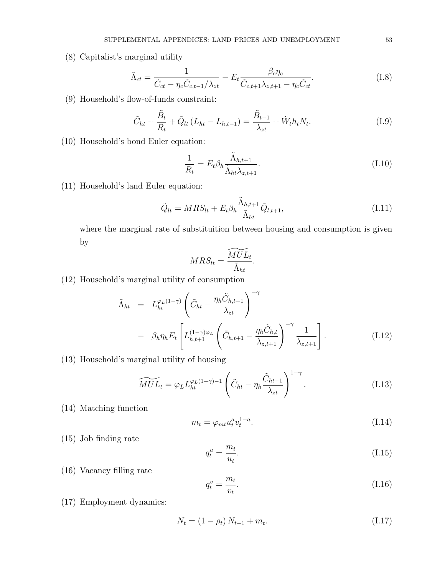(8) Capitalist's marginal utility

$$
\tilde{\Lambda}_{ct} = \frac{1}{\tilde{C}_{ct} - \eta_c \tilde{C}_{c,t-1} / \lambda_{zt}} - E_t \frac{\beta_c \eta_c}{\tilde{C}_{c,t+1} \lambda_{z,t+1} - \eta_c \tilde{C}_{ct}}.
$$
(I.8)

(9) Household's flow-of-funds constraint:

$$
\tilde{C}_{ht} + \frac{\tilde{B}_t}{R_t} + \tilde{Q}_{lt} (L_{ht} - L_{h,t-1}) = \frac{\tilde{B}_{t-1}}{\lambda_{zt}} + \tilde{W}_t h_t N_t.
$$
\n(1.9)

(10) Household's bond Euler equation:

$$
\frac{1}{R_t} = E_t \beta_h \frac{\tilde{\Lambda}_{h,t+1}}{\tilde{\Lambda}_{ht} \lambda_{z,t+1}}.
$$
\n(I.10)

(11) Household's land Euler equation:

$$
\tilde{Q}_{lt} = MRS_{lt} + E_t \beta_h \frac{\tilde{\Lambda}_{h,t+1}}{\tilde{\Lambda}_{ht}} \tilde{Q}_{l,t+1},
$$
\n(I.11)

where the marginal rate of substituition between housing and consumption is given by

$$
MRS_{lt} = \frac{\widetilde{MUL}_t}{\widetilde{\Lambda}_{ht}}.
$$

(12) Household's marginal utility of consumption

$$
\tilde{\Lambda}_{ht} = L_{ht}^{\varphi_L(1-\gamma)} \left( \tilde{C}_{ht} - \frac{\eta_h \tilde{C}_{h,t-1}}{\lambda_{zt}} \right)^{-\gamma} \n- \beta_h \eta_h E_t \left[ L_{h,t+1}^{(1-\gamma)\varphi_L} \left( \tilde{C}_{h,t+1} - \frac{\eta_h \tilde{C}_{h,t}}{\lambda_{z,t+1}} \right)^{-\gamma} \frac{1}{\lambda_{z,t+1}} \right].
$$
\n(I.12)

(13) Household's marginal utility of housing

$$
\widetilde{MUL}_t = \varphi_L L_{ht}^{\varphi_L(1-\gamma)-1} \left( \tilde{C}_{ht} - \eta_h \frac{\tilde{C}_{ht-1}}{\lambda_{zt}} \right)^{1-\gamma}.
$$
\n(1.13)

(14) Matching function

$$
m_t = \varphi_{mt} u_t^a v_t^{1-a}.\tag{I.14}
$$

(15) Job finding rate

$$
q_t^u = \frac{m_t}{u_t}.\tag{I.15}
$$

(16) Vacancy filling rate

$$
q_t^v = \frac{m_t}{v_t}.\tag{I.16}
$$

(17) Employment dynamics:

$$
N_t = (1 - \rho_t) N_{t-1} + m_t.
$$
\n(1.17)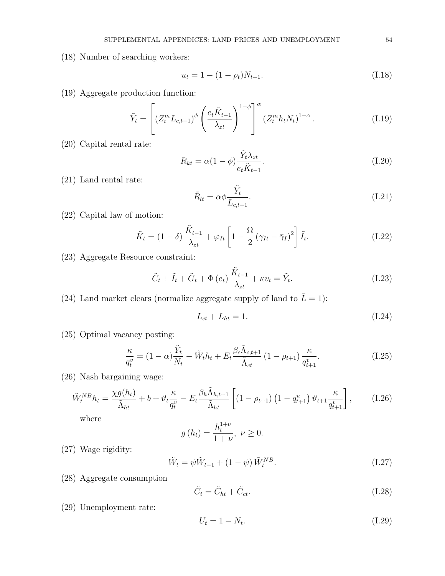(18) Number of searching workers:

$$
u_t = 1 - (1 - \rho_t)N_{t-1}.
$$
\n(1.18)

(19) Aggregate production function:

$$
\tilde{Y}_t = \left[ \left( Z_t^m L_{c,t-1} \right)^{\phi} \left( \frac{e_t \tilde{K}_{t-1}}{\lambda_{zt}} \right)^{1-\phi} \right]^{\alpha} \left( Z_t^m h_t N_t \right)^{1-\alpha} . \tag{I.19}
$$

(20) Capital rental rate:

$$
R_{kt} = \alpha (1 - \phi) \frac{\tilde{Y}_t \lambda_{zt}}{e_t \tilde{K}_{t-1}}.
$$
\n(1.20)

(21) Land rental rate:

$$
\tilde{R}_{lt} = \alpha \phi \frac{\tilde{Y}_t}{L_{c,t-1}}.
$$
\n(I.21)

(22) Capital law of motion:

$$
\tilde{K}_t = (1 - \delta) \frac{\tilde{K}_{t-1}}{\lambda_{zt}} + \varphi_{It} \left[ 1 - \frac{\Omega}{2} \left( \gamma_{It} - \bar{\gamma}_I \right)^2 \right] \tilde{I}_t.
$$
\n(1.22)

(23) Aggregate Resource constraint:

$$
\tilde{C}_t + \tilde{I}_t + \tilde{G}_t + \Phi(e_t) \frac{\tilde{K}_{t-1}}{\lambda_{zt}} + \kappa v_t = \tilde{Y}_t.
$$
\n(1.23)

(24) Land market clears (normalize aggregate supply of land to  $\bar{L} = 1$ ):

$$
L_{ct} + L_{ht} = 1.\t\t(1.24)
$$

(25) Optimal vacancy posting:

$$
\frac{\kappa}{q_t^v} = (1 - \alpha) \frac{\tilde{Y}_t}{N_t} - \tilde{W}_t h_t + E_t \frac{\beta_c \tilde{\Lambda}_{c,t+1}}{\tilde{\Lambda}_{ct}} (1 - \rho_{t+1}) \frac{\kappa}{q_{t+1}^v}.
$$
\n(1.25)

(26) Nash bargaining wage:

$$
\tilde{W}_t^{NB}h_t = \frac{\chi g(h_t)}{\tilde{\Lambda}_{ht}} + b + \vartheta_t \frac{\kappa}{q_t^v} - E_t \frac{\beta_h \tilde{\Lambda}_{h,t+1}}{\tilde{\Lambda}_{ht}} \left[ \left( 1 - \rho_{t+1} \right) \left( 1 - q_{t+1}^u \right) \vartheta_{t+1} \frac{\kappa}{q_{t+1}^v} \right],\tag{I.26}
$$

where

$$
g(h_t) = \frac{h_t^{1+\nu}}{1+\nu}, \ \nu \ge 0.
$$

(27) Wage rigidity:

$$
\tilde{W}_t = \psi \tilde{W}_{t-1} + (1 - \psi) \tilde{W}_t^{NB}.
$$
\n(1.27)

(28) Aggregate consumption

$$
\tilde{C}_t = \tilde{C}_{ht} + \tilde{C}_{ct}.
$$
\n(1.28)

(29) Unemployment rate:

$$
U_t = 1 - N_t. \t\t(1.29)
$$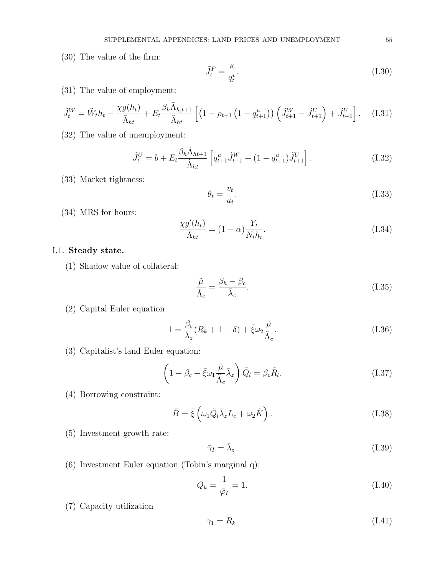(30) The value of the firm:

$$
\tilde{J}_t^F = \frac{\kappa}{q_t^v}.\tag{I.30}
$$

(31) The value of employment:

$$
\tilde{J}_t^W = \tilde{W}_t h_t - \frac{\chi g(h_t)}{\tilde{\Lambda}_{ht}} + E_t \frac{\beta_h \tilde{\Lambda}_{h,t+1}}{\tilde{\Lambda}_{ht}} \left[ \left( 1 - \rho_{t+1} \left( 1 - q_{t+1}^u \right) \right) \left( \tilde{J}_{t+1}^W - \tilde{J}_{t+1}^U \right) + \tilde{J}_{t+1}^U \right]. \tag{I.31}
$$

(32) The value of unemployment:

$$
\tilde{J}_t^U = b + E_t \frac{\beta_h \tilde{\Lambda}_{ht+1}}{\tilde{\Lambda}_{ht}} \left[ q_{t+1}^u \tilde{J}_{t+1}^W + (1 - q_{t+1}^u) \tilde{J}_{t+1}^U \right]. \tag{I.32}
$$

(33) Market tightness:

$$
\theta_t = \frac{v_t}{u_t}.\tag{I.33}
$$

(34) MRS for hours:

$$
\frac{\chi g'(h_t)}{\Lambda_{ht}} = (1 - \alpha) \frac{Y_t}{N_t h_t}.
$$
\n(1.34)

### I.1. Steady state.

(1) Shadow value of collateral:

$$
\frac{\tilde{\mu}}{\tilde{\Lambda}_c} = \frac{\beta_h - \beta_c}{\bar{\lambda}_z}.
$$
\n(1.35)

(2) Capital Euler equation

$$
1 = \frac{\beta_c}{\bar{\lambda}_z} (R_k + 1 - \delta) + \bar{\xi} \omega_2 \frac{\tilde{\mu}}{\tilde{\Lambda}_c}.
$$
 (I.36)

(3) Capitalist's land Euler equation:

$$
\left(1 - \beta_c - \bar{\xi}\omega_1 \frac{\tilde{\mu}}{\tilde{\Lambda}_c} \bar{\lambda}_z\right) \tilde{Q}_l = \beta_c \tilde{R}_l.
$$
\n(1.37)

(4) Borrowing constraint:

$$
\tilde{B} = \bar{\xi} \left( \omega_1 \tilde{Q}_l \bar{\lambda}_z L_c + \omega_2 \tilde{K} \right). \tag{I.38}
$$

(5) Investment growth rate:

$$
\bar{\gamma}_I = \bar{\lambda}_z. \tag{I.39}
$$

(6) Investment Euler equation (Tobin's marginal q):

$$
Q_k = \frac{1}{\bar{\varphi}_I} = 1. \tag{I.40}
$$

(7) Capacity utilization

$$
\gamma_1 = R_k. \tag{I.41}
$$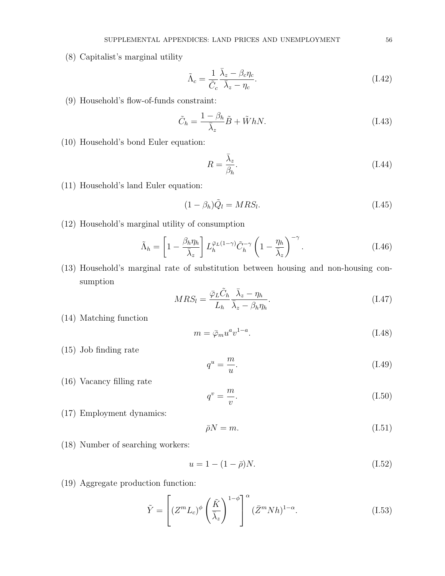(8) Capitalist's marginal utility

$$
\tilde{\Lambda}_c = \frac{1}{\tilde{C}_c} \frac{\bar{\lambda}_z - \beta_c \eta_c}{\bar{\lambda}_z - \eta_c}.
$$
\n(1.42)

(9) Household's flow-of-funds constraint:

$$
\tilde{C}_h = \frac{1 - \beta_h}{\bar{\lambda}_z} \tilde{B} + \tilde{W} h N. \tag{I.43}
$$

(10) Household's bond Euler equation:

$$
R = \frac{\bar{\lambda}_z}{\beta_h}.\tag{I.44}
$$

(11) Household's land Euler equation:

$$
(1 - \beta_h)\tilde{Q}_l = MRS_l.
$$
\n(1.45)

(12) Household's marginal utility of consumption

$$
\tilde{\Lambda}_h = \left[1 - \frac{\beta_h \eta_h}{\bar{\lambda}_z}\right] L_h^{\bar{\varphi}_L(1-\gamma)} \tilde{C}_h^{-\gamma} \left(1 - \frac{\eta_h}{\bar{\lambda}_z}\right)^{-\gamma}.
$$
\n(1.46)

(13) Household's marginal rate of substitution between housing and non-housing consumption

$$
MRS_l = \frac{\bar{\varphi}_L \tilde{C}_h}{L_h} \frac{\bar{\lambda}_z - \eta_h}{\bar{\lambda}_z - \beta_h \eta_h}.
$$
\n(1.47)

(14) Matching function

$$
m = \bar{\varphi}_m u^a v^{1-a}.\tag{I.48}
$$

(15) Job finding rate

$$
q^u = \frac{m}{u}.\tag{I.49}
$$

(16) Vacancy filling rate

$$
q^v = \frac{m}{v}.\tag{I.50}
$$

(17) Employment dynamics:

$$
\bar{\rho}N = m.\tag{I.51}
$$

(18) Number of searching workers:

$$
u = 1 - (1 - \bar{\rho})N.
$$
 (I.52)

(19) Aggregate production function:

$$
\tilde{Y} = \left[ (Z^m L_c)^{\phi} \left( \frac{\tilde{K}}{\bar{\lambda}_z} \right)^{1-\phi} \right]^{\alpha} (\bar{Z}^m N h)^{1-\alpha}.
$$
\n(1.53)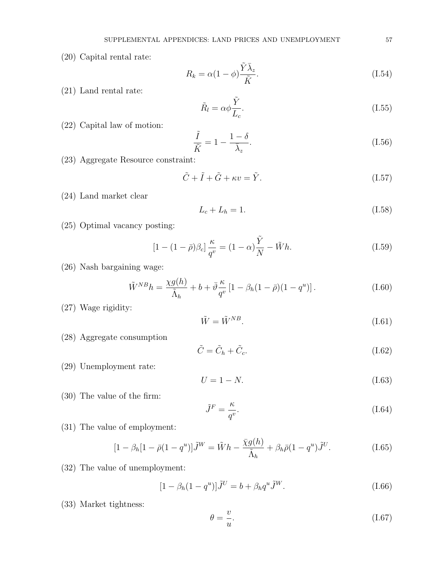(20) Capital rental rate:

$$
R_k = \alpha (1 - \phi) \frac{\tilde{Y} \bar{\lambda}_z}{\tilde{K}}.
$$
\n(1.54)

(21) Land rental rate:

$$
\tilde{R}_l = \alpha \phi \frac{\tilde{Y}}{L_c}.
$$
\n(1.55)

(22) Capital law of motion:

$$
\frac{\tilde{I}}{\tilde{K}} = 1 - \frac{1 - \delta}{\bar{\lambda}_z}.
$$
\n(1.56)

(23) Aggregate Resource constraint:

$$
\tilde{C} + \tilde{I} + \tilde{G} + \kappa v = \tilde{Y}.
$$
\n(1.57)

(24) Land market clear

$$
L_c + L_h = 1.\t\t(1.58)
$$

(25) Optimal vacancy posting:

$$
[1 - (1 - \bar{\rho})\beta_c] \frac{\kappa}{q^v} = (1 - \alpha)\frac{\tilde{Y}}{N} - \tilde{W}h.
$$
 (I.59)

(26) Nash bargaining wage:

$$
\tilde{W}^{NB}h = \frac{\chi g(h)}{\tilde{\Lambda}_h} + b + \bar{\vartheta}\frac{\kappa}{q^v} \left[1 - \beta_h(1-\bar{\rho})(1-q^u)\right].\tag{I.60}
$$

(27) Wage rigidity:

$$
\tilde{W} = \tilde{W}^{NB}.\tag{I.61}
$$

(28) Aggregate consumption

$$
\tilde{C} = \tilde{C}_h + \tilde{C}_c.
$$
\n(1.62)

(29) Unemployment rate:

$$
U = 1 - N.\tag{I.63}
$$

(30) The value of the firm:

$$
\tilde{J}^F = \frac{\kappa}{q^v}.\tag{I.64}
$$

(31) The value of employment:

$$
[1 - \beta_h[1 - \bar{\rho}(1 - q^u)]\tilde{J}^W = \tilde{W}h - \frac{\bar{\chi}g(h)}{\tilde{\Lambda}_h} + \beta_h\bar{\rho}(1 - q^u)\tilde{J}^U.
$$
 (I.65)

(32) The value of unemployment:

$$
[1 - \beta_h (1 - q^u)]\tilde{J}^U = b + \beta_h q^u \tilde{J}^W.
$$
 (I.66)

(33) Market tightness:

$$
\theta = \frac{v}{u}.\tag{I.67}
$$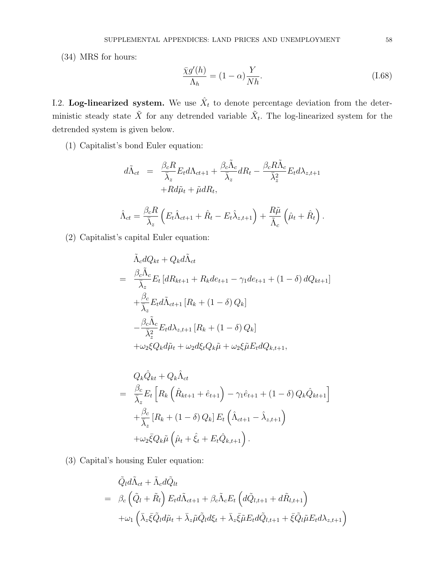(34) MRS for hours:

$$
\frac{\bar{\chi}g'(h)}{\Lambda_h} = (1 - \alpha)\frac{Y}{Nh}.\tag{I.68}
$$

I.2. Log-linearized system. We use  $\hat{X}_t$  to denote percentage deviation from the deterministic steady state  $\tilde{X}$  for any detrended variable  $\tilde{X}_t$ . The log-linearized system for the detrended system is given below.

(1) Capitalist's bond Euler equation:

$$
d\tilde{\Lambda}_{ct} = \frac{\beta_c R}{\bar{\lambda}_z} E_t d\Lambda_{ct+1} + \frac{\beta_c \tilde{\Lambda}_c}{\bar{\lambda}_z} dR_t - \frac{\beta_c R \tilde{\Lambda}_c}{\bar{\lambda}_z^2} E_t d\lambda_{z,t+1} + R d\tilde{\mu}_t + \tilde{\mu} dR_t,
$$
  

$$
\hat{\Lambda}_{ct} = \frac{\beta_c R}{\bar{\lambda}_z} \left( E_t \hat{\Lambda}_{ct+1} + \hat{R}_t - E_t \hat{\lambda}_{z,t+1} \right) + \frac{R\tilde{\mu}}{\tilde{\Lambda}_c} \left( \hat{\mu}_t + \hat{R}_t \right).
$$

(2) Capitalist's capital Euler equation:

$$
\tilde{\Lambda}_c dQ_{kt} + Q_k d\tilde{\Lambda}_{ct}
$$
\n
$$
= \frac{\beta_c \tilde{\Lambda}_c}{\bar{\lambda}_z} E_t \left[ dR_{kt+1} + R_k d e_{t+1} - \gamma_1 d e_{t+1} + (1 - \delta) d Q_{kt+1} \right]
$$
\n
$$
+ \frac{\beta_c}{\bar{\lambda}_z} E_t d\tilde{\Lambda}_{ct+1} \left[ R_k + (1 - \delta) Q_k \right]
$$
\n
$$
- \frac{\beta_c \tilde{\Lambda}_c}{\bar{\lambda}_z^2} E_t d\lambda_{z,t+1} \left[ R_k + (1 - \delta) Q_k \right]
$$
\n
$$
+ \omega_2 \xi Q_k d\tilde{\mu}_t + \omega_2 d \xi_t Q_k \tilde{\mu} + \omega_2 \xi \tilde{\mu} E_t d Q_{k,t+1},
$$

$$
Q_k \hat{Q}_{kt} + Q_k \hat{\Lambda}_{ct}
$$
  
= 
$$
\frac{\beta_c}{\overline{\lambda}_z} E_t \left[ R_k \left( \hat{R}_{kt+1} + \hat{e}_{t+1} \right) - \gamma_1 \hat{e}_{t+1} + (1 - \delta) Q_k \hat{Q}_{kt+1} \right]
$$
  
+ 
$$
\frac{\beta_c}{\overline{\lambda}_z} \left[ R_k + (1 - \delta) Q_k \right] E_t \left( \hat{\Lambda}_{ct+1} - \hat{\lambda}_{z,t+1} \right)
$$
  
+ 
$$
\omega_2 \overline{\xi} Q_k \tilde{\mu} \left( \hat{\mu}_t + \hat{\xi}_t + E_t \hat{Q}_{k,t+1} \right).
$$

(3) Capital's housing Euler equation:

$$
\tilde{Q}_l d\tilde{\Lambda}_{ct} + \tilde{\Lambda}_c d\tilde{Q}_{lt} \n= \beta_c \left( \tilde{Q}_l + \tilde{R}_l \right) E_t d\tilde{\Lambda}_{ct+1} + \beta_c \tilde{\Lambda}_c E_t \left( d\tilde{Q}_{l,t+1} + d\tilde{R}_{l,t+1} \right) \n+ \omega_1 \left( \bar{\lambda}_z \bar{\xi} \tilde{Q}_l d\tilde{\mu}_t + \bar{\lambda}_z \tilde{\mu} \tilde{Q}_l d\xi_t + \bar{\lambda}_z \bar{\xi} \tilde{\mu} E_t d\tilde{Q}_{l,t+1} + \bar{\xi} \tilde{Q}_l \tilde{\mu} E_t d\lambda_{z,t+1} \right)
$$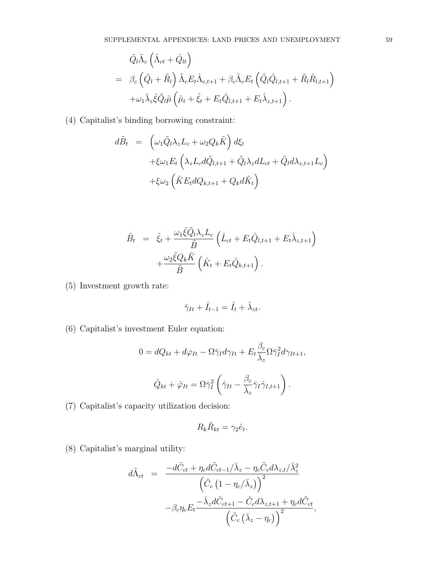$$
\tilde{Q}_{l}\tilde{\Lambda}_{c}\left(\hat{\Lambda}_{ct}+\hat{Q}_{lt}\right) \n= \beta_{c}\left(\tilde{Q}_{l}+\tilde{R}_{l}\right)\tilde{\Lambda}_{c}E_{t}\hat{\Lambda}_{c,t+1}+\beta_{c}\tilde{\Lambda}_{c}E_{t}\left(\tilde{Q}_{l}\hat{Q}_{l,t+1}+\tilde{R}_{l}\hat{R}_{l,t+1}\right) \n+\omega_{1}\bar{\lambda}_{z}\bar{\xi}\tilde{Q}_{l}\tilde{\mu}\left(\hat{\mu}_{t}+\hat{\xi}_{t}+E_{t}\hat{Q}_{l,t+1}+E_{t}\hat{\lambda}_{z,t+1}\right).
$$

(4) Capitalist's binding borrowing constraint:

$$
d\tilde{B}_t = \left(\omega_1 \tilde{Q}_l \lambda_z L_c + \omega_2 Q_k \tilde{K}\right) d\xi_t
$$
  
+
$$
\xi \omega_1 E_t \left(\lambda_z L_c d\tilde{Q}_{l,t+1} + \tilde{Q}_l \lambda_z dL_{ct} + \tilde{Q}_l d\lambda_{z,t+1} L_c\right)
$$
  
+
$$
\xi \omega_2 \left(\tilde{K} E_t dQ_{k,t+1} + Q_k d\tilde{K}_t\right)
$$

$$
\hat{B}_t = \hat{\xi}_t + \frac{\omega_1 \bar{\xi} \tilde{Q}_l \lambda_z L_c}{\tilde{B}} \left( \hat{L}_{ct} + E_t \hat{Q}_{l,t+1} + E_t \hat{\lambda}_{z,t+1} \right) \n+ \frac{\omega_2 \bar{\xi} Q_k \tilde{K}}{\tilde{B}} \left( \hat{K}_t + E_t \hat{Q}_{k,t+1} \right).
$$

(5) Investment growth rate:

$$
\hat{\gamma}_{It} + \hat{I}_{t-1} = \hat{I}_t + \hat{\lambda}_{zt}.
$$

(6) Capitalist's investment Euler equation:

$$
0 = dQ_{kt} + d\varphi_{It} - \Omega \bar{\gamma}_I d\gamma_{It} + E_t \frac{\beta_c}{\bar{\lambda}_z} \Omega \bar{\gamma}_I^2 d\gamma_{It+1},
$$

$$
\hat{Q}_{kt} + \hat{\varphi}_{It} = \Omega \bar{\gamma}_I^2 \left( \hat{\gamma}_{It} - \frac{\beta_c}{\bar{\lambda}_z} \bar{\gamma}_I \hat{\gamma}_{I,t+1} \right).
$$

(7) Capitalist's capacity utilization decision:

$$
R_k \hat{R}_{kt} = \gamma_2 \hat{e}_t.
$$

(8) Capitalist's marginal utility:

$$
d\tilde{\Lambda}_{ct} = \frac{-d\tilde{C}_{ct} + \eta_c d\tilde{C}_{ct-1}/\bar{\lambda}_z - \eta_c \tilde{C}_c d\lambda_{z,t}/\bar{\lambda}_z^2}{\left(\tilde{C}_c \left(1 - \eta_c/\bar{\lambda}_z\right)\right)^2} - \beta_c \eta_c E_t \frac{-\bar{\lambda}_z d\tilde{C}_{ct+1} - \tilde{C}_c d\lambda_{z,t+1} + \eta_c d\tilde{C}_{ct}}{\left(\tilde{C}_c \left(\bar{\lambda}_z - \eta_c\right)\right)^2},
$$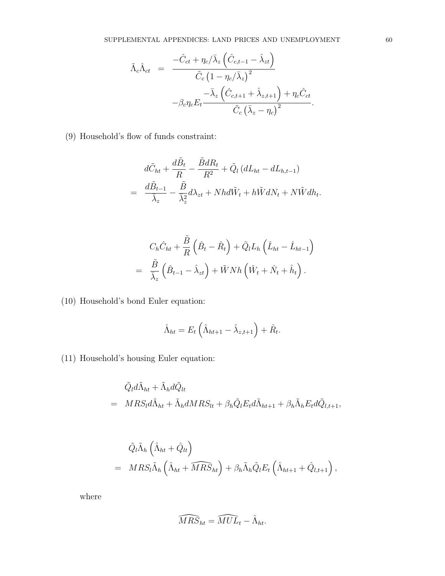$$
\tilde{\Lambda}_{c}\hat{\Lambda}_{ct} = \frac{-\hat{C}_{ct} + \eta_{c}/\bar{\lambda}_{z} \left(\hat{C}_{c,t-1} - \hat{\lambda}_{zt}\right)}{\tilde{C}_{c} \left(1 - \eta_{c}/\bar{\lambda}_{z}\right)^{2}} -\beta_{c}\eta_{c}E_{t} \frac{-\bar{\lambda}_{z} \left(\hat{C}_{c,t+1} + \hat{\lambda}_{z,t+1}\right) + \eta_{c}\hat{C}_{ct}}{\tilde{C}_{c} \left(\bar{\lambda}_{z} - \eta_{c}\right)^{2}}.
$$

(9) Household's flow of funds constraint:

$$
d\tilde{C}_{ht} + \frac{d\tilde{B}_t}{R} - \frac{\tilde{B}dR_t}{R^2} + \tilde{Q}_l (dL_{ht} - dL_{h,t-1})
$$
  
= 
$$
\frac{d\tilde{B}_{t-1}}{\bar{\lambda}_z} - \frac{\tilde{B}}{\bar{\lambda}_z} d\lambda_{zt} + Nhd\tilde{W}_t + h\tilde{W}dN_t + N\tilde{W}dh_t.
$$

$$
C_h \hat{C}_{ht} + \frac{\tilde{B}}{R} \left( \hat{B}_t - \hat{R}_t \right) + \tilde{Q}_l L_h \left( \hat{L}_{ht} - \hat{L}_{ht-1} \right)
$$
  
=  $\frac{\tilde{B}}{\bar{\lambda}_z} \left( \hat{B}_{t-1} - \hat{\lambda}_{zt} \right) + \tilde{W} N h \left( \hat{W}_t + \hat{N}_t + \hat{h}_t \right).$ 

(10) Household's bond Euler equation:

$$
\hat{\Lambda}_{ht} = E_t \left( \hat{\Lambda}_{ht+1} - \hat{\lambda}_{z,t+1} \right) + \hat{R}_t.
$$

(11) Household's housing Euler equation:

$$
\tilde{Q}_l d\tilde{\Lambda}_{ht} + \tilde{\Lambda}_h d\tilde{Q}_{lt}
$$
\n
$$
= MRS_l d\tilde{\Lambda}_{ht} + \tilde{\Lambda}_h dMRS_{lt} + \beta_h \tilde{Q}_l E_t d\tilde{\Lambda}_{ht+1} + \beta_h \tilde{\Lambda}_h E_t d\tilde{Q}_{l,t+1},
$$

$$
\tilde{Q}_{l}\tilde{\Lambda}_{h}\left(\hat{\Lambda}_{ht}+\hat{Q}_{lt}\right) \n= MRS_{l}\tilde{\Lambda}_{h}\left(\hat{\Lambda}_{ht}+\widehat{MRS}_{ht}\right)+\beta_{h}\tilde{\Lambda}_{h}\tilde{Q}_{l}E_{t}\left(\hat{\Lambda}_{ht+1}+\hat{Q}_{l,t+1}\right),
$$

where

$$
\widehat{MRS}_{ht} = \widehat{MUL}_t - \hat{\Lambda}_{ht}.
$$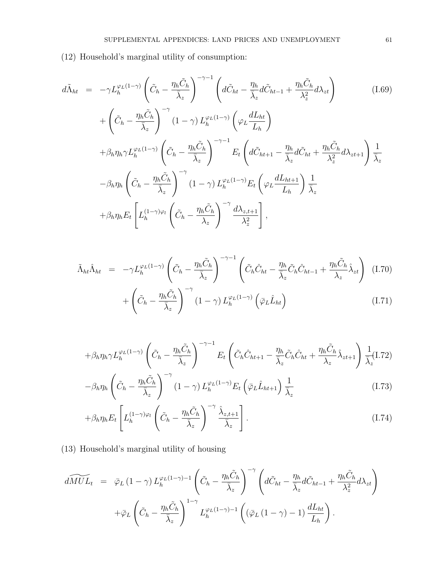(12) Household's marginal utility of consumption:

$$
d\tilde{\Lambda}_{ht} = -\gamma L_h^{\varphi_L(1-\gamma)} \left( \tilde{C}_h - \frac{\eta_h \tilde{C}_h}{\overline{\lambda}_z} \right)^{-\gamma-1} \left( d\tilde{C}_{ht} - \frac{\eta_h}{\overline{\lambda}_z} d\tilde{C}_{ht-1} + \frac{\eta_h \tilde{C}_h}{\lambda_z^2} d\lambda_{zt} \right)
$$
(1.69)  
+  $\left( \tilde{C}_h - \frac{\eta_h \tilde{C}_h}{\overline{\lambda}_z} \right)^{-\gamma} (1-\gamma) L_h^{\varphi_L(1-\gamma)} \left( \varphi_L \frac{dL_{ht}}{L_h} \right)$   
+  $\beta_h \eta_h \gamma L_h^{\varphi_L(1-\gamma)} \left( \tilde{C}_h - \frac{\eta_h \tilde{C}_h}{\overline{\lambda}_z} \right)^{-\gamma-1} E_t \left( d\tilde{C}_{ht+1} - \frac{\eta_h}{\overline{\lambda}_z} d\tilde{C}_{ht} + \frac{\eta_h \tilde{C}_h}{\lambda_z^2} d\lambda_{zt+1} \right) \frac{1}{\overline{\lambda}_z}$   
-  $\beta_h \eta_h \left( \tilde{C}_h - \frac{\eta_h \tilde{C}_h}{\overline{\lambda}_z} \right)^{-\gamma} (1-\gamma) L_h^{\varphi_L(1-\gamma)} E_t \left( \varphi_L \frac{dL_{ht+1}}{L_h} \right) \frac{1}{\overline{\lambda}_z}$   
+  $\beta_h \eta_h E_t \left[ L_h^{(1-\gamma)\varphi_l} \left( \tilde{C}_h - \frac{\eta_h \tilde{C}_h}{\lambda_z} \right)^{-\gamma} \frac{d\lambda_{z,t+1}}{\lambda_z^2} \right],$ 

$$
\tilde{\Lambda}_{ht}\hat{\Lambda}_{ht} = -\gamma L_h^{\varphi_L(1-\gamma)} \left(\tilde{C}_h - \frac{\eta_h \tilde{C}_h}{\bar{\lambda}_z}\right)^{-\gamma-1} \left(\tilde{C}_h \hat{C}_{ht} - \frac{\eta_h}{\bar{\lambda}_z} \tilde{C}_h \hat{C}_{ht-1} + \frac{\eta_h \tilde{C}_h}{\lambda_z} \hat{\lambda}_{zt}\right) (1.70) \n+ \left(\tilde{C}_h - \frac{\eta_h \tilde{C}_h}{\bar{\lambda}_z}\right)^{-\gamma} (1-\gamma) L_h^{\varphi_L(1-\gamma)} \left(\bar{\varphi}_L \hat{L}_{ht}\right)
$$
\n(1.71)

$$
+\beta_h \eta_h \gamma L_h^{\varphi_L(1-\gamma)} \left(\tilde{C}_h - \frac{\eta_h \tilde{C}_h}{\bar{\lambda}_z}\right)^{-\gamma-1} E_t \left(\tilde{C}_h \hat{C}_{ht+1} - \frac{\eta_h}{\bar{\lambda}_z} \tilde{C}_h \hat{C}_{ht} + \frac{\eta_h \tilde{C}_h}{\lambda_z} \hat{\lambda}_{zt+1}\right) \frac{1}{\bar{\lambda}_z} (I.72)
$$

$$
-\beta_h \eta_h \left(\tilde{C}_h - \frac{\eta_h \tilde{C}_h}{\bar{\lambda}_z}\right)^{-\gamma} (1-\gamma) L_h^{\varphi_L(1-\gamma)} E_t \left(\bar{\varphi}_L \hat{L}_{ht+1}\right) \frac{1}{\bar{\lambda}_z} \tag{I.73}
$$

$$
+\beta_h \eta_h E_t \left[ L_h^{(1-\gamma)\varphi_l} \left( \tilde{C}_h - \frac{\eta_h \tilde{C}_h}{\bar{\lambda}_z} \right)^{-\gamma} \frac{\hat{\lambda}_{z,t+1}}{\bar{\lambda}_z} \right]. \tag{I.74}
$$

(13) Household's marginal utility of housing

$$
\widetilde{dMUL}_{t} = \bar{\varphi}_{L} (1 - \gamma) L_{h}^{\varphi_{L}(1 - \gamma) - 1} \left( \tilde{C}_{h} - \frac{\eta_{h} \tilde{C}_{h}}{\bar{\lambda}_{z}} \right)^{-\gamma} \left( d\tilde{C}_{ht} - \frac{\eta_{h}}{\bar{\lambda}_{z}} d\tilde{C}_{ht-1} + \frac{\eta_{h} \tilde{C}_{h}}{\lambda_{z}^{2}} d\lambda_{zt} \right)
$$

$$
+ \bar{\varphi}_{L} \left( \tilde{C}_{h} - \frac{\eta_{h} \tilde{C}_{h}}{\bar{\lambda}_{z}} \right)^{1 - \gamma} L_{h}^{\varphi_{L}(1 - \gamma) - 1} \left( (\bar{\varphi}_{L} (1 - \gamma) - 1) \frac{dL_{ht}}{L_{h}} \right).
$$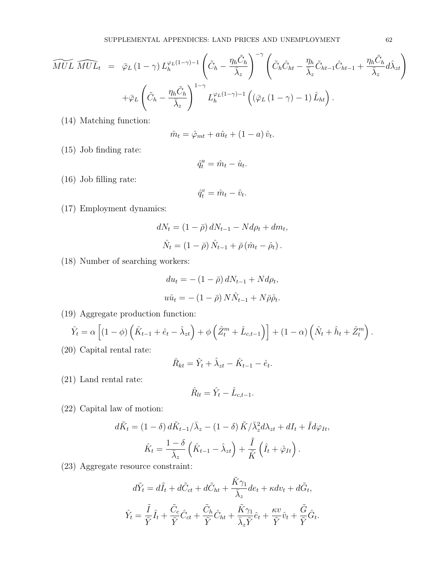$$
\widetilde{MUL} \; \widehat{MUL}_t \; = \; \bar{\varphi}_L \left(1-\gamma\right) L_h^{\varphi_L(1-\gamma)-1} \left(\tilde{C}_h - \frac{\eta_h \tilde{C}_h}{\bar{\lambda}_z}\right)^{-\gamma} \left(\tilde{C}_h \hat{C}_{ht} - \frac{\eta_h}{\bar{\lambda}_z} \tilde{C}_{ht-1} \hat{C}_{ht-1} + \frac{\eta_h \tilde{C}_h}{\bar{\lambda}_z} d\hat{\lambda}_{zt}\right) +\bar{\varphi}_L \left(\tilde{C}_h - \frac{\eta_h \tilde{C}_h}{\bar{\lambda}_z}\right)^{1-\gamma} L_h^{\varphi_L(1-\gamma)-1} \left((\bar{\varphi}_L \left(1-\gamma\right)-1) \hat{L}_{ht}\right).
$$

(14) Matching function:

$$
\hat{m}_t = \hat{\varphi}_{mt} + a\hat{u}_t + (1 - a)\hat{v}_t.
$$

(15) Job finding rate:

$$
\hat{q}^u_t = \hat{m}_t - \hat{u}_t.
$$

(16) Job filling rate:

$$
\hat{q}^v_t = \hat{m}_t - \hat{v}_t.
$$

(17) Employment dynamics:

$$
dN_t = (1 - \bar{\rho}) dN_{t-1} - N d\rho_t + dm_t,
$$
  

$$
\hat{N}_t = (1 - \bar{\rho}) \hat{N}_{t-1} + \bar{\rho} (\hat{m}_t - \hat{\rho}_t).
$$

(18) Number of searching workers:

$$
du_t = -(1 - \bar{\rho}) dN_{t-1} + N d\rho_t,
$$
  

$$
u\hat{u}_t = -(1 - \bar{\rho}) N\hat{N}_{t-1} + N\bar{\rho}\hat{\rho}_t.
$$

(19) Aggregate production function:

$$
\hat{Y}_t = \alpha \left[ (1 - \phi) \left( \hat{K}_{t-1} + \hat{e}_t - \hat{\lambda}_{zt} \right) + \phi \left( \hat{Z}_t^m + \hat{L}_{c,t-1} \right) \right] + (1 - \alpha) \left( \hat{N}_t + \hat{h}_t + \hat{Z}_t^m \right).
$$

(20) Capital rental rate:

$$
\hat{R}_{kt} = \hat{Y}_t + \hat{\lambda}_{zt} - \hat{K}_{t-1} - \hat{e}_t.
$$

(21) Land rental rate:

$$
\hat{R}_{lt} = \hat{Y}_t - \hat{L}_{c,t-1}.
$$

(22) Capital law of motion:

$$
d\tilde{K}_t = (1 - \delta) d\tilde{K}_{t-1}/\bar{\lambda}_z - (1 - \delta) \tilde{K}/\bar{\lambda}_z^2 d\lambda_{zt} + dI_t + \tilde{I} d\varphi_{It},
$$

$$
\hat{K}_t = \frac{1 - \delta}{\bar{\lambda}_z} \left( \hat{K}_{t-1} - \hat{\lambda}_{zt} \right) + \frac{\tilde{I}}{\tilde{K}} \left( \hat{I}_t + \hat{\varphi}_{It} \right).
$$

(23) Aggregate resource constraint:

$$
d\tilde{Y}_t = d\tilde{I}_t + d\tilde{C}_{ct} + d\tilde{C}_{ht} + \frac{\tilde{K}\gamma_1}{\bar{\lambda}_z}de_t + \kappa dv_t + d\tilde{G}_t,
$$
  

$$
\hat{Y}_t = \frac{\tilde{I}}{\tilde{Y}}\hat{I}_t + \frac{\tilde{C}_c}{\tilde{Y}}\hat{C}_{ct} + \frac{\tilde{C}_h}{\tilde{Y}}\hat{C}_{ht} + \frac{\tilde{K}\gamma_1}{\bar{\lambda}_z\tilde{Y}}\hat{e}_t + \frac{\kappa v}{\tilde{Y}}\hat{v}_t + \frac{\tilde{G}}{\tilde{Y}}\hat{G}_t.
$$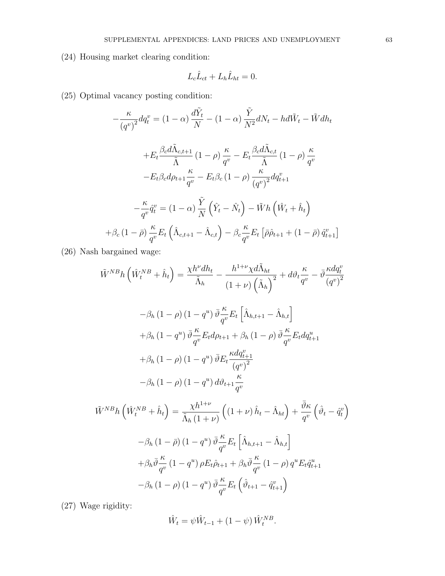(24) Housing market clearing condition:

$$
L_c \hat{L}_{ct} + L_h \hat{L}_{ht} = 0.
$$

(25) Optimal vacancy posting condition:

$$
-\frac{\kappa}{(q^v)^2} dq_t^v = (1 - \alpha) \frac{d\tilde{Y}_t}{N} - (1 - \alpha) \frac{\tilde{Y}}{N^2} dN_t - hd\tilde{W}_t - \tilde{W} dh_t
$$

$$
+ E_t \frac{\beta_c d\tilde{\Lambda}_{c,t+1}}{\tilde{\Lambda}} (1 - \rho) \frac{\kappa}{q^v} - E_t \frac{\beta_c d\tilde{\Lambda}_{c,t}}{\tilde{\Lambda}} (1 - \rho) \frac{\kappa}{q^v}
$$

$$
- E_t \beta_c d\rho_{t+1} \frac{\kappa}{q^v} - E_t \beta_c (1 - \rho) \frac{\kappa}{(q^v)^2} dq_{t+1}^v
$$

$$
- \frac{\kappa}{q^v} \hat{q}_t^v = (1 - \alpha) \frac{\tilde{Y}}{N} (\hat{Y}_t - \hat{N}_t) - \tilde{W} h (\hat{W}_t + \hat{h}_t)
$$

$$
+ \beta_c (1 - \bar{\rho}) \frac{\kappa}{q^v} E_t (\hat{\Lambda}_{c,t+1} - \hat{\Lambda}_{c,t}) - \beta_c \frac{\kappa}{q^v} E_t [\bar{\rho} \hat{\rho}_{t+1} + (1 - \bar{\rho}) \hat{q}_{t+1}^v]
$$

(26) Nash bargained wage:

$$
\tilde{W}^{NB}h\left(\hat{W}_{t}^{NB} + \hat{h}_{t}\right) = \frac{\chi h^{\nu}dh_{t}}{\tilde{\Lambda}_{h}} - \frac{h^{1+\nu}\chi d\tilde{\Lambda}_{ht}}{(1+\nu)\left(\tilde{\Lambda}_{h}\right)^{2}} + d\vartheta_{t}\frac{\kappa}{q^{v}} - \bar{\vartheta}\frac{\kappa dq_{t}^{v}}{(q^{v})^{2}}
$$

$$
-\beta_{h}\left(1-\rho\right)\left(1-q^{u}\right)\bar{\vartheta}\frac{\kappa}{q^{v}}E_{t}\left[\hat{\Lambda}_{h,t+1} - \hat{\Lambda}_{h,t}\right]
$$

$$
+\beta_{h}\left(1-q^{u}\right)\bar{\vartheta}\frac{\kappa}{q^{v}}E_{t}d\rho_{t+1} + \beta_{h}\left(1-\rho\right)\bar{\vartheta}\frac{\kappa}{q^{v}}E_{t}dq_{t+1}^{u}
$$

$$
+\beta_{h}\left(1-\rho\right)\left(1-q^{u}\right)\bar{\vartheta}E_{t}\frac{\kappa dq_{t+1}^{v}}{(q^{v})^{2}}
$$

$$
-\beta_{h}\left(1-\rho\right)\left(1-q^{u}\right)d\vartheta_{t+1}\frac{\kappa}{q^{v}}
$$

$$
\tilde{W}^{NB}h\left(\hat{W}_{t}^{NB} + \hat{h}_{t}\right) = \frac{\chi h^{1+\nu}}{\tilde{\Lambda}_{h}\left(1+\nu\right)}\left(\left(1+\nu\right)\hat{h}_{t} - \hat{\Lambda}_{ht}\right) + \frac{\bar{\vartheta}\kappa}{q^{v}}\left(\hat{\vartheta}_{t} - \hat{q}_{t}^{v}\right)
$$

$$
-\beta_{h}\left(1-\bar{\rho}\right)\left(1-q^{u}\right)\bar{\vartheta}\frac{\kappa}{q^{v}}E_{t}\left[\hat{\Lambda}_{h,t+1} - \hat{\Lambda}_{h,t}\right]
$$

$$
+\beta_{h}\bar{\vartheta}\frac{\kappa}{q^{v}}\left(1-q^{u}\right)\rho E_{t}\hat{\rho}_{t+1} + \beta_{h}\bar{\vartheta}\frac{\kappa}{q^{v}}\left(1-\rho\right)q^{u}E_{t}\hat{q}_{t+1}^{u}
$$

$$
-\beta_{h}\left(1-\rho\right)\left(1-q^{u}\right)\bar{\vartheta}\frac{\kappa}{q^{v}}E_{t}\left(\hat{\vartheta}_{t+1} - \hat{q
$$

(27) Wage rigidity:

$$
\hat{W}_t = \psi \hat{W}_{t-1} + (1 - \psi) \hat{W}_t^{NB}.
$$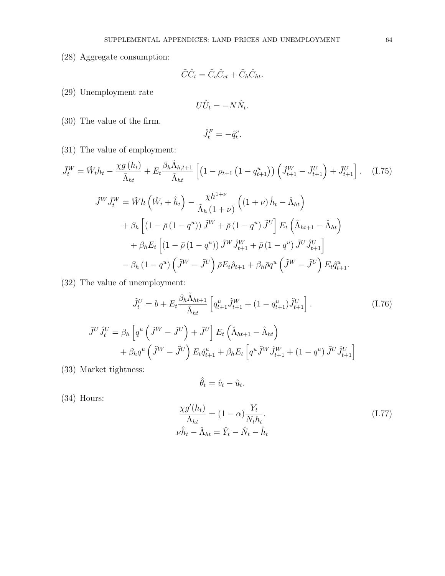(28) Aggregate consumption:

$$
\tilde{C}\hat{C}_t = \tilde{C}_c \hat{C}_{ct} + \tilde{C}_h \hat{C}_{ht}.
$$

(29) Unemployment rate

$$
U\hat{U}_t = -N\hat{N}_t.
$$

(30) The value of the firm.

$$
\hat{J}_t^F = -\hat{q}_t^v.
$$

(31) The value of employment:

$$
\tilde{J}_t^W = \tilde{W}_t h_t - \frac{\chi g(h_t)}{\tilde{\Lambda}_{ht}} + E_t \frac{\beta_h \tilde{\Lambda}_{h,t+1}}{\tilde{\Lambda}_{ht}} \left[ \left( 1 - \rho_{t+1} \left( 1 - q_{t+1}^u \right) \right) \left( \tilde{J}_{t+1}^W - \tilde{J}_{t+1}^U \right) + \tilde{J}_{t+1}^U \right]. \tag{I.75}
$$
\n
$$
\tilde{J}^W \tilde{J}_t^W = \tilde{W} h \left( \hat{W}_t + \hat{h}_t \right) - \frac{\chi h^{1+\nu}}{\tilde{\Lambda}_h \left( 1 + \nu \right)} \left( \left( 1 + \nu \right) \hat{h}_t - \hat{\Lambda}_{ht} \right)
$$
\n
$$
+ \beta_h \left[ \left( 1 - \bar{\rho} \left( 1 - q^u \right) \right) \tilde{J}^W + \bar{\rho} \left( 1 - q^u \right) \tilde{J}^U \right] E_t \left( \hat{\Lambda}_{ht+1} - \hat{\Lambda}_{ht} \right)
$$
\n
$$
+ \beta_h E_t \left[ \left( 1 - \bar{\rho} \left( 1 - q^u \right) \right) \tilde{J}^W \tilde{J}_{t+1}^W + \bar{\rho} \left( 1 - q^u \right) \tilde{J}^U \tilde{J}_{t+1}^U \right]
$$
\n
$$
- \beta_h \left( 1 - q^u \right) \left( \tilde{J}^W - \tilde{J}^U \right) \bar{\rho} E_t \hat{\rho}_{t+1} + \beta_h \bar{\rho} q^u \left( \tilde{J}^W - \tilde{J}^U \right) E_t \hat{q}_{t+1}^u.
$$
\n(26)

(32) The value of unemployment:

$$
\tilde{J}_t^U = b + E_t \frac{\beta_h \tilde{\Lambda}_{ht+1}}{\tilde{\Lambda}_{ht}} \left[ q_{t+1}^u \tilde{J}_{t+1}^W + (1 - q_{t+1}^u) \tilde{J}_{t+1}^U \right]. \tag{I.76}
$$
\n
$$
\tilde{J}^U \hat{J}_t^U = \beta_h \left[ q^u \left( \tilde{J}^W - \tilde{J}^U \right) + \tilde{J}^U \right] E_t \left( \hat{\Lambda}_{ht+1} - \hat{\Lambda}_{ht} \right)
$$
\n
$$
+ \beta_h q^u \left( \tilde{J}^W - \tilde{J}^U \right) E_t \hat{q}_{t+1}^u + \beta_h E_t \left[ q^u \tilde{J}^W \hat{J}_{t+1}^W + (1 - q^u) \tilde{J}^U \hat{J}_{t+1}^U \right]
$$

(33) Market tightness:

$$
\hat{\theta}_t = \hat{v}_t - \hat{u}_t.
$$

(34) Hours:

$$
\frac{\chi g'(h_t)}{\Lambda_{ht}} = (1 - \alpha) \frac{Y_t}{N_t h_t}.
$$
\n
$$
\nu \hat{h}_t - \hat{\Lambda}_{ht} = \hat{Y}_t - \hat{N}_t - \hat{h}_t
$$
\n(1.77)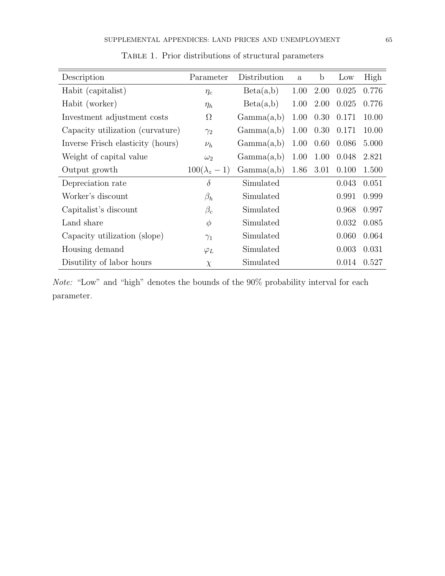| Description                       | Parameter          | Distribution | $\mathbf{a}$ | $\mathbf b$ | Low   | High  |
|-----------------------------------|--------------------|--------------|--------------|-------------|-------|-------|
| Habit (capitalist)                | $\eta_c$           | Beta(a,b)    | 1.00         | 2.00        | 0.025 | 0.776 |
| Habit (worker)                    | $\eta_h$           | Beta(a,b)    | 1.00         | 2.00        | 0.025 | 0.776 |
| Investment adjustment costs       | $\Omega$           | Gamma(a,b)   | 1.00         | 0.30        | 0.171 | 10.00 |
| Capacity utilization (curvature)  | $\gamma_2$         | Gamma(a,b)   | 1.00         | 0.30        | 0.171 | 10.00 |
| Inverse Frisch elasticity (hours) | $\nu_h$            | Gamma(a,b)   | 1.00         | 0.60        | 0.086 | 5.000 |
| Weight of capital value           | $\omega_2$         | Gamma(a,b)   | 1.00         | 1.00        | 0.048 | 2.821 |
| Output growth                     | $100(\lambda_z-1)$ | Gamma(a,b)   | 1.86         | 3.01        | 0.100 | 1.500 |
| Depreciation rate                 | $\delta$           | Simulated    |              |             | 0.043 | 0.051 |
| Worker's discount                 | $\beta_h$          | Simulated    |              |             | 0.991 | 0.999 |
| Capitalist's discount             | $\beta_c$          | Simulated    |              | 0.968       | 0.997 |       |
| Land share                        | $\phi$             | Simulated    |              | 0.032       | 0.085 |       |
| Capacity utilization (slope)      | $\gamma_1$         | Simulated    |              |             | 0.060 | 0.064 |
| Housing demand                    | $\varphi_L$        | Simulated    |              |             | 0.003 | 0.031 |
| Disutility of labor hours         | $\chi$             | Simulated    |              |             | 0.014 | 0.527 |

TABLE 1. Prior distributions of structural parameters

Note: "Low" and "high" denotes the bounds of the 90% probability interval for each parameter.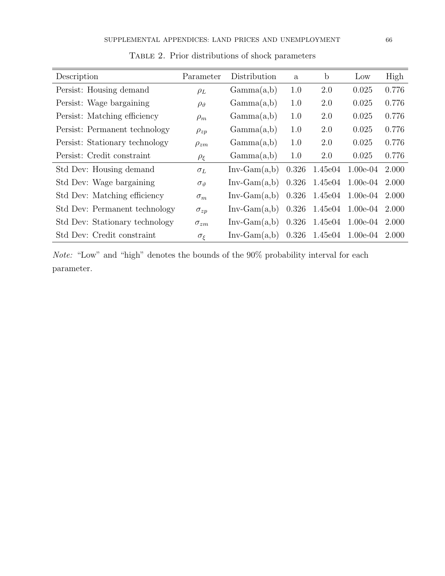| Description                    | Parameter          | Distribution   | a     | $\mathbf b$ | Low        | High  |
|--------------------------------|--------------------|----------------|-------|-------------|------------|-------|
| Persist: Housing demand        | $\rho_L$           | Gamma(a,b)     | 1.0   | 2.0         | 0.025      | 0.776 |
| Persist: Wage bargaining       | $\rho_{\vartheta}$ | Gamma(a,b)     | 1.0   | 2.0         | 0.025      | 0.776 |
| Persist: Matching efficiency   | $\rho_m$           | Gamma(a,b)     | 1.0   | 2.0         | 0.025      | 0.776 |
| Persist: Permanent technology  | $\rho_{zp}$        | Gamma(a,b)     | 1.0   | 2.0         | 0.025      | 0.776 |
| Persist: Stationary technology | $\rho_{zm}$        | Gamma(a,b)     | 1.0   | 2.0         | 0.025      | 0.776 |
| Persist: Credit constraint     | $\rho_{\xi}$       | Gamma(a,b)     | 1.0   | 2.0         | 0.025      | 0.776 |
| Std Dev: Housing demand        | $\sigma_L$         | $Inv-Gam(a,b)$ | 0.326 | 1.45e04     | $1.00e-04$ | 2.000 |
| Std Dev: Wage bargaining       | $\sigma_{\theta}$  | $Inv-Gam(a,b)$ | 0.326 | 1.45e04     | $1.00e-04$ | 2.000 |
| Std Dev: Matching efficiency   | $\sigma_m$         | $Inv-Gam(a,b)$ | 0.326 | 1.45e04     | $1.00e-04$ | 2.000 |
| Std Dev: Permanent technology  | $\sigma_{zp}$      | $Inv-Gam(a,b)$ | 0.326 | 1.45e04     | $1.00e-04$ | 2.000 |
| Std Dev: Stationary technology | $\sigma_{zm}$      | $Inv-Gam(a,b)$ | 0.326 | 1.45e04     | $1.00e-04$ | 2.000 |
| Std Dev: Credit constraint     | $\sigma_{\xi}$     | $Inv-Gam(a,b)$ | 0.326 | 1.45e04     | $1.00e-04$ | 2.000 |

Table 2. Prior distributions of shock parameters

Note: "Low" and "high" denotes the bounds of the 90% probability interval for each parameter.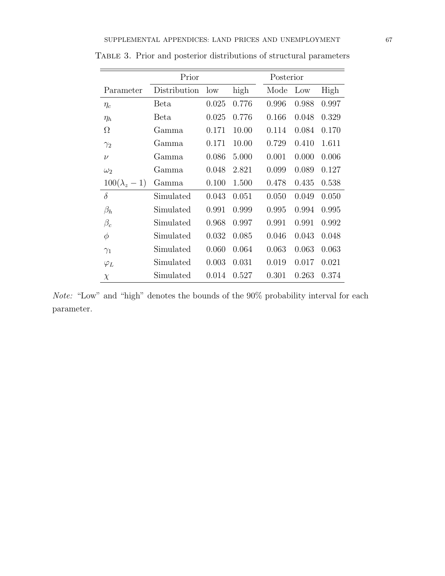|                    | Prior        | Posterior |       |       |       |       |
|--------------------|--------------|-----------|-------|-------|-------|-------|
| Parameter          | Distribution | low       | high  | Mode  | Low   | High  |
| $\eta_c$           | Beta         | 0.025     | 0.776 | 0.996 | 0.988 | 0.997 |
| $\eta_h$           | Beta         | 0.025     | 0.776 | 0.166 | 0.048 | 0.329 |
| $\Omega$           | Gamma        | 0.171     | 10.00 | 0.114 | 0.084 | 0.170 |
| $\gamma_2$         | Gamma        | 0.171     | 10.00 | 0.729 | 0.410 | 1.611 |
| $\nu$              | Gamma        | 0.086     | 5.000 | 0.001 | 0.000 | 0.006 |
| $\omega_2$         | Gamma        | 0.048     | 2.821 | 0.099 | 0.089 | 0.127 |
| $100(\lambda_z-1)$ | Gamma        | 0.100     | 1.500 | 0.478 | 0.435 | 0.538 |
| $\delta$           | Simulated    | 0.043     | 0.051 | 0.050 | 0.049 | 0.050 |
| $\beta_h$          | Simulated    | 0.991     | 0.999 | 0.995 | 0.994 | 0.995 |
| $\beta_c$          | Simulated    | 0.968     | 0.997 | 0.991 | 0.991 | 0.992 |
| $\phi$             | Simulated    | 0.032     | 0.085 | 0.046 | 0.043 | 0.048 |
| $\gamma_1$         | Simulated    | 0.060     | 0.064 | 0.063 | 0.063 | 0.063 |
| $\varphi_L$        | Simulated    | 0.003     | 0.031 | 0.019 | 0.017 | 0.021 |
| $\chi$             | Simulated    | 0.014     | 0.527 | 0.301 | 0.263 | 0.374 |

Table 3. Prior and posterior distributions of structural parameters

Note: "Low" and "high" denotes the bounds of the 90% probability interval for each parameter.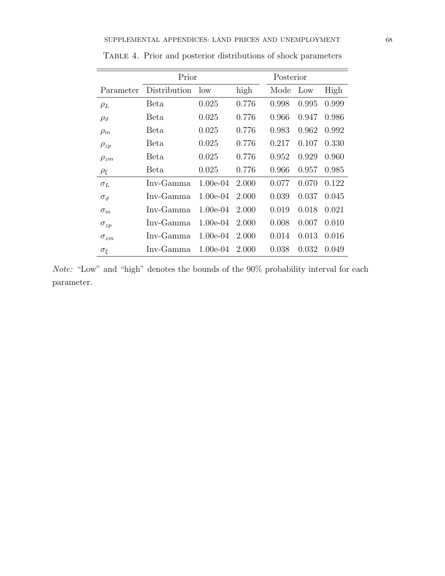|                      | Prior        | Posterior  |       |       |       |       |
|----------------------|--------------|------------|-------|-------|-------|-------|
| Parameter            | Distribution | low        | high  | Mode  | Low   | High  |
| $\rho_L$             | Beta         | 0.025      | 0.776 | 0.998 | 0.995 | 0.999 |
| $\rho_{\vartheta}$   | Beta         | 0.025      | 0.776 | 0.966 | 0.947 | 0.986 |
| $\rho_m$             | Beta         | 0.025      | 0.776 | 0.983 | 0.962 | 0.992 |
| $\rho_{zp}$          | Beta         | 0.025      | 0.776 | 0.217 | 0.107 | 0.330 |
| $\rho_{zm}$          | Beta         | 0.025      | 0.776 | 0.952 | 0.929 | 0.960 |
| $\rho_{\xi}$         | Beta         | 0.025      | 0.776 | 0.966 | 0.957 | 0.985 |
| $\sigma_L$           | Inv-Gamma    | $1.00e-04$ | 2.000 | 0.077 | 0.070 | 0.122 |
| $\sigma_{\vartheta}$ | Inv-Gamma    | $1.00e-04$ | 2.000 | 0.039 | 0.037 | 0.045 |
| $\sigma_m$           | Inv-Gamma    | $1.00e-04$ | 2.000 | 0.019 | 0.018 | 0.021 |
| $\sigma_{zp}$        | Inv-Gamma    | $1.00e-04$ | 2.000 | 0.008 | 0.007 | 0.010 |
| $\sigma_{zm}$        | Inv-Gamma    | $1.00e-04$ | 2.000 | 0.014 | 0.013 | 0.016 |
| $\sigma_{\xi}$       | Inv-Gamma    | $1.00e-04$ | 2.000 | 0.038 | 0.032 | 0.049 |

Table 4. Prior and posterior distributions of shock parameters

 $Note:$  "Low" and "high" denotes the bounds of the  $90\%$  probability interval for each parameter.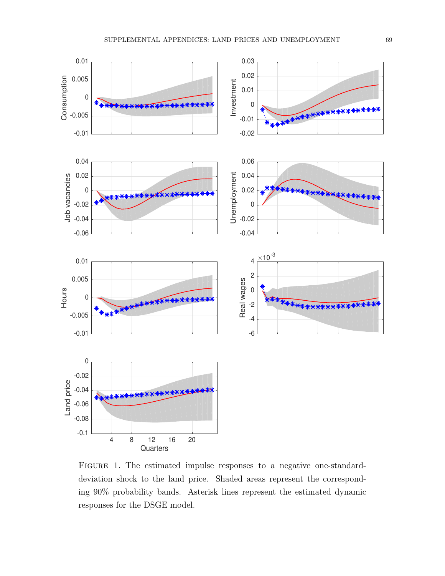

FIGURE 1. The estimated impulse responses to a negative one-standarddeviation shock to the land price. Shaded areas represent the corresponding 90% probability bands. Asterisk lines represent the estimated dynamic responses for the DSGE model.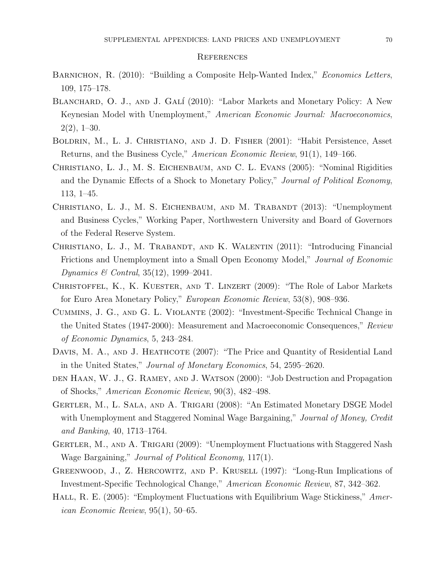#### **REFERENCES**

- BARNICHON, R. (2010): "Building a Composite Help-Wanted Index," Economics Letters, 109, 175–178.
- BLANCHARD, O. J., AND J. GALÍ (2010): "Labor Markets and Monetary Policy: A New Keynesian Model with Unemployment," American Economic Journal: Macroeconomics,  $2(2), 1-30.$
- Boldrin, M., L. J. Christiano, and J. D. Fisher (2001): "Habit Persistence, Asset Returns, and the Business Cycle," American Economic Review, 91(1), 149–166.
- Christiano, L. J., M. S. Eichenbaum, and C. L. Evans (2005): "Nominal Rigidities and the Dynamic Effects of a Shock to Monetary Policy," Journal of Political Economy, 113, 1–45.
- CHRISTIANO, L. J., M. S. EICHENBAUM, AND M. TRABANDT (2013): "Unemployment and Business Cycles," Working Paper, Northwestern University and Board of Governors of the Federal Reserve System.
- CHRISTIANO, L. J., M. TRABANDT, AND K. WALENTIN (2011): "Introducing Financial Frictions and Unemployment into a Small Open Economy Model," Journal of Economic Dynamics & Contral, 35(12), 1999–2041.
- Christoffel, K., K. Kuester, and T. Linzert (2009): "The Role of Labor Markets for Euro Area Monetary Policy," European Economic Review, 53(8), 908–936.
- Cummins, J. G., and G. L. Violante (2002): "Investment-Specific Technical Change in the United States (1947-2000): Measurement and Macroeconomic Consequences," Review of Economic Dynamics, 5, 243–284.
- DAVIS, M. A., AND J. HEATHCOTE (2007): "The Price and Quantity of Residential Land in the United States," Journal of Monetary Economics, 54, 2595–2620.
- den Haan, W. J., G. Ramey, and J. Watson (2000): "Job Destruction and Propagation of Shocks," American Economic Review, 90(3), 482–498.
- Gertler, M., L. Sala, and A. Trigari (2008): "An Estimated Monetary DSGE Model with Unemployment and Staggered Nominal Wage Bargaining," Journal of Money, Credit and Banking, 40, 1713–1764.
- GERTLER, M., AND A. TRIGARI (2009): "Unemployment Fluctuations with Staggered Nash Wage Bargaining," Journal of Political Economy, 117(1).
- Greenwood, J., Z. Hercowitz, and P. Krusell (1997): "Long-Run Implications of Investment-Specific Technological Change," American Economic Review, 87, 342–362.
- HALL, R. E. (2005): "Employment Fluctuations with Equilibrium Wage Stickiness," American Economic Review, 95(1), 50–65.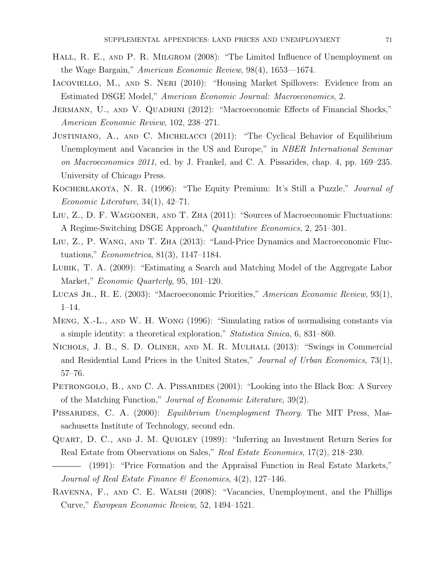- HALL, R. E., AND P. R. MILGROM (2008): "The Limited Influence of Unemployment on the Wage Bargain," American Economic Review, 98(4), 1653—1674.
- Iacoviello, M., and S. Neri (2010): "Housing Market Spillovers: Evidence from an Estimated DSGE Model," American Economic Journal: Macroeconomics, 2.
- JERMANN, U., AND V. QUADRINI (2012): "Macroeconomic Effects of Financial Shocks," American Economic Review, 102, 238–271.
- Justiniano, A., and C. Michelacci (2011): "The Cyclical Behavior of Equilibrium Unemployment and Vacancies in the US and Europe," in *NBER International Seminar* on Macroeconomics 2011, ed. by J. Frankel, and C. A. Pissarides, chap. 4, pp. 169–235. University of Chicago Press.
- Kocherlakota, N. R. (1996): "The Equity Premium: It's Still a Puzzle," Journal of Economic Literature, 34(1), 42–71.
- Liu, Z., D. F. Waggoner, and T. Zha (2011): "Sources of Macroeconomic Fluctuations: A Regime-Switching DSGE Approach," Quantitative Economics, 2, 251–301.
- Liu, Z., P. Wang, and T. Zha (2013): "Land-Price Dynamics and Macroeconomic Fluctuations," Econometrica, 81(3), 1147–1184.
- Lubik, T. A. (2009): "Estimating a Search and Matching Model of the Aggregate Labor Market," Economic Quarterly, 95, 101–120.
- LUCAS JR., R. E. (2003): "Macroeconomic Priorities," American Economic Review, 93(1), 1–14.
- Meng, X.-L., and W. H. Wong (1996): "Simulating ratios of normalising constants via a simple identity: a theoretical exploration," Statistica Sinica, 6, 831–860.
- Nichols, J. B., S. D. Oliner, and M. R. Mulhall (2013): "Swings in Commercial and Residential Land Prices in the United States," Journal of Urban Economics, 73(1), 57–76.
- PETRONGOLO, B., AND C. A. PISSARIDES (2001): "Looking into the Black Box: A Survey of the Matching Function," Journal of Economic Literature, 39(2).
- PISSARIDES, C. A. (2000): *Equilibrium Unemployment Theory*. The MIT Press, Massachusetts Institute of Technology, second edn.
- QUART, D. C., AND J. M. QUIGLEY (1989): "Inferring an Investment Return Series for Real Estate from Observations on Sales," Real Estate Economics, 17(2), 218–230.
- (1991): "Price Formation and the Appraisal Function in Real Estate Markets," Journal of Real Estate Finance & Economics,  $4(2)$ , 127–146.
- Ravenna, F., and C. E. Walsh (2008): "Vacancies, Unemployment, and the Phillips Curve," European Economic Review, 52, 1494–1521.